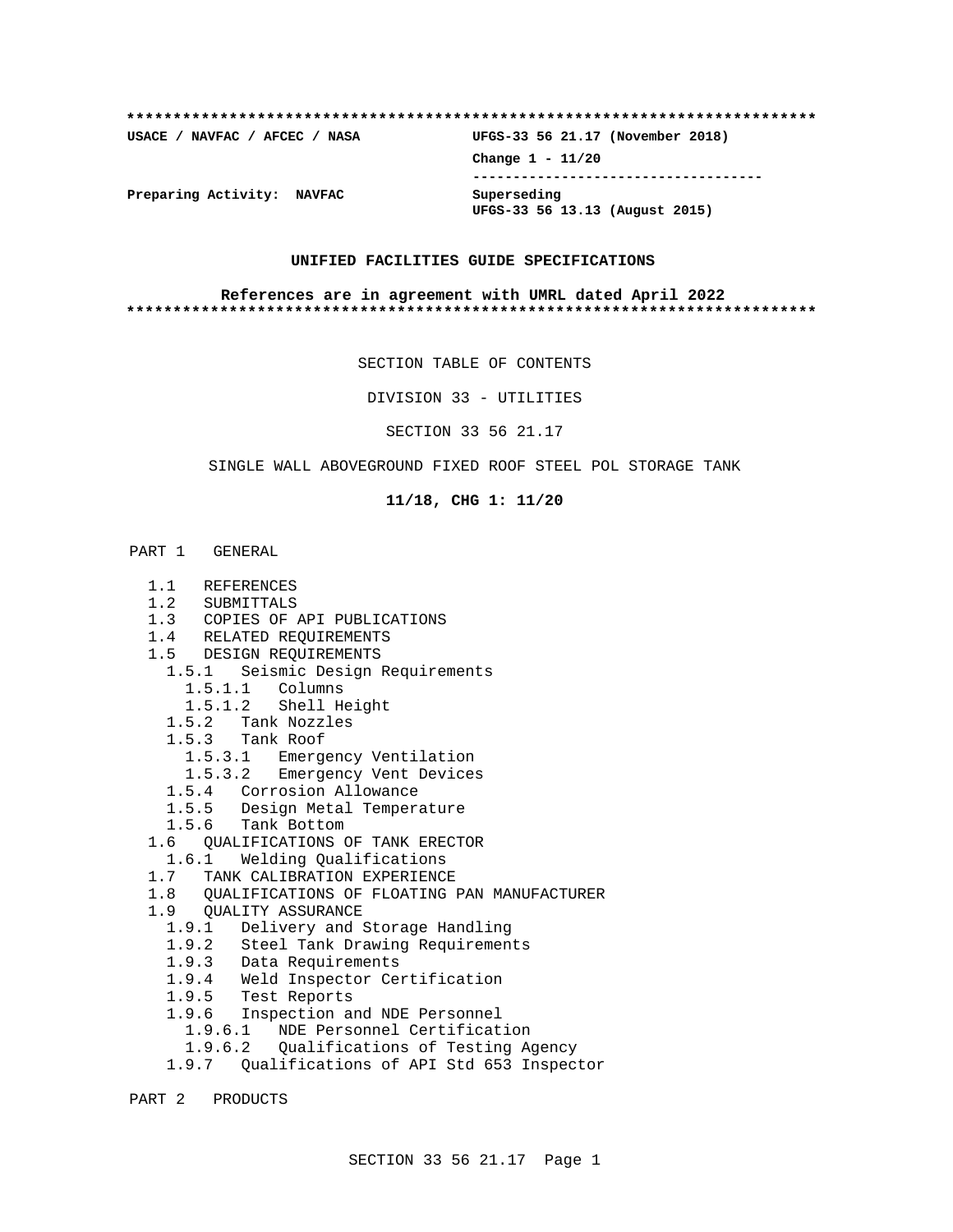| USACE / NAVFAC / AFCEC / NASA | UFGS-33 56 21.17 (November 2018)              |
|-------------------------------|-----------------------------------------------|
|                               | Change $1 - 11/20$                            |
| Preparing Activity: NAVFAC    | Superseding<br>UFGS-33 56 13.13 (August 2015) |

#### **UNIFIED FACILITIES GUIDE SPECIFICATIONS**

#### **References are in agreement with UMRL dated April 2022 \*\*\*\*\*\*\*\*\*\*\*\*\*\*\*\*\*\*\*\*\*\*\*\*\*\*\*\*\*\*\*\*\*\*\*\*\*\*\*\*\*\*\*\*\*\*\*\*\*\*\*\*\*\*\*\*\*\*\*\*\*\*\*\*\*\*\*\*\*\*\*\*\*\***

SECTION TABLE OF CONTENTS

DIVISION 33 - UTILITIES

SECTION 33 56 21.17

SINGLE WALL ABOVEGROUND FIXED ROOF STEEL POL STORAGE TANK

**11/18, CHG 1: 11/20**

## PART 1 GENERAL

- 1.1 REFERENCES
- 1.2 SUBMITTALS
- 1.3 COPIES OF API PUBLICATIONS
- 1.4 RELATED REQUIREMENTS
- 1.5 DESIGN REQUIREMENTS
	- 1.5.1 Seismic Design Requirements
		- 1.5.1.1 Columns
		- 1.5.1.2 Shell Height
	- 1.5.2 Tank Nozzles
	- 1.5.3 Tank Roof
		- 1.5.3.1 Emergency Ventilation
		- 1.5.3.2 Emergency Vent Devices
	- 1.5.4 Corrosion Allowance
	- 1.5.5 Design Metal Temperature
	- 1.5.6 Tank Bottom
- 1.6 QUALIFICATIONS OF TANK ERECTOR
- 1.6.1 Welding Qualifications
- 1.7 TANK CALIBRATION EXPERIENCE
- 1.8 QUALIFICATIONS OF FLOATING PAN MANUFACTURER
- 1.9 QUALITY ASSURANCE
	- 1.9.1 Delivery and Storage Handling
	- 1.9.2 Steel Tank Drawing Requirements
	- 1.9.3 Data Requirements
	- 1.9.4 Weld Inspector Certification
	- 1.9.5 Test Reports
	- 1.9.6 Inspection and NDE Personnel
	- 1.9.6.1 NDE Personnel Certification
	- 1.9.6.2 Qualifications of Testing Agency
	- 1.9.7 Qualifications of API Std 653 Inspector

PART 2 PRODUCTS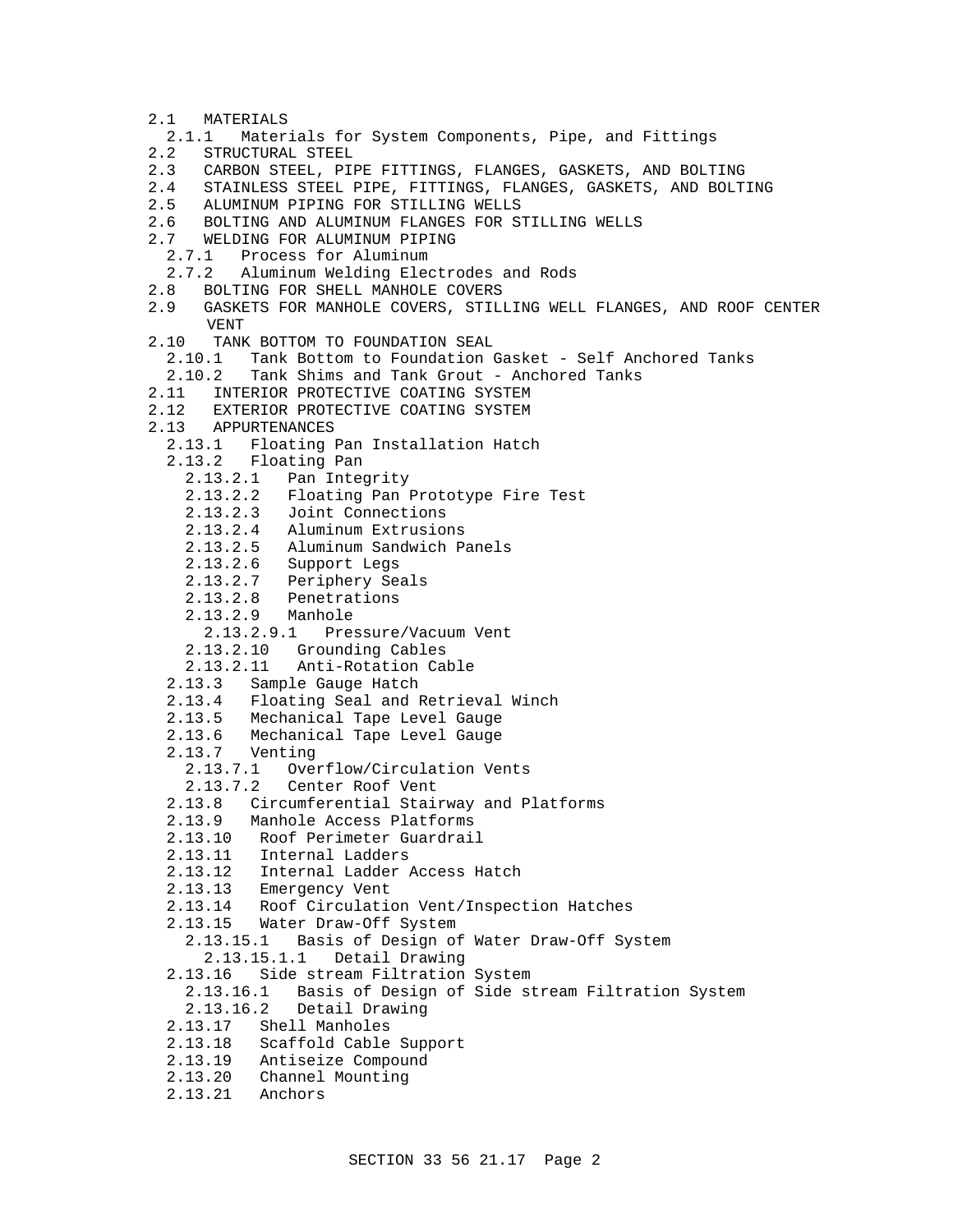- 2.1 MATERIALS
- 2.1.1 Materials for System Components, Pipe, and Fittings
- 2.2 STRUCTURAL STEEL
- 2.3 CARBON STEEL, PIPE FITTINGS, FLANGES, GASKETS, AND BOLTING<br>2.4 STAINLESS STEEL PIPE, FITTINGS, FLANGES, GASKETS, AND BOLT
- 2.4 STAINLESS STEEL PIPE, FITTINGS, FLANGES, GASKETS, AND BOLTING
- 2.5 ALUMINUM PIPING FOR STILLING WELLS
- 2.6 BOLTING AND ALUMINUM FLANGES FOR STILLING WELLS
- 2.7 WELDING FOR ALUMINUM PIPING
	- 2.7.1 Process for Aluminum
- 2.7.2 Aluminum Welding Electrodes and Rods
- 2.8 BOLTING FOR SHELL MANHOLE COVERS
- 2.9 GASKETS FOR MANHOLE COVERS, STILLING WELL FLANGES, AND ROOF CENTER VENT
- 2.10 TANK BOTTOM TO FOUNDATION SEAL
	- 2.10.1 Tank Bottom to Foundation Gasket Self Anchored Tanks
	- 2.10.2 Tank Shims and Tank Grout Anchored Tanks
- 2.11 INTERIOR PROTECTIVE COATING SYSTEM
- 2.12 EXTERIOR PROTECTIVE COATING SYSTEM
- 2.13 APPURTENANCES
	- 2.13.1 Floating Pan Installation Hatch
	- 2.13.2 Floating Pan
		- 2.13.2.1 Pan Integrity
		- 2.13.2.2 Floating Pan Prototype Fire Test
		- 2.13.2.3 Joint Connections
		- 2.13.2.4 Aluminum Extrusions
		- 2.13.2.5 Aluminum Sandwich Panels
		- 2.13.2.6 Support Legs
		- 2.13.2.7 Periphery Seals
		- 2.13.2.8 Penetrations
		- 2.13.2.9 Manhole
			- 2.13.2.9.1 Pressure/Vacuum Vent
		- 2.13.2.10 Grounding Cables
		- 2.13.2.11 Anti-Rotation Cable
	- 2.13.3 Sample Gauge Hatch
	- 2.13.4 Floating Seal and Retrieval Winch
	- 2.13.5 Mechanical Tape Level Gauge
	- 2.13.6 Mechanical Tape Level Gauge
	- 2.13.7 Venting
		- 2.13.7.1 Overflow/Circulation Vents
		- 2.13.7.2 Center Roof Vent
	- 2.13.8 Circumferential Stairway and Platforms
	- 2.13.9 Manhole Access Platforms
	- 2.13.10 Roof Perimeter Guardrail
	- 2.13.11 Internal Ladders
	- 2.13.12 Internal Ladder Access Hatch
	- 2.13.13 Emergency Vent
	- 2.13.14 Roof Circulation Vent/Inspection Hatches
	- 2.13.15 Water Draw-Off System
	- 2.13.15.1 Basis of Design of Water Draw-Off System 2.13.15.1.1 Detail Drawing
	- 2.13.16 Side stream Filtration System
	- 2.13.16.1 Basis of Design of Side stream Filtration System 2.13.16.2 Detail Drawing
	- 2.13.17 Shell Manholes
	- 2.13.18 Scaffold Cable Support
	- 2.13.19 Antiseize Compound
	- 2.13.20 Channel Mounting
	- 2.13.21 Anchors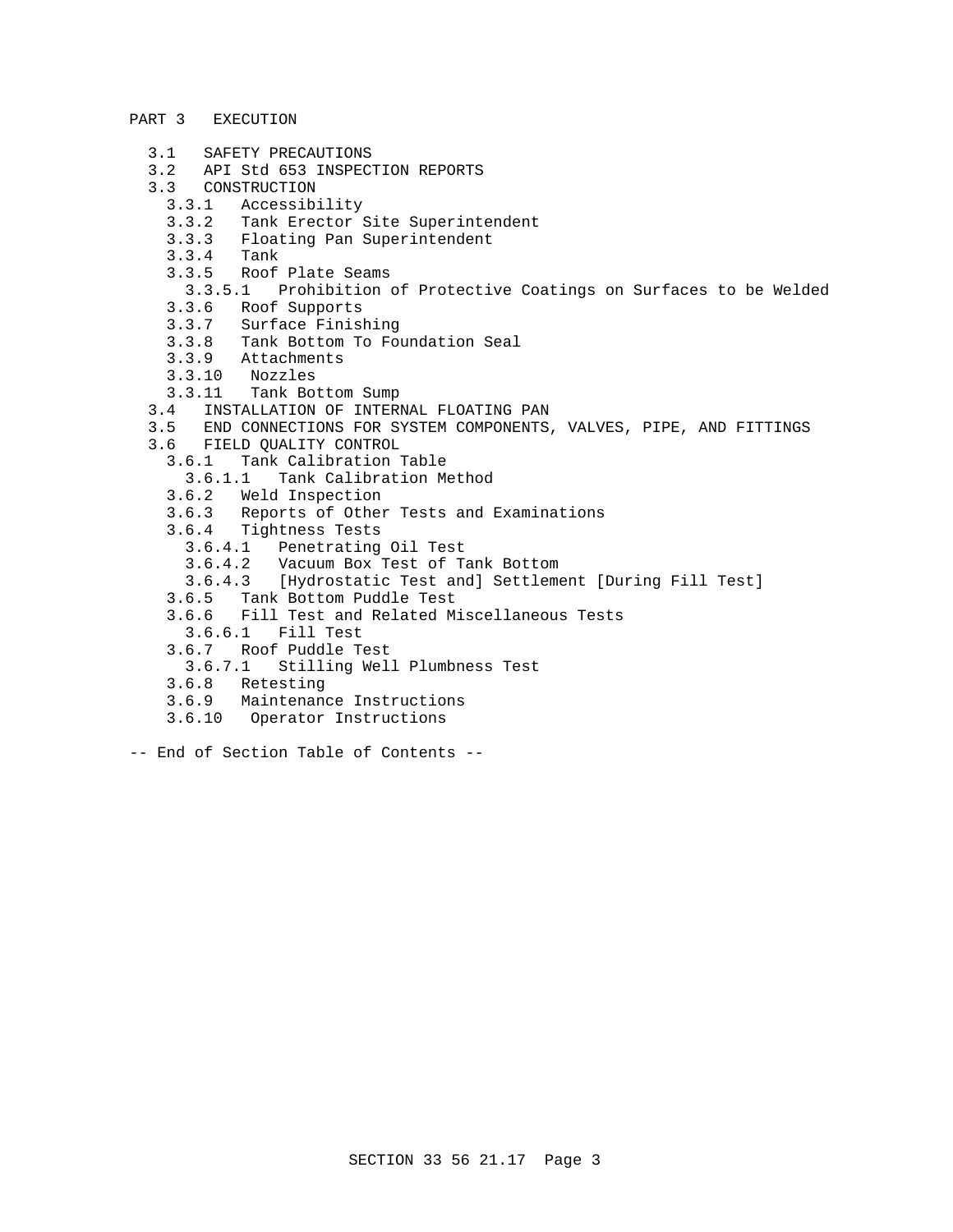### PART 3 EXECUTION

- 3.1 SAFETY PRECAUTIONS
- 3.2 API Std 653 INSPECTION REPORTS
- 3.3 CONSTRUCTION
	- 3.3.1 Accessibility
	- 3.3.2 Tank Erector Site Superintendent
	- 3.3.3 Floating Pan Superintendent
	- $3.3.4$
	- 3.3.5 Roof Plate Seams
		- 3.3.5.1 Prohibition of Protective Coatings on Surfaces to be Welded
	- 3.3.6 Roof Supports
	- 3.3.7 Surface Finishing
	- 3.3.8 Tank Bottom To Foundation Seal
	- 3.3.9 Attachments<br>3.3.10 Nozzles
	- 3.3.10 Nozzles
	- 3.3.11 Tank Bottom Sump
- 3.4 INSTALLATION OF INTERNAL FLOATING PAN
- 3.5 END CONNECTIONS FOR SYSTEM COMPONENTS, VALVES, PIPE, AND FITTINGS
- 3.6 FIELD QUALITY CONTROL
	- 3.6.1 Tank Calibration Table
		- 3.6.1.1 Tank Calibration Method
	- 3.6.2 Weld Inspection
	- 3.6.3 Reports of Other Tests and Examinations
	- 3.6.4 Tightness Tests
		- 3.6.4.1 Penetrating Oil Test
		- Vacuum Box Test of Tank Bottom
		- 3.6.4.3 [Hydrostatic Test and] Settlement [During Fill Test]
	- 3.6.5 Tank Bottom Puddle Test
	- 3.6.6 Fill Test and Related Miscellaneous Tests
	- 3.6.6.1 Fill Test
	- 3.6.7 Roof Puddle Test
	- 3.6.7.1 Stilling Well Plumbness Test
	- 3.6.8 Retesting
	- 3.6.9 Maintenance Instructions
	- 3.6.10 Operator Instructions
- -- End of Section Table of Contents --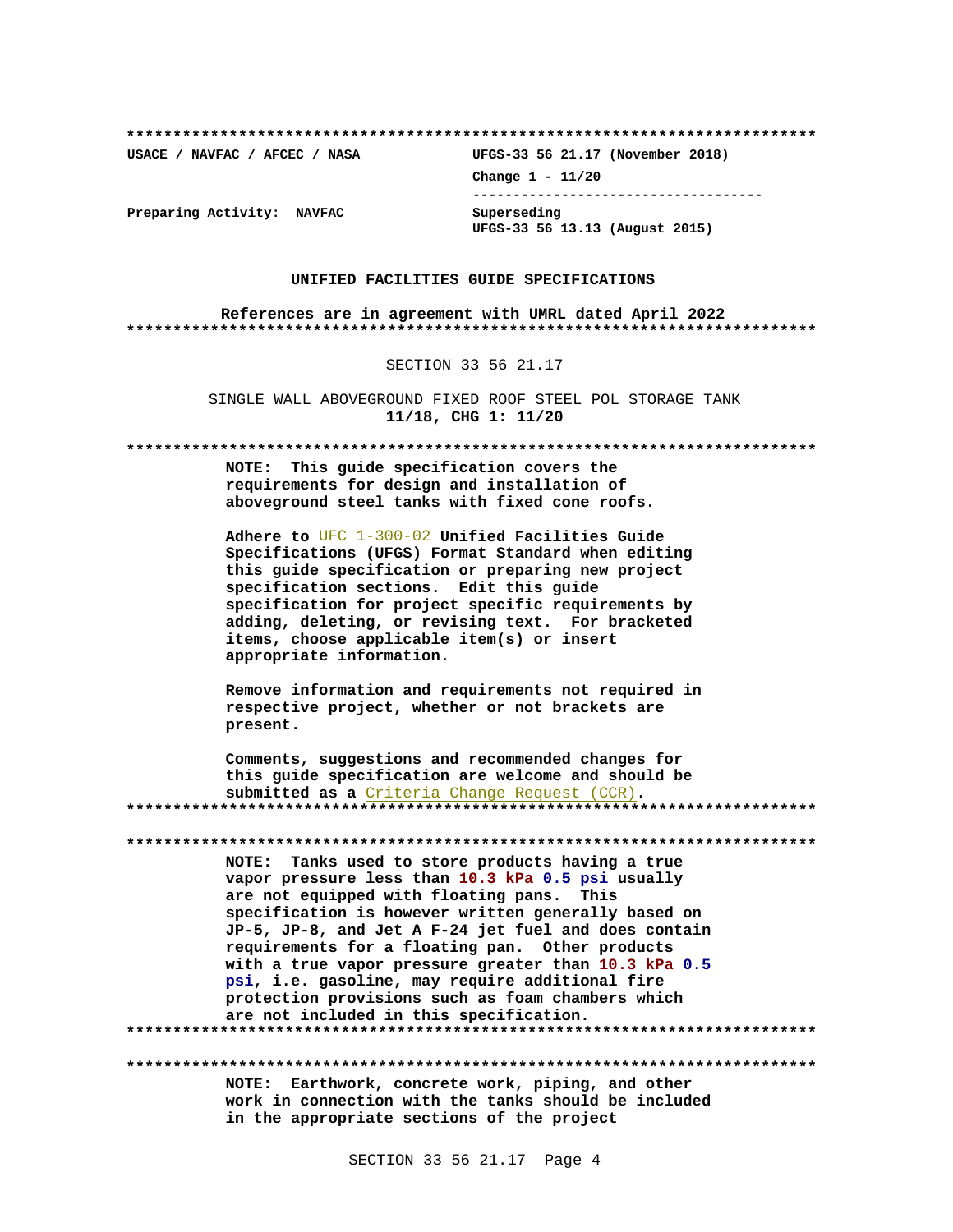**\*\*\*\*\*\*\*\*\*\*\*\*\*\*\*\*\*\*\*\*\*\*\*\*\*\*\*\*\*\*\*\*\*\*\*\*\*\*\*\*\*\*\*\*\*\*\*\*\*\*\*\*\*\*\*\*\*\*\*\*\*\*\*\*\*\*\*\*\*\*\*\*\*\***

**USACE / NAVFAC / AFCEC / NASA UFGS-33 56 21.17 (November 2018) Change 1 - 11/20 ------------------------------------ UFGS-33 56 13.13 (August 2015)**

**Preparing Activity: NAVFAC Superseding**

### **UNIFIED FACILITIES GUIDE SPECIFICATIONS**

**References are in agreement with UMRL dated April 2022 \*\*\*\*\*\*\*\*\*\*\*\*\*\*\*\*\*\*\*\*\*\*\*\*\*\*\*\*\*\*\*\*\*\*\*\*\*\*\*\*\*\*\*\*\*\*\*\*\*\*\*\*\*\*\*\*\*\*\*\*\*\*\*\*\*\*\*\*\*\*\*\*\*\***

SECTION 33 56 21.17

SINGLE WALL ABOVEGROUND FIXED ROOF STEEL POL STORAGE TANK **11/18, CHG 1: 11/20**

**\*\*\*\*\*\*\*\*\*\*\*\*\*\*\*\*\*\*\*\*\*\*\*\*\*\*\*\*\*\*\*\*\*\*\*\*\*\*\*\*\*\*\*\*\*\*\*\*\*\*\*\*\*\*\*\*\*\*\*\*\*\*\*\*\*\*\*\*\*\*\*\*\*\***

**NOTE: This guide specification covers the requirements for design and installation of aboveground steel tanks with fixed cone roofs.**

**Adhere to** UFC 1-300-02 **Unified Facilities Guide Specifications (UFGS) Format Standard when editing this guide specification or preparing new project specification sections. Edit this guide specification for project specific requirements by adding, deleting, or revising text. For bracketed items, choose applicable item(s) or insert appropriate information.**

**Remove information and requirements not required in respective project, whether or not brackets are present.**

**Comments, suggestions and recommended changes for this guide specification are welcome and should be submitted as a** Criteria Change Request (CCR)**. \*\*\*\*\*\*\*\*\*\*\*\*\*\*\*\*\*\*\*\*\*\*\*\*\*\*\*\*\*\*\*\*\*\*\*\*\*\*\*\*\*\*\*\*\*\*\*\*\*\*\*\*\*\*\*\*\*\*\*\*\*\*\*\*\*\*\*\*\*\*\*\*\*\***

**\*\*\*\*\*\*\*\*\*\*\*\*\*\*\*\*\*\*\*\*\*\*\*\*\*\*\*\*\*\*\*\*\*\*\*\*\*\*\*\*\*\*\*\*\*\*\*\*\*\*\*\*\*\*\*\*\*\*\*\*\*\*\*\*\*\*\*\*\*\*\*\*\*\***

**NOTE: Tanks used to store products having a true vapor pressure less than 10.3 kPa 0.5 psi usually are not equipped with floating pans. This specification is however written generally based on JP-5, JP-8, and Jet A F-24 jet fuel and does contain requirements for a floating pan. Other products with a true vapor pressure greater than 10.3 kPa 0.5 psi, i.e. gasoline, may require additional fire protection provisions such as foam chambers which are not included in this specification. \*\*\*\*\*\*\*\*\*\*\*\*\*\*\*\*\*\*\*\*\*\*\*\*\*\*\*\*\*\*\*\*\*\*\*\*\*\*\*\*\*\*\*\*\*\*\*\*\*\*\*\*\*\*\*\*\*\*\*\*\*\*\*\*\*\*\*\*\*\*\*\*\*\***

**\*\*\*\*\*\*\*\*\*\*\*\*\*\*\*\*\*\*\*\*\*\*\*\*\*\*\*\*\*\*\*\*\*\*\*\*\*\*\*\*\*\*\*\*\*\*\*\*\*\*\*\*\*\*\*\*\*\*\*\*\*\*\*\*\*\*\*\*\*\*\*\*\*\* NOTE: Earthwork, concrete work, piping, and other work in connection with the tanks should be included**

**in the appropriate sections of the project**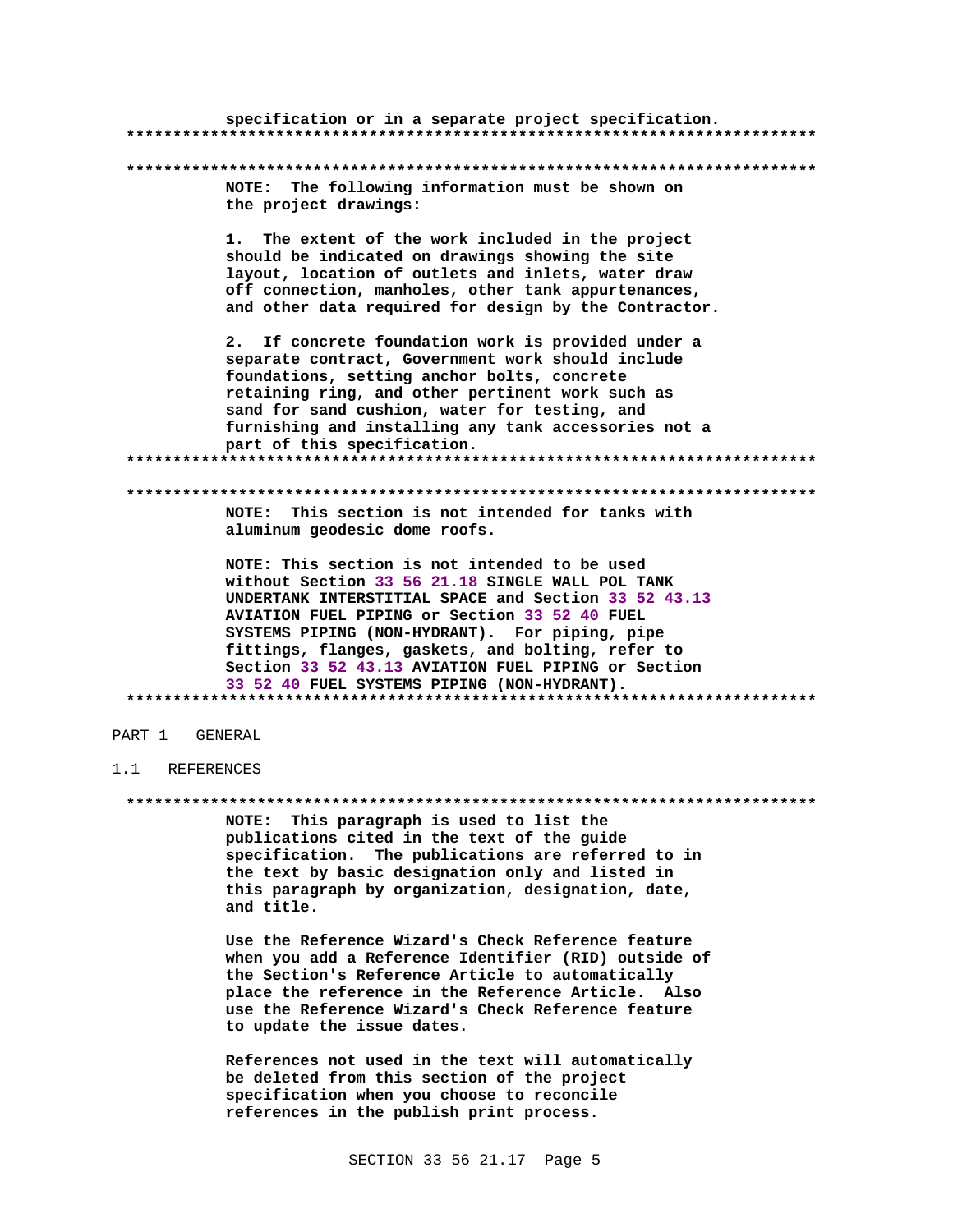|                                | specification or in a separate project specification.                                                                                                                                                                                                                                                                                                                                                                   |
|--------------------------------|-------------------------------------------------------------------------------------------------------------------------------------------------------------------------------------------------------------------------------------------------------------------------------------------------------------------------------------------------------------------------------------------------------------------------|
|                                |                                                                                                                                                                                                                                                                                                                                                                                                                         |
| NOTE:<br>the project drawings: | The following information must be shown on                                                                                                                                                                                                                                                                                                                                                                              |
| 1.                             | The extent of the work included in the project<br>should be indicated on drawings showing the site<br>layout, location of outlets and inlets, water draw<br>off connection, manholes, other tank appurtenances,<br>and other data required for design by the Contractor.                                                                                                                                                |
| 2.                             | If concrete foundation work is provided under a<br>separate contract, Government work should include<br>foundations, setting anchor bolts, concrete<br>retaining ring, and other pertinent work such as<br>sand for sand cushion, water for testing, and<br>furnishing and installing any tank accessories not a<br>part of this specification.                                                                         |
|                                |                                                                                                                                                                                                                                                                                                                                                                                                                         |
| NOTE:                          | This section is not intended for tanks with<br>aluminum geodesic dome roofs.                                                                                                                                                                                                                                                                                                                                            |
|                                | NOTE: This section is not intended to be used<br>without Section 33 56 21.18 SINGLE WALL POL TANK<br>UNDERTANK INTERSTITIAL SPACE and Section 33 52 43.13<br>AVIATION FUEL PIPING or Section 33 52 40 FUEL<br>SYSTEMS PIPING (NON-HYDRANT). For piping, pipe<br>fittings, flanges, gaskets, and bolting, refer to<br>Section 33 52 43.13 AVIATION FUEL PIPING or Section<br>33 52 40 FUEL SYSTEMS PIPING (NON-HYDRANT). |
|                                |                                                                                                                                                                                                                                                                                                                                                                                                                         |

## PART 1 GENERAL

#### $1.1$ REFERENCES

NOTE: This paragraph is used to list the publications cited in the text of the guide specification. The publications are referred to in the text by basic designation only and listed in this paragraph by organization, designation, date, and title.

Use the Reference Wizard's Check Reference feature when you add a Reference Identifier (RID) outside of the Section's Reference Article to automatically place the reference in the Reference Article. Also use the Reference Wizard's Check Reference feature to update the issue dates.

References not used in the text will automatically be deleted from this section of the project specification when you choose to reconcile references in the publish print process.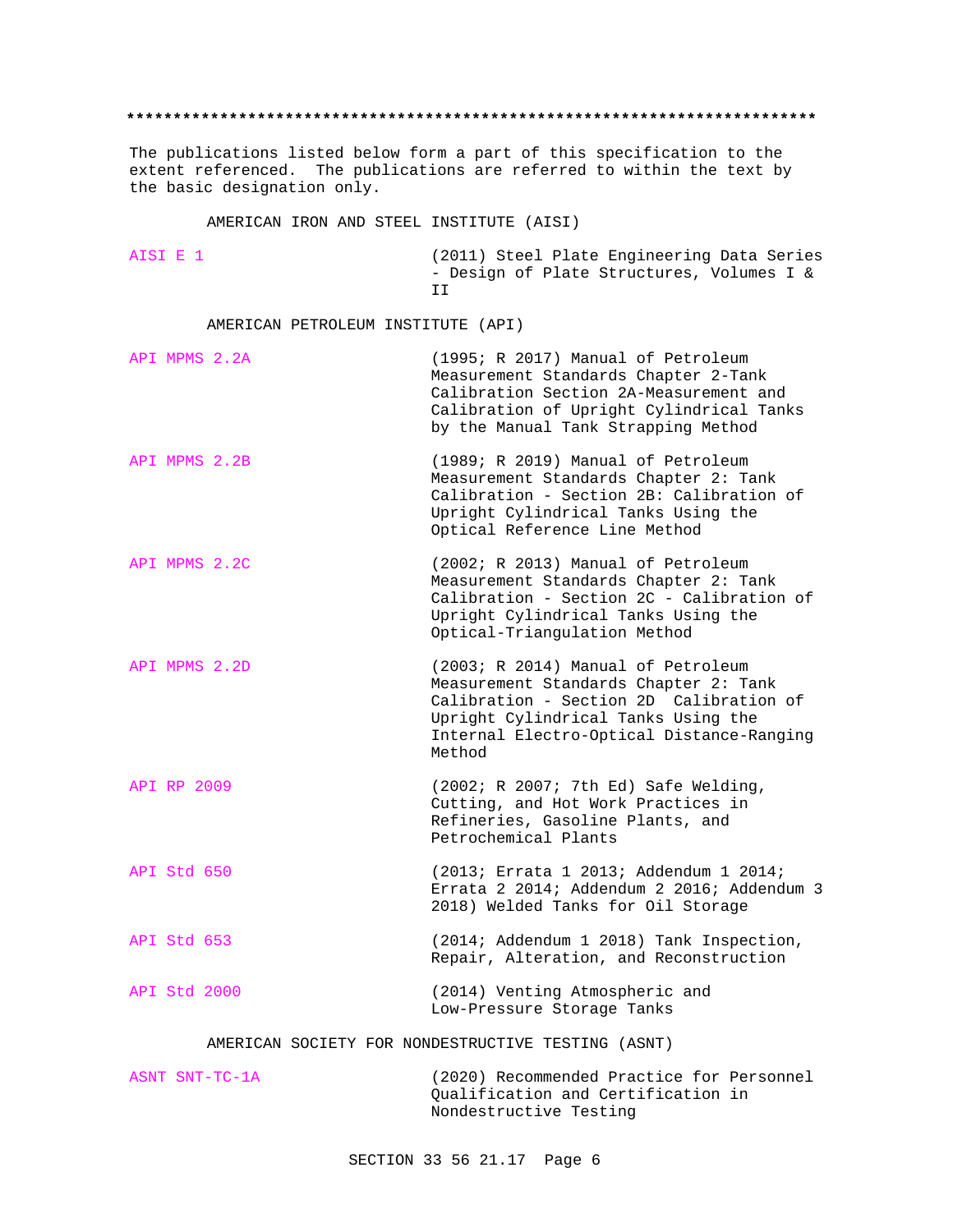#### **\*\*\*\*\*\*\*\*\*\*\*\*\*\*\*\*\*\*\*\*\*\*\*\*\*\*\*\*\*\*\*\*\*\*\*\*\*\*\*\*\*\*\*\*\*\*\*\*\*\*\*\*\*\*\*\*\*\*\*\*\*\*\*\*\*\*\*\*\*\*\*\*\*\***

The publications listed below form a part of this specification to the extent referenced. The publications are referred to within the text by the basic designation only.

AMERICAN IRON AND STEEL INSTITUTE (AISI)

AISI E 1 (2011) Steel Plate Engineering Data Series - Design of Plate Structures, Volumes I & II

AMERICAN PETROLEUM INSTITUTE (API)

| API MPMS 2.2A | (1995; R 2017) Manual of Petroleum<br>Measurement Standards Chapter 2-Tank<br>Calibration Section 2A-Measurement and<br>Calibration of Upright Cylindrical Tanks<br>by the Manual Tank Strapping Method              |
|---------------|----------------------------------------------------------------------------------------------------------------------------------------------------------------------------------------------------------------------|
| API MPMS 2.2B | (1989; R 2019) Manual of Petroleum<br>Measurement Standards Chapter 2: Tank<br>Calibration - Section 2B: Calibration of<br>Upright Cylindrical Tanks Using the<br>Optical Reference Line Method                      |
| API MPMS 2.2C | (2002; R 2013) Manual of Petroleum<br>Measurement Standards Chapter 2: Tank<br>Calibration - Section 2C - Calibration of<br>Upright Cylindrical Tanks Using the<br>Optical-Triangulation Method                      |
| API MPMS 2.2D | (2003; R 2014) Manual of Petroleum<br>Measurement Standards Chapter 2: Tank<br>Calibration - Section 2D Calibration of<br>Upright Cylindrical Tanks Using the<br>Internal Electro-Optical Distance-Ranging<br>Method |
| API RP 2009   | (2002; R 2007; 7th Ed) Safe Welding,<br>Cutting, and Hot Work Practices in<br>Refineries, Gasoline Plants, and<br>Petrochemical Plants                                                                               |
| API Std 650   | (2013; Errata 1 2013; Addendum 1 2014;<br>Errata 2 2014; Addendum 2 2016; Addendum 3<br>2018) Welded Tanks for Oil Storage                                                                                           |
| API Std 653   | (2014; Addendum 1 2018) Tank Inspection,<br>Repair, Alteration, and Reconstruction                                                                                                                                   |
| API Std 2000  | (2014) Venting Atmospheric and<br>Low-Pressure Storage Tanks                                                                                                                                                         |

AMERICAN SOCIETY FOR NONDESTRUCTIVE TESTING (ASNT)

ASNT SNT-TC-1A (2020) Recommended Practice for Personnel Qualification and Certification in Nondestructive Testing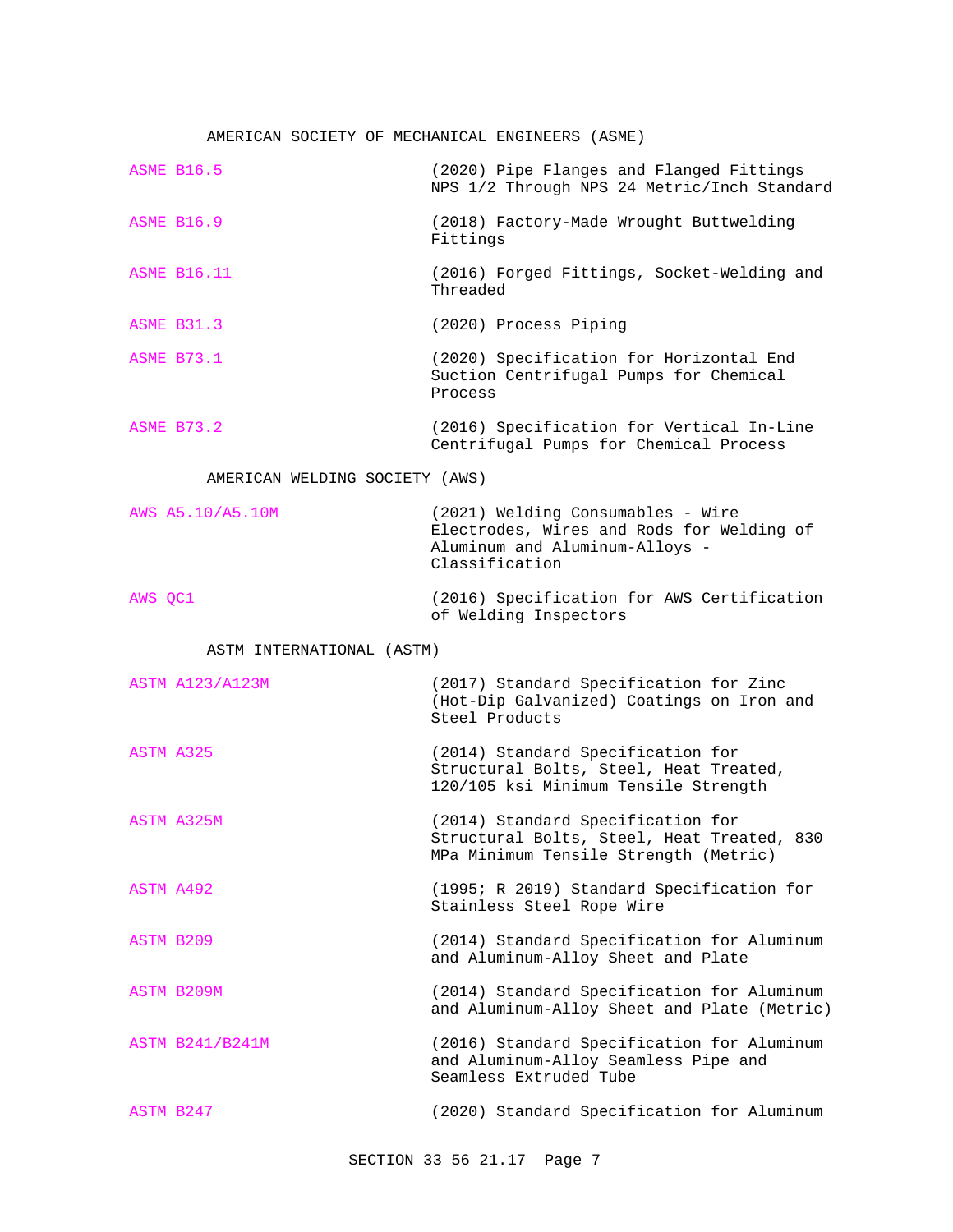## AMERICAN SOCIETY OF MECHANICAL ENGINEERS (ASME)

| <b>ASME B16.5</b>              | (2020) Pipe Flanges and Flanged Fittings<br>NPS 1/2 Through NPS 24 Metric/Inch Standard                                            |
|--------------------------------|------------------------------------------------------------------------------------------------------------------------------------|
| <b>ASME B16.9</b>              | (2018) Factory-Made Wrought Buttwelding<br>Fittings                                                                                |
| <b>ASME B16.11</b>             | (2016) Forged Fittings, Socket-Welding and<br>Threaded                                                                             |
| <b>ASME B31.3</b>              | (2020) Process Piping                                                                                                              |
| <b>ASME B73.1</b>              | (2020) Specification for Horizontal End<br>Suction Centrifugal Pumps for Chemical<br>Process                                       |
| <b>ASME B73.2</b>              | (2016) Specification for Vertical In-Line<br>Centrifugal Pumps for Chemical Process                                                |
| AMERICAN WELDING SOCIETY (AWS) |                                                                                                                                    |
| AWS A5.10/A5.10M               | (2021) Welding Consumables - Wire<br>Electrodes, Wires and Rods for Welding of<br>Aluminum and Aluminum-Alloys -<br>Classification |
| AWS OC1                        | (2016) Specification for AWS Certification<br>of Welding Inspectors                                                                |
| ASTM INTERNATIONAL (ASTM)      |                                                                                                                                    |
| <b>ASTM A123/A123M</b>         | (2017) Standard Specification for Zinc<br>(Hot-Dip Galvanized) Coatings on Iron and<br>Steel Products                              |
| ASTM A325                      | (2014) Standard Specification for<br>Structural Bolts, Steel, Heat Treated,<br>120/105 ksi Minimum Tensile Strength                |
| ASTM A325M                     | (2014) Standard Specification for<br>Structural Bolts, Steel, Heat Treated, 830<br>MPa Minimum Tensile Strength (Metric)           |
| ASTM A492                      | (1995; R 2019) Standard Specification for<br>Stainless Steel Rope Wire                                                             |
| ASTM B209                      | (2014) Standard Specification for Aluminum<br>and Aluminum-Alloy Sheet and Plate                                                   |
| ASTM B209M                     | (2014) Standard Specification for Aluminum<br>and Aluminum-Alloy Sheet and Plate (Metric)                                          |
| <b>ASTM B241/B241M</b>         | (2016) Standard Specification for Aluminum<br>and Aluminum-Alloy Seamless Pipe and<br>Seamless Extruded Tube                       |
| ASTM B247                      | (2020) Standard Specification for Aluminum                                                                                         |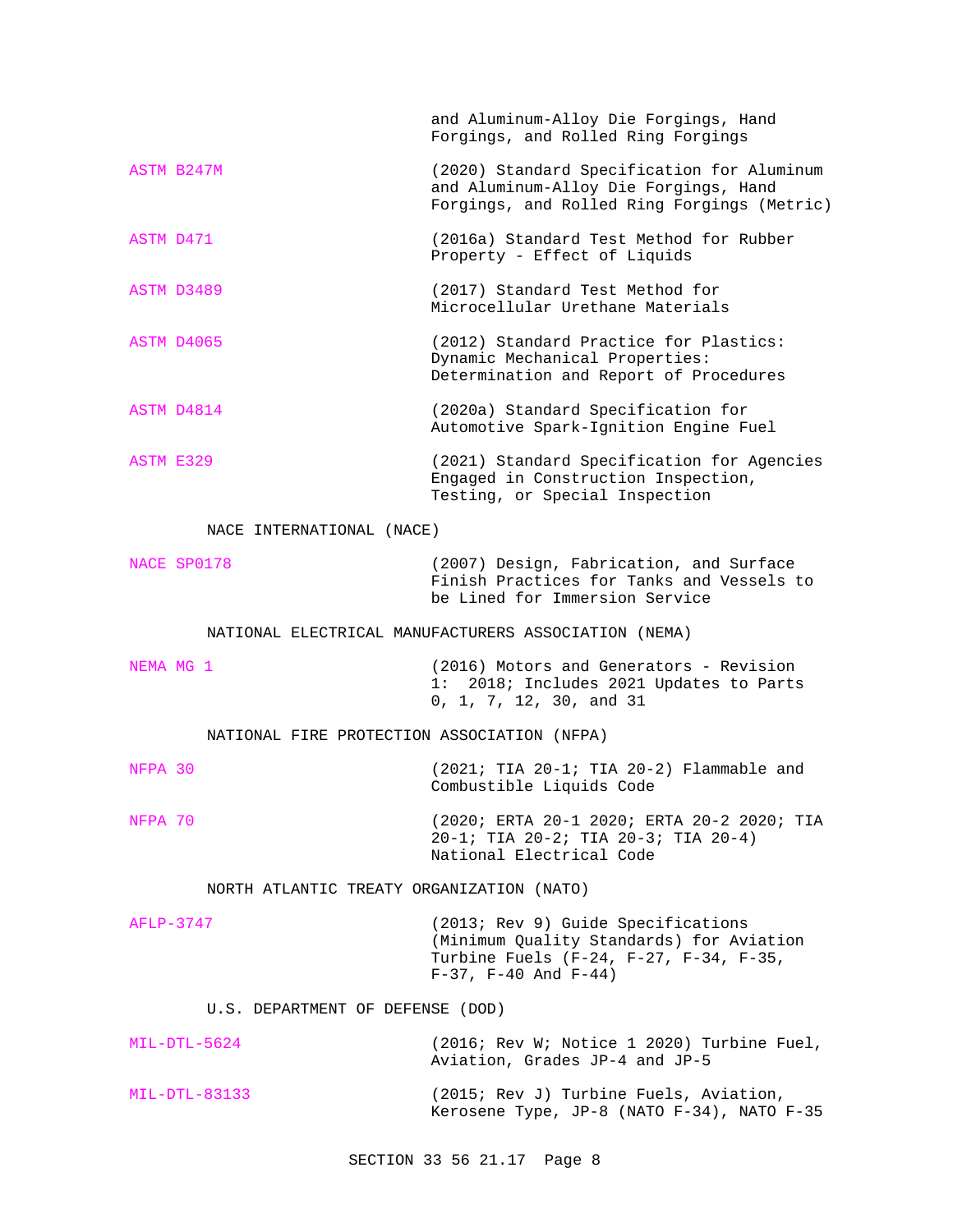|                                             | and Aluminum-Alloy Die Forgings, Hand<br>Forgings, and Rolled Ring Forgings                                                                              |
|---------------------------------------------|----------------------------------------------------------------------------------------------------------------------------------------------------------|
| ASTM B247M                                  | (2020) Standard Specification for Aluminum<br>and Aluminum-Alloy Die Forgings, Hand<br>Forgings, and Rolled Ring Forgings (Metric)                       |
| ASTM D471                                   | (2016a) Standard Test Method for Rubber<br>Property - Effect of Liquids                                                                                  |
| ASTM D3489                                  | (2017) Standard Test Method for<br>Microcellular Urethane Materials                                                                                      |
| ASTM D4065                                  | (2012) Standard Practice for Plastics:<br>Dynamic Mechanical Properties:<br>Determination and Report of Procedures                                       |
| ASTM D4814                                  | (2020a) Standard Specification for<br>Automotive Spark-Ignition Engine Fuel                                                                              |
| ASTM E329                                   | (2021) Standard Specification for Agencies<br>Engaged in Construction Inspection,<br>Testing, or Special Inspection                                      |
| NACE INTERNATIONAL (NACE)                   |                                                                                                                                                          |
| NACE SP0178                                 | (2007) Design, Fabrication, and Surface<br>Finish Practices for Tanks and Vessels to<br>be Lined for Immersion Service                                   |
|                                             | NATIONAL ELECTRICAL MANUFACTURERS ASSOCIATION (NEMA)                                                                                                     |
| NEMA MG 1                                   | (2016) Motors and Generators - Revision<br>1: 2018; Includes 2021 Updates to Parts<br>0, 1, 7, 12, 30, and 31                                            |
| NATIONAL FIRE PROTECTION ASSOCIATION (NFPA) |                                                                                                                                                          |
| NFPA 30                                     | $(2021; TIA 20-1; TIA 20-2)$ Flammable and<br>Combustible Liquids Code                                                                                   |
| NFPA 70                                     | (2020; ERTA 20-1 2020; ERTA 20-2 2020; TIA<br>20-1; TIA 20-2; TIA 20-3; TIA 20-4)<br>National Electrical Code                                            |
| NORTH ATLANTIC TREATY ORGANIZATION (NATO)   |                                                                                                                                                          |
| AFLP-3747                                   | (2013; Rev 9) Guide Specifications<br>(Minimum Quality Standards) for Aviation<br>Turbine Fuels (F-24, F-27, F-34, F-35,<br>$F-37$ , $F-40$ And $F-44$ ) |
| U.S. DEPARTMENT OF DEFENSE (DOD)            |                                                                                                                                                          |
| $MIL-DTL-5624$                              | (2016; Rev W; Notice 1 2020) Turbine Fuel,<br>Aviation, Grades JP-4 and JP-5                                                                             |
| MIL-DTL-83133                               | (2015; Rev J) Turbine Fuels, Aviation,<br>Kerosene Type, JP-8 (NATO F-34), NATO F-35                                                                     |
|                                             |                                                                                                                                                          |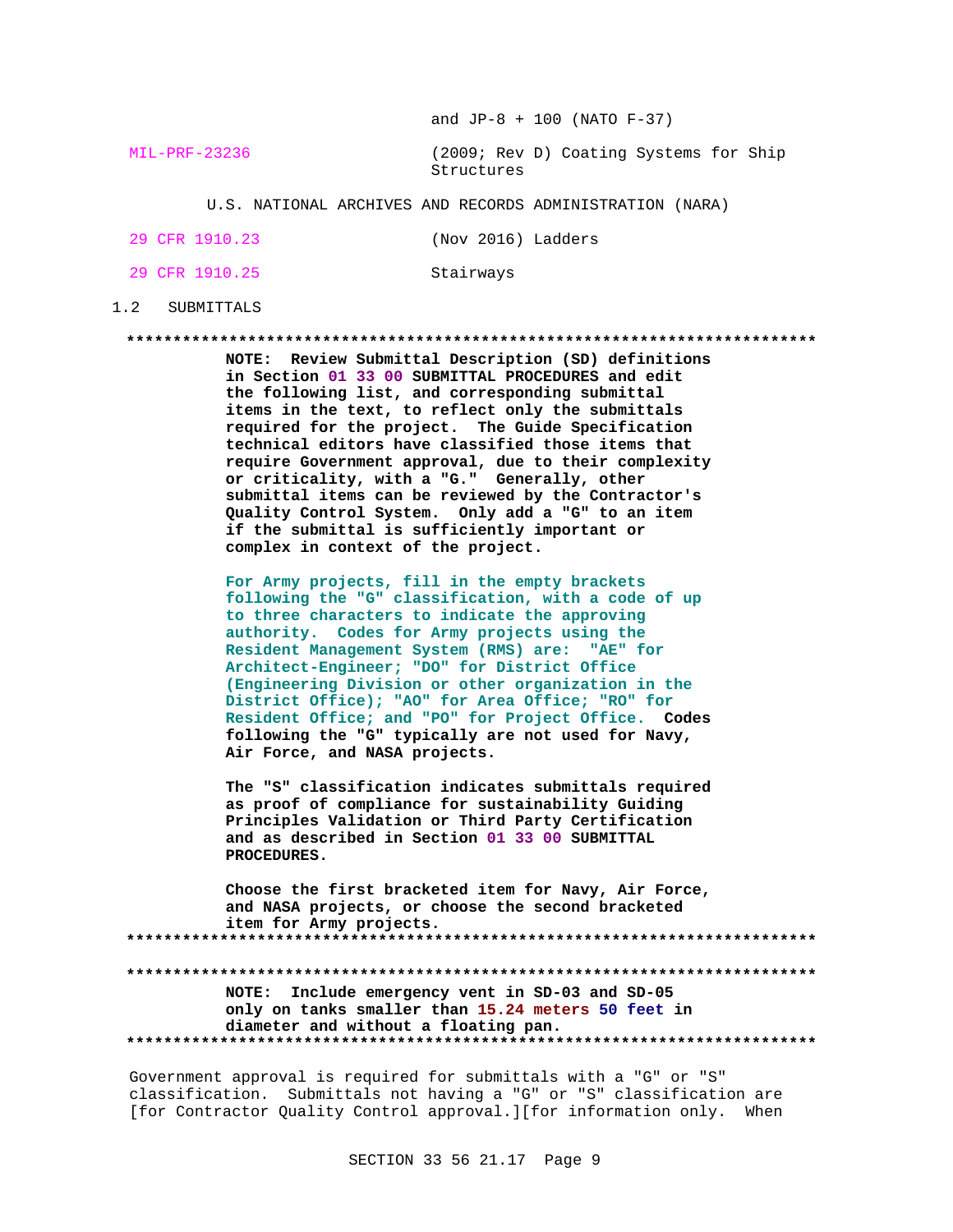and  $JP-8 + 100$  (NATO  $F-37$ )

MIL-PRF-23236 (2009; Rev D) Coating Systems for Ship Structures

U.S. NATIONAL ARCHIVES AND RECORDS ADMINISTRATION (NARA)

|  | 29 CFR 1910.23 |  |  | (Nov 2016) Ladders |  |
|--|----------------|--|--|--------------------|--|
|  |                |  |  |                    |  |

29 CFR 1910.25 Stairways

## 1.2 SUBMITTALS

**\*\*\*\*\*\*\*\*\*\*\*\*\*\*\*\*\*\*\*\*\*\*\*\*\*\*\*\*\*\*\*\*\*\*\*\*\*\*\*\*\*\*\*\*\*\*\*\*\*\*\*\*\*\*\*\*\*\*\*\*\*\*\*\*\*\*\*\*\*\*\*\*\*\***

**NOTE: Review Submittal Description (SD) definitions in Section 01 33 00 SUBMITTAL PROCEDURES and edit the following list, and corresponding submittal items in the text, to reflect only the submittals required for the project. The Guide Specification technical editors have classified those items that require Government approval, due to their complexity or criticality, with a "G." Generally, other submittal items can be reviewed by the Contractor's Quality Control System. Only add a "G" to an item if the submittal is sufficiently important or complex in context of the project.**

**For Army projects, fill in the empty brackets following the "G" classification, with a code of up to three characters to indicate the approving authority. Codes for Army projects using the Resident Management System (RMS) are: "AE" for Architect-Engineer; "DO" for District Office (Engineering Division or other organization in the District Office); "AO" for Area Office; "RO" for Resident Office; and "PO" for Project Office. Codes following the "G" typically are not used for Navy, Air Force, and NASA projects.**

**The "S" classification indicates submittals required as proof of compliance for sustainability Guiding Principles Validation or Third Party Certification and as described in Section 01 33 00 SUBMITTAL PROCEDURES.**

**Choose the first bracketed item for Navy, Air Force, and NASA projects, or choose the second bracketed item for Army projects. \*\*\*\*\*\*\*\*\*\*\*\*\*\*\*\*\*\*\*\*\*\*\*\*\*\*\*\*\*\*\*\*\*\*\*\*\*\*\*\*\*\*\*\*\*\*\*\*\*\*\*\*\*\*\*\*\*\*\*\*\*\*\*\*\*\*\*\*\*\*\*\*\*\***

**\*\*\*\*\*\*\*\*\*\*\*\*\*\*\*\*\*\*\*\*\*\*\*\*\*\*\*\*\*\*\*\*\*\*\*\*\*\*\*\*\*\*\*\*\*\*\*\*\*\*\*\*\*\*\*\*\*\*\*\*\*\*\*\*\*\*\*\*\*\*\*\*\*\* NOTE: Include emergency vent in SD-03 and SD-05 only on tanks smaller than 15.24 meters 50 feet in diameter and without a floating pan. \*\*\*\*\*\*\*\*\*\*\*\*\*\*\*\*\*\*\*\*\*\*\*\*\*\*\*\*\*\*\*\*\*\*\*\*\*\*\*\*\*\*\*\*\*\*\*\*\*\*\*\*\*\*\*\*\*\*\*\*\*\*\*\*\*\*\*\*\*\*\*\*\*\***

Government approval is required for submittals with a "G" or "S" classification. Submittals not having a "G" or "S" classification are [for Contractor Quality Control approval.][for information only. When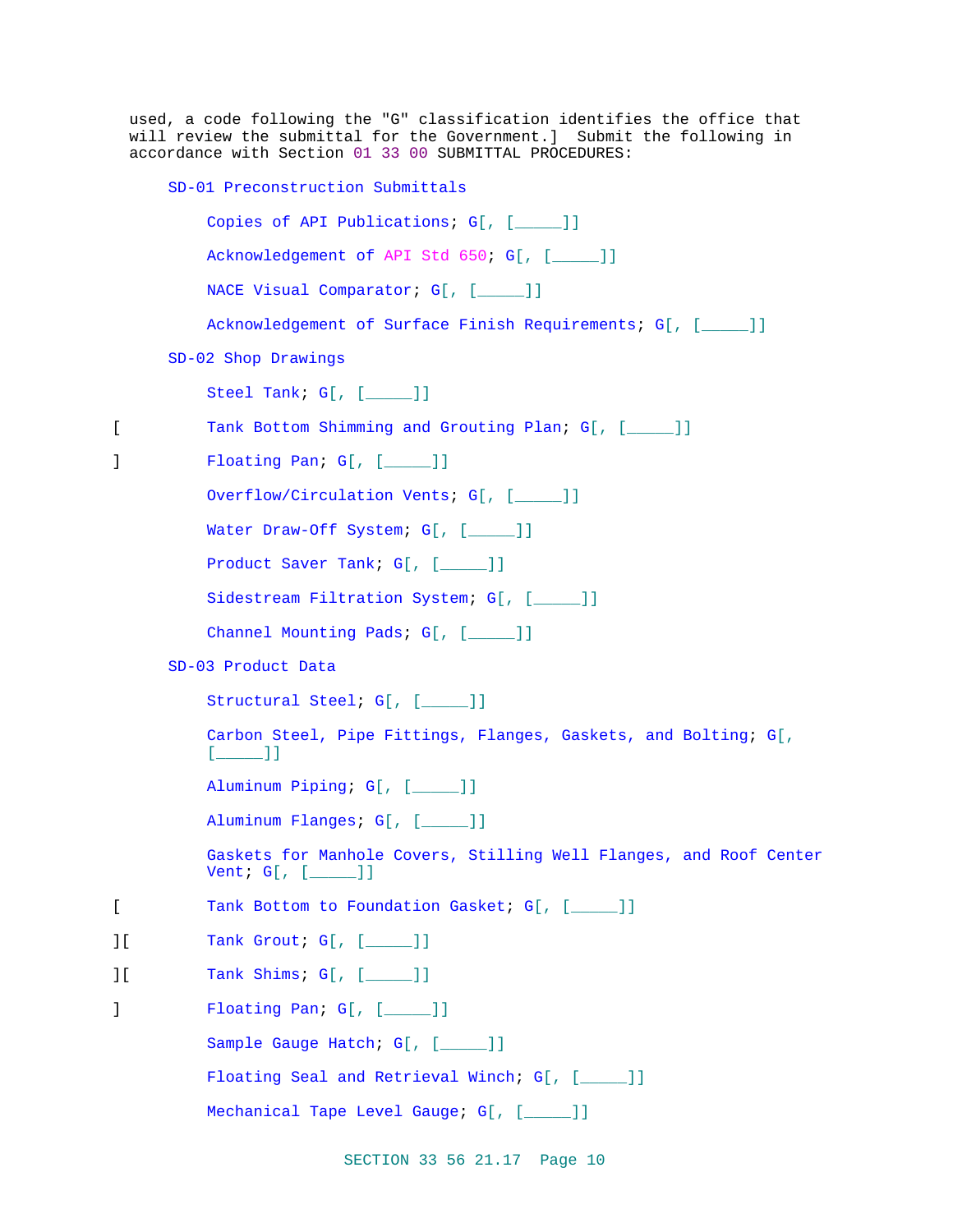|                            | used, a code following the "G" classification identifies the office that<br>will review the submittal for the Government.] Submit the following in<br>accordance with Section 01 33 00 SUBMITTAL PROCEDURES: |  |  |  |  |  |
|----------------------------|--------------------------------------------------------------------------------------------------------------------------------------------------------------------------------------------------------------|--|--|--|--|--|
|                            | SD-01 Preconstruction Submittals                                                                                                                                                                             |  |  |  |  |  |
|                            | Copies of API Publications; G[, [____]]                                                                                                                                                                      |  |  |  |  |  |
|                            | Acknowledgement of API Std 650; G[, [____]]                                                                                                                                                                  |  |  |  |  |  |
|                            | NACE Visual Comparator; G[, [____]]                                                                                                                                                                          |  |  |  |  |  |
|                            | Acknowledgement of Surface Finish Requirements; G[, [_____]]                                                                                                                                                 |  |  |  |  |  |
|                            | SD-02 Shop Drawings                                                                                                                                                                                          |  |  |  |  |  |
|                            | Steel Tank; $G[$ , $[\underline{\hspace{1cm}}\underline{\hspace{1cm}}\phantom{1}]]$                                                                                                                          |  |  |  |  |  |
| L                          | Tank Bottom Shimming and Grouting Plan; G[, [____]]                                                                                                                                                          |  |  |  |  |  |
| 1                          | Floating Pan; G[, [____]]                                                                                                                                                                                    |  |  |  |  |  |
|                            | Overflow/Circulation Vents; G[, [____]]                                                                                                                                                                      |  |  |  |  |  |
|                            | Water Draw-Off System; G[, [____]]                                                                                                                                                                           |  |  |  |  |  |
|                            | Product Saver Tank; $G[$ , $[\_\_\_]\]$                                                                                                                                                                      |  |  |  |  |  |
|                            | Sidestream Filtration System; G[, [____]]                                                                                                                                                                    |  |  |  |  |  |
|                            | Channel Mounting Pads; G[, [____]]                                                                                                                                                                           |  |  |  |  |  |
|                            | SD-03 Product Data                                                                                                                                                                                           |  |  |  |  |  |
|                            | Structural Steel; G[, [____]]                                                                                                                                                                                |  |  |  |  |  |
|                            | Carbon Steel, Pipe Fittings, Flanges, Gaskets, and Bolting; G[,<br>$[\underline{\underline{\phantom{A}}}]$                                                                                                   |  |  |  |  |  |
|                            | Aluminum Piping; G[, [____]]                                                                                                                                                                                 |  |  |  |  |  |
|                            | Aluminum Flanges; G[, [____]]                                                                                                                                                                                |  |  |  |  |  |
|                            | Gaskets for Manhole Covers, Stilling Well Flanges, and Roof Center<br>Vent; $G[ , [ ] ]$                                                                                                                     |  |  |  |  |  |
| [                          | Tank Bottom to Foundation Gasket; G[, [____]]                                                                                                                                                                |  |  |  |  |  |
| ΙI                         | Tank Grout; G[, [____]]                                                                                                                                                                                      |  |  |  |  |  |
| $\overline{\phantom{a}}$ [ | Tank Shims; G[, [____]]                                                                                                                                                                                      |  |  |  |  |  |
| J                          | Floating Pan: $G[$ , $[\_\_\_\_]]$                                                                                                                                                                           |  |  |  |  |  |
|                            | Sample Gauge Hatch; G[, [____]]                                                                                                                                                                              |  |  |  |  |  |
|                            | Floating Seal and Retrieval Winch; G[, [____]]                                                                                                                                                               |  |  |  |  |  |
|                            | Mechanical Tape Level Gauge; G[, [____]]                                                                                                                                                                     |  |  |  |  |  |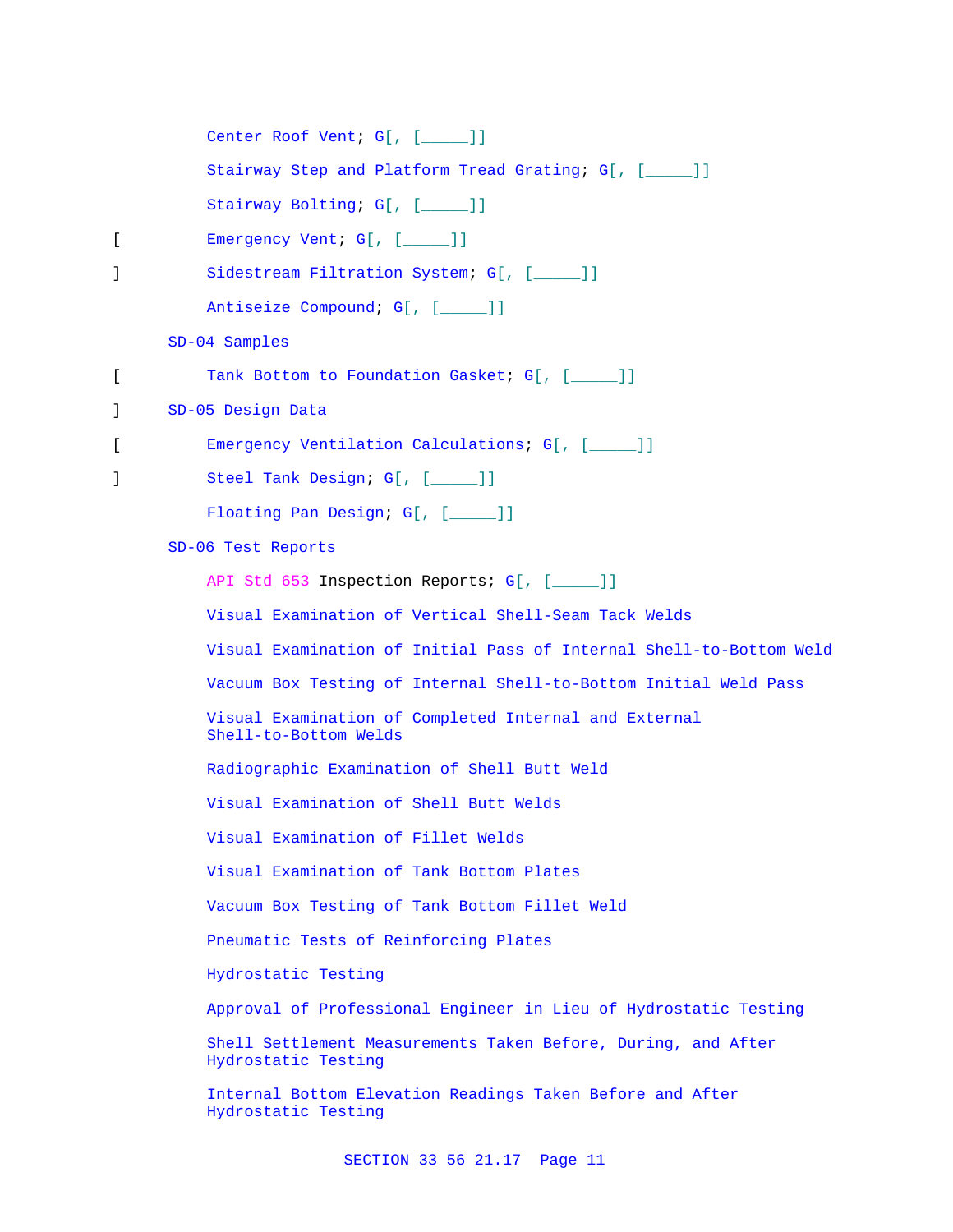|   | Center Roof Vent; G[, [____]]                                                        |
|---|--------------------------------------------------------------------------------------|
|   | Stairway Step and Platform Tread Grating; G[, [_____]]                               |
|   | Stairway Bolting; G[, [_____]]                                                       |
| L | Emergency Vent; G[, [____]]                                                          |
| 1 | Sidestream Filtration System; G[, [____]]                                            |
|   | Antiseize Compound; G[, [____]]                                                      |
|   | SD-04 Samples                                                                        |
| [ | Tank Bottom to Foundation Gasket; G[, [____]]                                        |
| 1 | SD-05 Design Data                                                                    |
| L | Emergency Ventilation Calculations; G[, [____]]                                      |
| 1 | Steel Tank Design; G[, [____]]                                                       |
|   | Floating Pan Design; G[, [____]]                                                     |
|   | SD-06 Test Reports                                                                   |
|   | API Std 653 Inspection Reports; G[, [____]]                                          |
|   | Visual Examination of Vertical Shell-Seam Tack Welds                                 |
|   | Visual Examination of Initial Pass of Internal Shell-to-Bottom Weld                  |
|   | Vacuum Box Testing of Internal Shell-to-Bottom Initial Weld Pass                     |
|   | Visual Examination of Completed Internal and External<br>Shell-to-Bottom Welds       |
|   | Radiographic Examination of Shell Butt Weld                                          |
|   | Visual Examination of Shell Butt Welds                                               |
|   | Visual Examination of Fillet Welds                                                   |
|   | Visual Examination of Tank Bottom Plates                                             |
|   | Vacuum Box Testing of Tank Bottom Fillet Weld                                        |
|   | Pneumatic Tests of Reinforcing Plates                                                |
|   | Hydrostatic Testing                                                                  |
|   | Approval of Professional Engineer in Lieu of Hydrostatic Testing                     |
|   | Shell Settlement Measurements Taken Before, During, and After<br>Hydrostatic Testing |
|   | Internal Bottom Elevation Readings Taken Before and After<br>Hydrostatic Testing     |
|   |                                                                                      |

SECTION 33 56 21.17 Page 11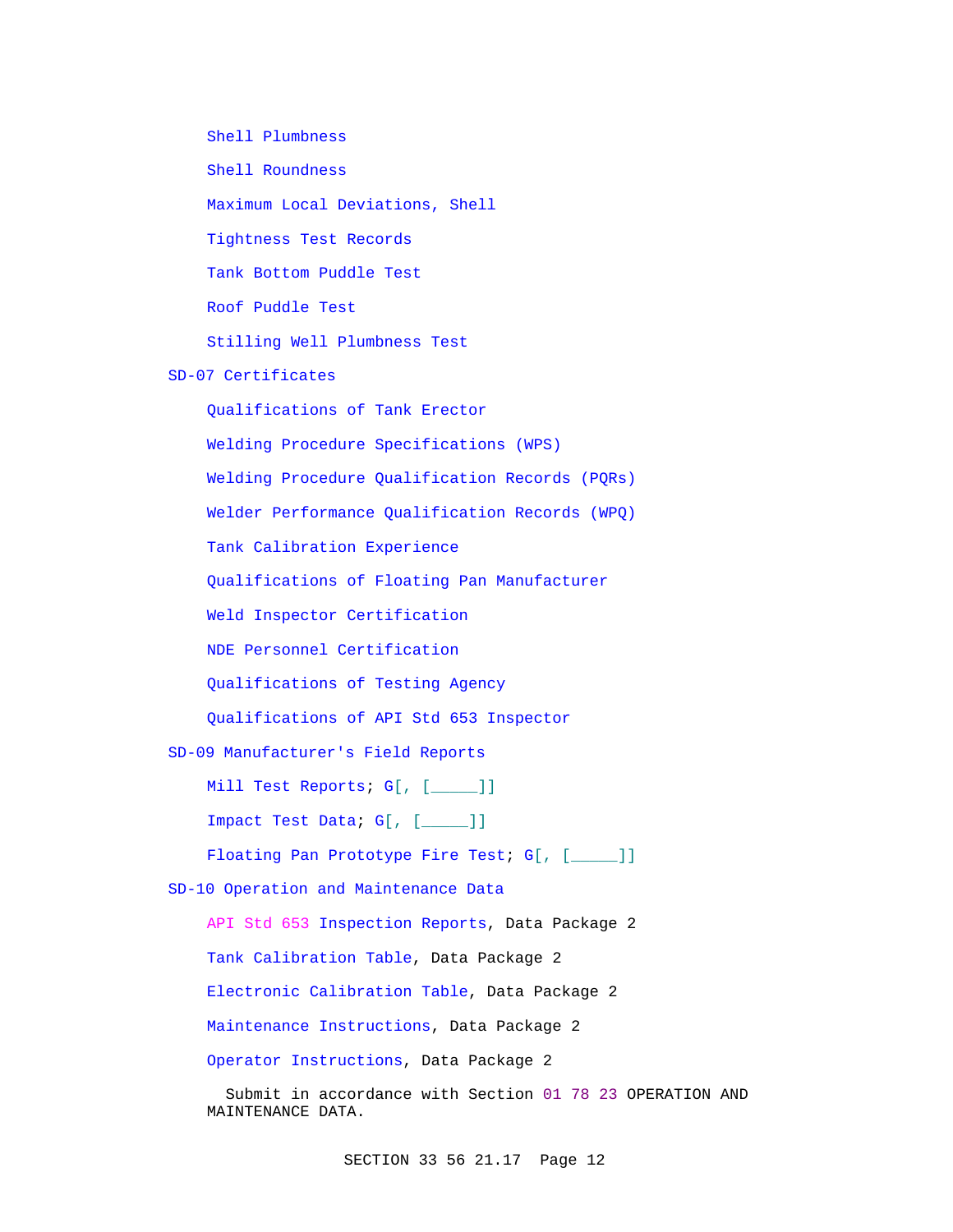Shell Plumbness Shell Roundness Maximum Local Deviations, Shell Tightness Test Records Tank Bottom Puddle Test Roof Puddle Test Stilling Well Plumbness Test

SD-07 Certificates

Qualifications of Tank Erector Welding Procedure Specifications (WPS) Welding Procedure Qualification Records (PQRs) Welder Performance Qualification Records (WPQ) Tank Calibration Experience Qualifications of Floating Pan Manufacturer Weld Inspector Certification NDE Personnel Certification Qualifications of Testing Agency Qualifications of API Std 653 Inspector SD-09 Manufacturer's Field Reports Mill Test Reports; G[, [\_\_\_\_\_]] Impact Test Data; G[, [\_\_\_\_\_]] Floating Pan Prototype Fire Test; G[, [\_\_\_\_]] SD-10 Operation and Maintenance Data

API Std 653 Inspection Reports, Data Package 2 Tank Calibration Table, Data Package 2 Electronic Calibration Table, Data Package 2 Maintenance Instructions, Data Package 2 Operator Instructions, Data Package 2

 Submit in accordance with Section 01 78 23 OPERATION AND MAINTENANCE DATA.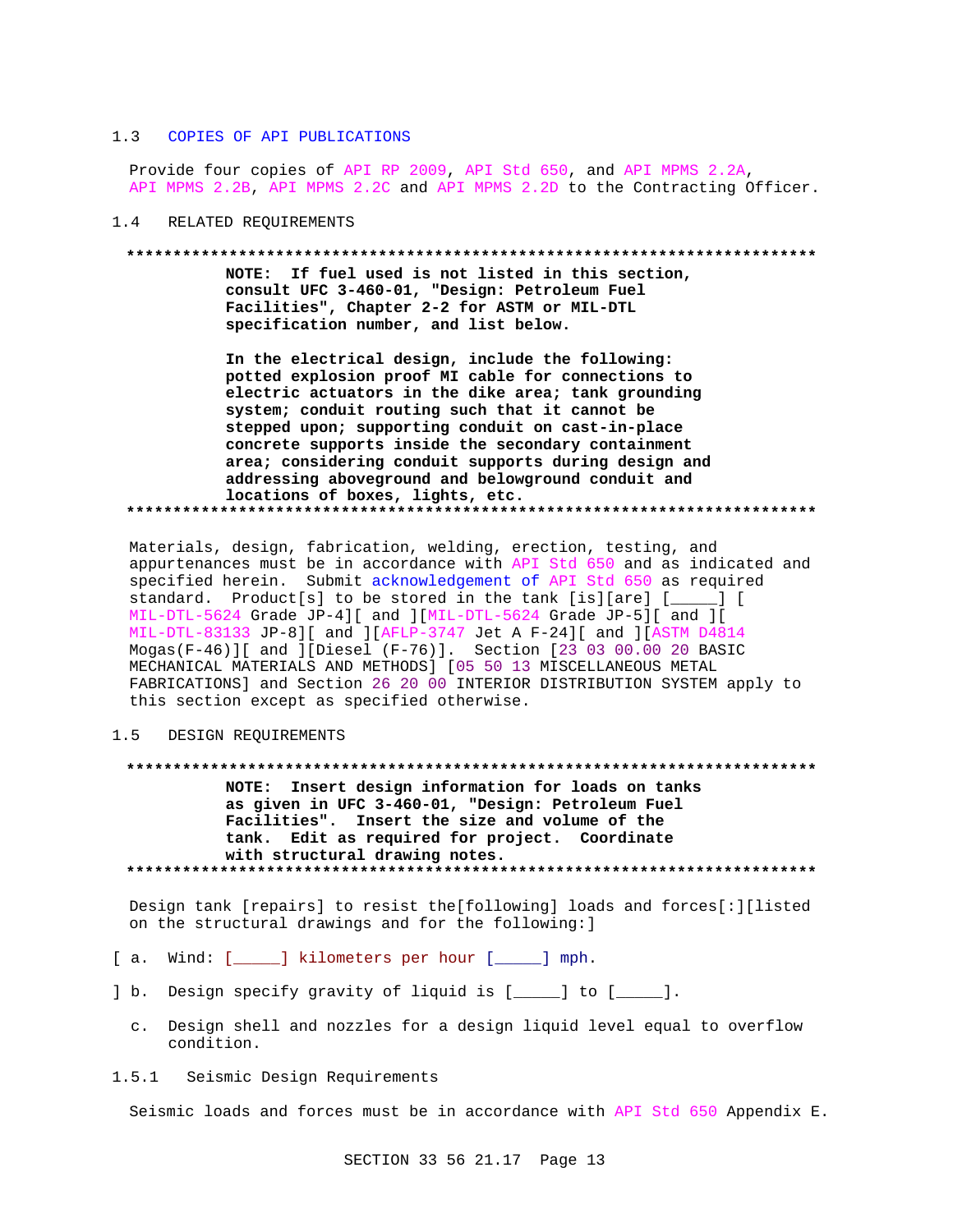#### $1.3$ COPIES OF API PUBLICATIONS

Provide four copies of API RP 2009, API Std 650, and API MPMS 2.2A, API MPMS 2.2B, API MPMS 2.2C and API MPMS 2.2D to the Contracting Officer.

RELATED REOUIREMENTS  $1\quad 4$ 

#### 

NOTE: If fuel used is not listed in this section, consult UFC 3-460-01, "Design: Petroleum Fuel Facilities", Chapter 2-2 for ASTM or MIL-DTL specification number, and list below.

In the electrical design, include the following: potted explosion proof MI cable for connections to electric actuators in the dike area; tank grounding system; conduit routing such that it cannot be stepped upon; supporting conduit on cast-in-place concrete supports inside the secondary containment area; considering conduit supports during design and addressing aboveground and belowground conduit and locations of boxes, lights, etc. 

Materials, design, fabrication, welding, erection, testing, and appurtenances must be in accordance with API Std 650 and as indicated and specified herein. Submit acknowledgement of API Std 650 as required standard. Product[s] to be stored in the tank [is][are] [\_\_\_\_] [ MIL-DTL-5624 Grade JP-4][ and ][MIL-DTL-5624 Grade JP-5][ and ][ MIL-DTL-83133 JP-8][ and ][AFLP-3747 Jet A F-24][ and ][ASTM D4814 Mogas(F-46)][ and ][Diesel (F-76)]. Section [23 03 00.00 20 BASIC MECHANICAL MATERIALS AND METHODS] [05 50 13 MISCELLANEOUS METAL FABRICATIONS] and Section 26 20 00 INTERIOR DISTRIBUTION SYSTEM apply to this section except as specified otherwise.

#### $1.5$ DESIGN REOUIREMENTS

NOTE: Insert design information for loads on tanks as given in UFC 3-460-01, "Design: Petroleum Fuel Facilities". Insert the size and volume of the tank. Edit as required for project. Coordinate with structural drawing notes. 

Design tank [repairs] to resist the[following] loads and forces[:][listed on the structural drawings and for the following: ]

- [a. Wind: [\_\_\_\_\_] kilometers per hour [\_\_\_\_] mph.
- ] b. Design specify gravity of liquid is [\_\_\_\_] to [\_\_\_\_].
	- c. Design shell and nozzles for a design liquid level equal to overflow condition.
- $1.5.1$ Seismic Design Requirements

Seismic loads and forces must be in accordance with API Std 650 Appendix E.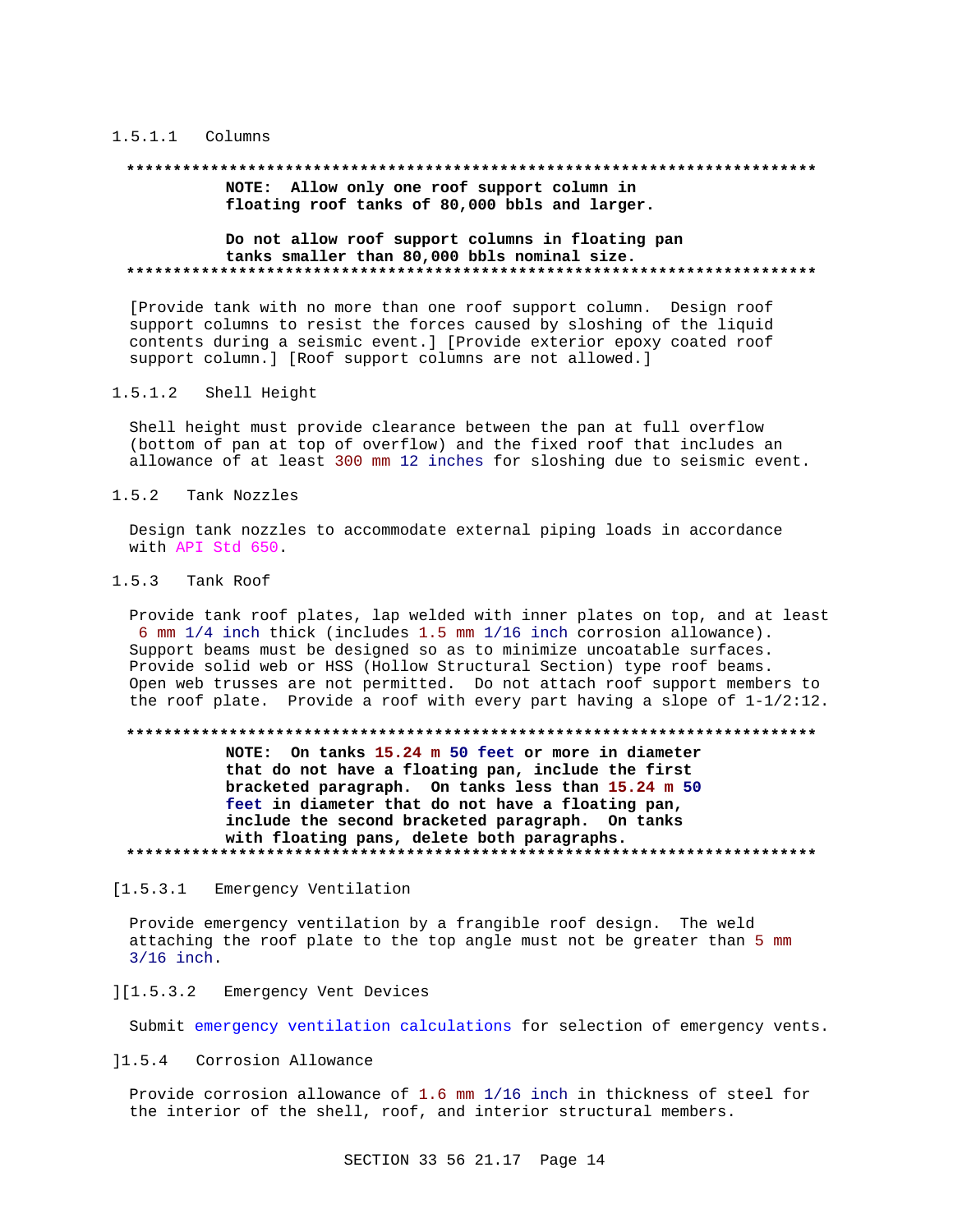### 1.5.1.1 Columns

### **\*\*\*\*\*\*\*\*\*\*\*\*\*\*\*\*\*\*\*\*\*\*\*\*\*\*\*\*\*\*\*\*\*\*\*\*\*\*\*\*\*\*\*\*\*\*\*\*\*\*\*\*\*\*\*\*\*\*\*\*\*\*\*\*\*\*\*\*\*\*\*\*\*\***

**NOTE: Allow only one roof support column in floating roof tanks of 80,000 bbls and larger.**

### **Do not allow roof support columns in floating pan tanks smaller than 80,000 bbls nominal size. \*\*\*\*\*\*\*\*\*\*\*\*\*\*\*\*\*\*\*\*\*\*\*\*\*\*\*\*\*\*\*\*\*\*\*\*\*\*\*\*\*\*\*\*\*\*\*\*\*\*\*\*\*\*\*\*\*\*\*\*\*\*\*\*\*\*\*\*\*\*\*\*\*\***

[Provide tank with no more than one roof support column. Design roof support columns to resist the forces caused by sloshing of the liquid contents during a seismic event.] [Provide exterior epoxy coated roof support column.] [Roof support columns are not allowed.]

### 1.5.1.2 Shell Height

Shell height must provide clearance between the pan at full overflow (bottom of pan at top of overflow) and the fixed roof that includes an allowance of at least 300 mm 12 inches for sloshing due to seismic event.

### 1.5.2 Tank Nozzles

Design tank nozzles to accommodate external piping loads in accordance with API Std 650.

## 1.5.3 Tank Roof

Provide tank roof plates, lap welded with inner plates on top, and at least 6 mm 1/4 inch thick (includes 1.5 mm 1/16 inch corrosion allowance). Support beams must be designed so as to minimize uncoatable surfaces. Provide solid web or HSS (Hollow Structural Section) type roof beams. Open web trusses are not permitted. Do not attach roof support members to the roof plate. Provide a roof with every part having a slope of 1-1/2:12.

#### **\*\*\*\*\*\*\*\*\*\*\*\*\*\*\*\*\*\*\*\*\*\*\*\*\*\*\*\*\*\*\*\*\*\*\*\*\*\*\*\*\*\*\*\*\*\*\*\*\*\*\*\*\*\*\*\*\*\*\*\*\*\*\*\*\*\*\*\*\*\*\*\*\*\***

**NOTE: On tanks 15.24 m 50 feet or more in diameter that do not have a floating pan, include the first bracketed paragraph. On tanks less than 15.24 m 50 feet in diameter that do not have a floating pan, include the second bracketed paragraph. On tanks with floating pans, delete both paragraphs. \*\*\*\*\*\*\*\*\*\*\*\*\*\*\*\*\*\*\*\*\*\*\*\*\*\*\*\*\*\*\*\*\*\*\*\*\*\*\*\*\*\*\*\*\*\*\*\*\*\*\*\*\*\*\*\*\*\*\*\*\*\*\*\*\*\*\*\*\*\*\*\*\*\***

[1.5.3.1 Emergency Ventilation

Provide emergency ventilation by a frangible roof design. The weld attaching the roof plate to the top angle must not be greater than 5 mm 3/16 inch.

## ][1.5.3.2 Emergency Vent Devices

Submit emergency ventilation calculations for selection of emergency vents.

]1.5.4 Corrosion Allowance

Provide corrosion allowance of 1.6 mm 1/16 inch in thickness of steel for the interior of the shell, roof, and interior structural members.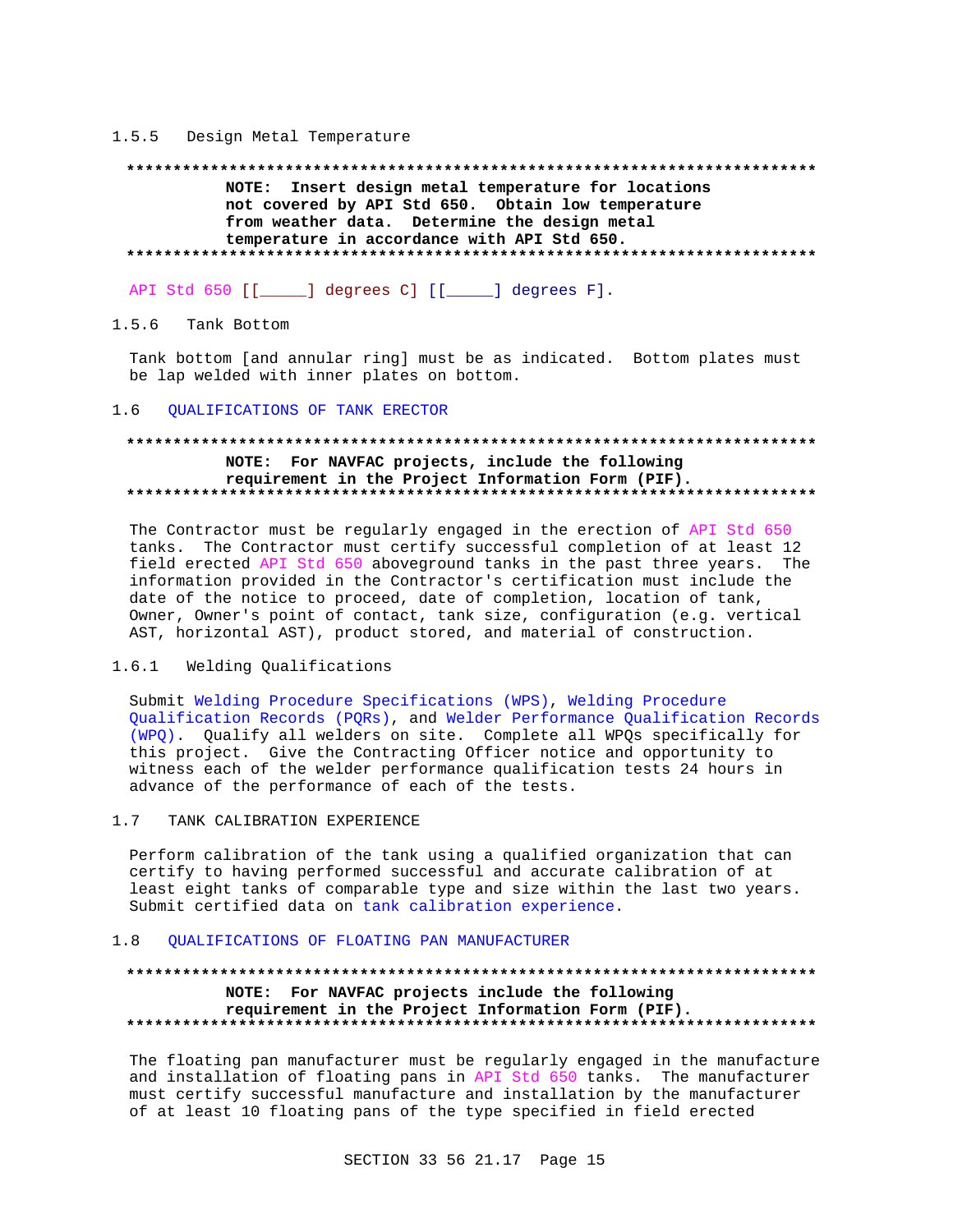### 1.5.5 Design Metal Temperature

### 

NOTE: Insert design metal temperature for locations not covered by API Std 650. Obtain low temperature from weather data. Determine the design metal temperature in accordance with API Std 650. 

API Std 650 [[\_\_\_\_\_] degrees C] [[\_\_\_\_\_] degrees F].

#### $1.5.6$ Tank Bottom

Tank bottom [and annular ring] must be as indicated. Bottom plates must be lap welded with inner plates on bottom.

#### QUALIFICATIONS OF TANK ERECTOR  $1.6$

## NOTE: For NAVFAC projects, include the following requirement in the Project Information Form (PIF).

The Contractor must be regularly engaged in the erection of API Std 650 tanks. The Contractor must certify successful completion of at least 12 field erected API Std 650 aboveground tanks in the past three years. The information provided in the Contractor's certification must include the date of the notice to proceed, date of completion, location of tank, Owner, Owner's point of contact, tank size, configuration (e.g. vertical AST, horizontal AST), product stored, and material of construction.

#### $1.6.1$ Welding Qualifications

Submit Welding Procedure Specifications (WPS), Welding Procedure Qualification Records (PQRs), and Welder Performance Qualification Records (WPQ). Qualify all welders on site. Complete all WPQs specifically for this project. Give the Contracting Officer notice and opportunity to witness each of the welder performance qualification tests 24 hours in advance of the performance of each of the tests.

#### $1.7$ TANK CALIBRATION EXPERIENCE

Perform calibration of the tank using a qualified organization that can certify to having performed successful and accurate calibration of at least eight tanks of comparable type and size within the last two years. Submit certified data on tank calibration experience.

#### OUALIFICATIONS OF FLOATING PAN MANUFACTURER  $1.8$

## NOTE: For NAVFAC projects include the following requirement in the Project Information Form (PIF).

The floating pan manufacturer must be regularly engaged in the manufacture and installation of floating pans in API Std 650 tanks. The manufacturer must certify successful manufacture and installation by the manufacturer of at least 10 floating pans of the type specified in field erected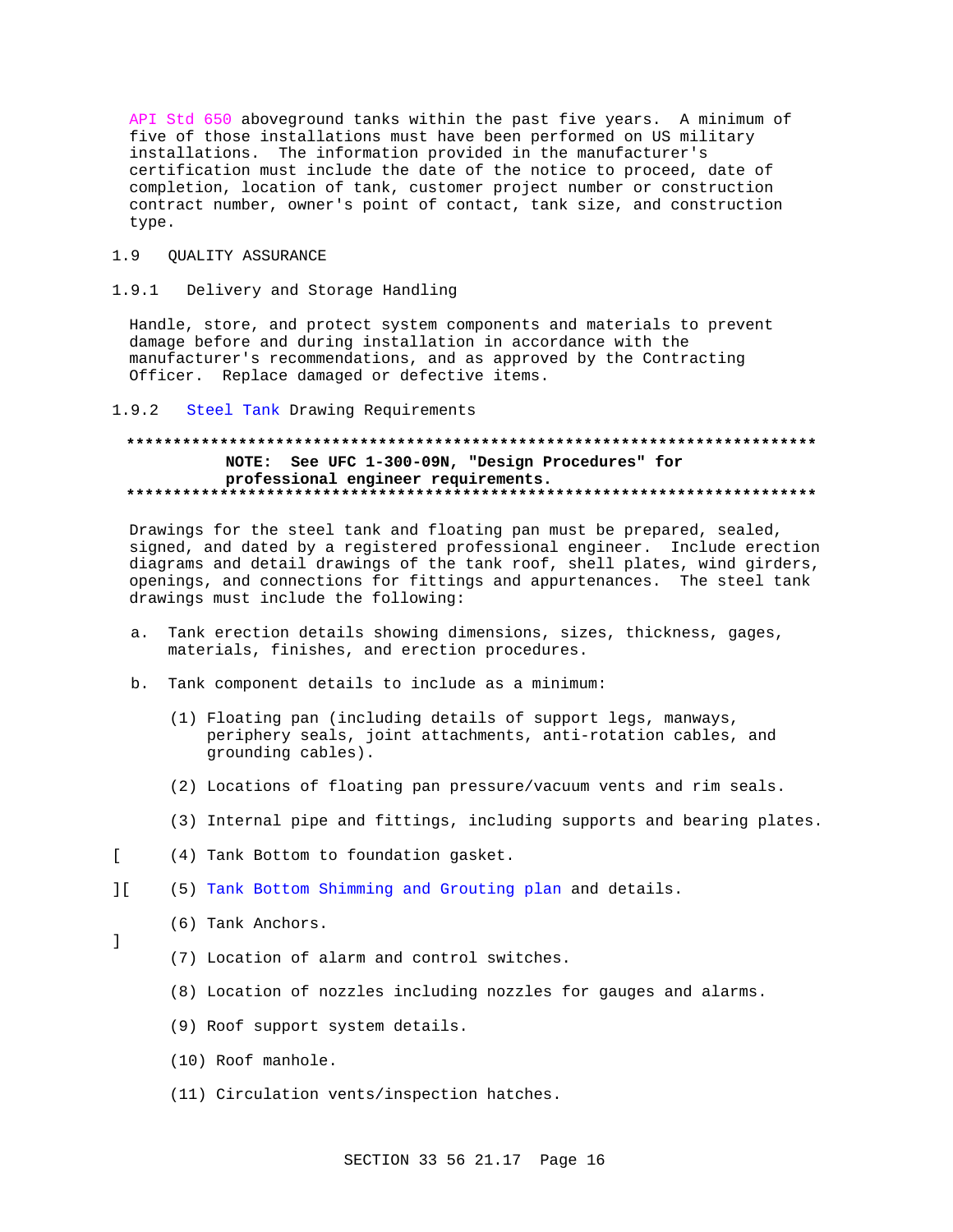API Std 650 aboveground tanks within the past five years. A minimum of five of those installations must have been performed on US military installations. The information provided in the manufacturer's certification must include the date of the notice to proceed, date of completion, location of tank, customer project number or construction contract number, owner's point of contact, tank size, and construction type.

#### $1.9$ QUALITY ASSURANCE

#### $1.9.1$ Delivery and Storage Handling

Handle, store, and protect system components and materials to prevent damage before and during installation in accordance with the manufacturer's recommendations, and as approved by the Contracting Officer. Replace damaged or defective items.

#### $1.9.2$ Steel Tank Drawing Requirements

## NOTE: See UFC 1-300-09N, "Design Procedures" for professional engineer requirements.

Drawings for the steel tank and floating pan must be prepared, sealed, signed, and dated by a registered professional engineer. Include erection diagrams and detail drawings of the tank roof, shell plates, wind girders, openings, and connections for fittings and appurtenances. The steel tank drawings must include the following:

- Tank erection details showing dimensions, sizes, thickness, gages, a. materials, finishes, and erection procedures.
- b. Tank component details to include as a minimum:
	- (1) Floating pan (including details of support legs, manways, periphery seals, joint attachments, anti-rotation cables, and grounding cables).
	- (2) Locations of floating pan pressure/vacuum vents and rim seals.
	- (3) Internal pipe and fittings, including supports and bearing plates.
- $\Gamma$ (4) Tank Bottom to foundation gasket.
- $1<sup>1</sup>$ (5) Tank Bottom Shimming and Grouting plan and details.

## (6) Tank Anchors.

 $\mathbf{1}$ 

- (7) Location of alarm and control switches.
- (8) Location of nozzles including nozzles for gauges and alarms.
- (9) Roof support system details.
- (10) Roof manhole.
- (11) Circulation vents/inspection hatches.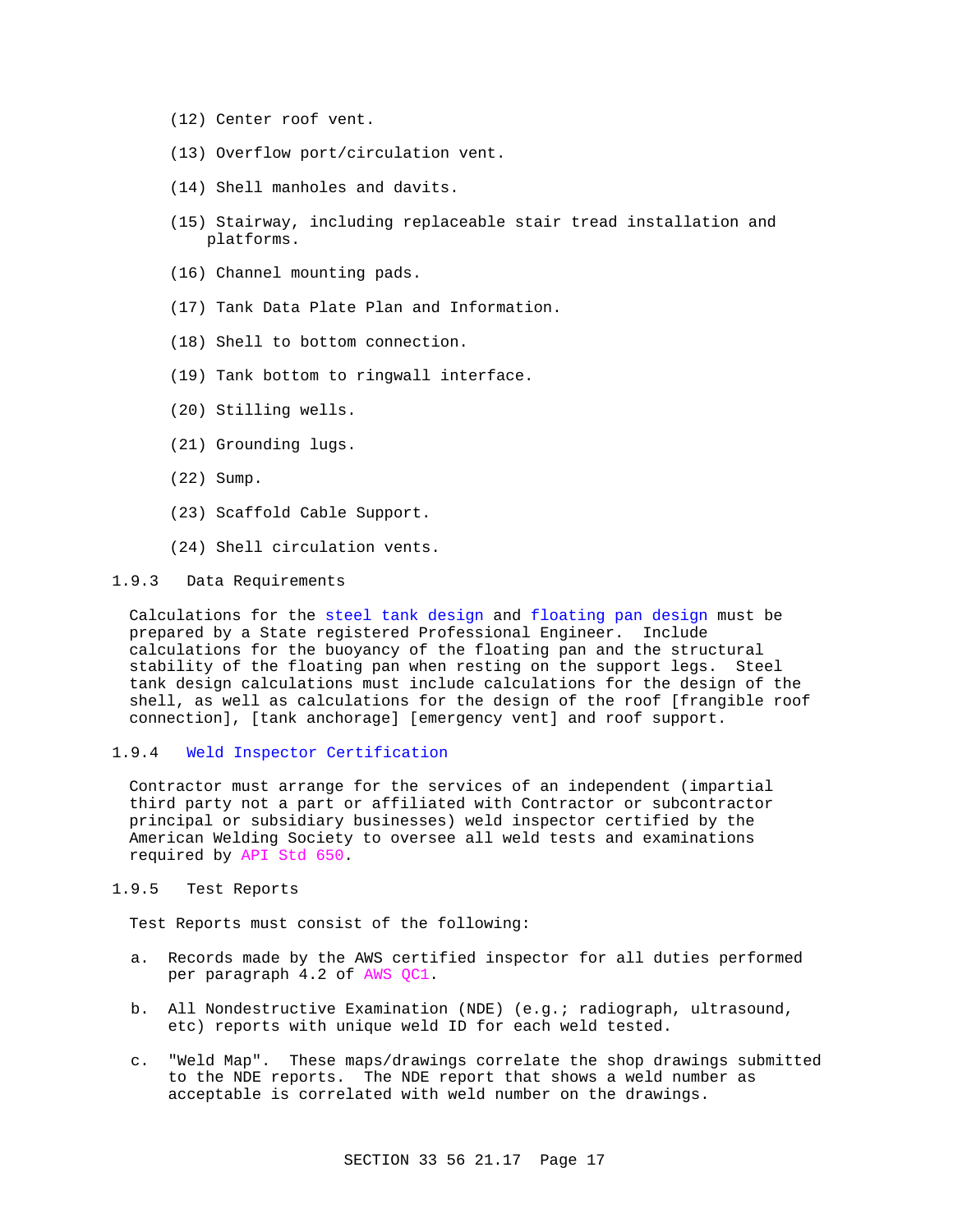- (12) Center roof vent.
- (13) Overflow port/circulation vent.
- (14) Shell manholes and davits.
- (15) Stairway, including replaceable stair tread installation and platforms.
- (16) Channel mounting pads.
- (17) Tank Data Plate Plan and Information.
- (18) Shell to bottom connection.
- (19) Tank bottom to ringwall interface.
- (20) Stilling wells.
- (21) Grounding lugs.
- (22) Sump.
- (23) Scaffold Cable Support.
- (24) Shell circulation vents.

## 1.9.3 Data Requirements

Calculations for the steel tank design and floating pan design must be prepared by a State registered Professional Engineer. Include calculations for the buoyancy of the floating pan and the structural stability of the floating pan when resting on the support legs. Steel tank design calculations must include calculations for the design of the shell, as well as calculations for the design of the roof [frangible roof connection], [tank anchorage] [emergency vent] and roof support.

## 1.9.4 Weld Inspector Certification

Contractor must arrange for the services of an independent (impartial third party not a part or affiliated with Contractor or subcontractor principal or subsidiary businesses) weld inspector certified by the American Welding Society to oversee all weld tests and examinations required by API Std 650.

## 1.9.5 Test Reports

Test Reports must consist of the following:

- a. Records made by the AWS certified inspector for all duties performed per paragraph 4.2 of AWS QC1.
- b. All Nondestructive Examination (NDE) (e.g.; radiograph, ultrasound, etc) reports with unique weld ID for each weld tested.
- c. "Weld Map". These maps/drawings correlate the shop drawings submitted to the NDE reports. The NDE report that shows a weld number as acceptable is correlated with weld number on the drawings.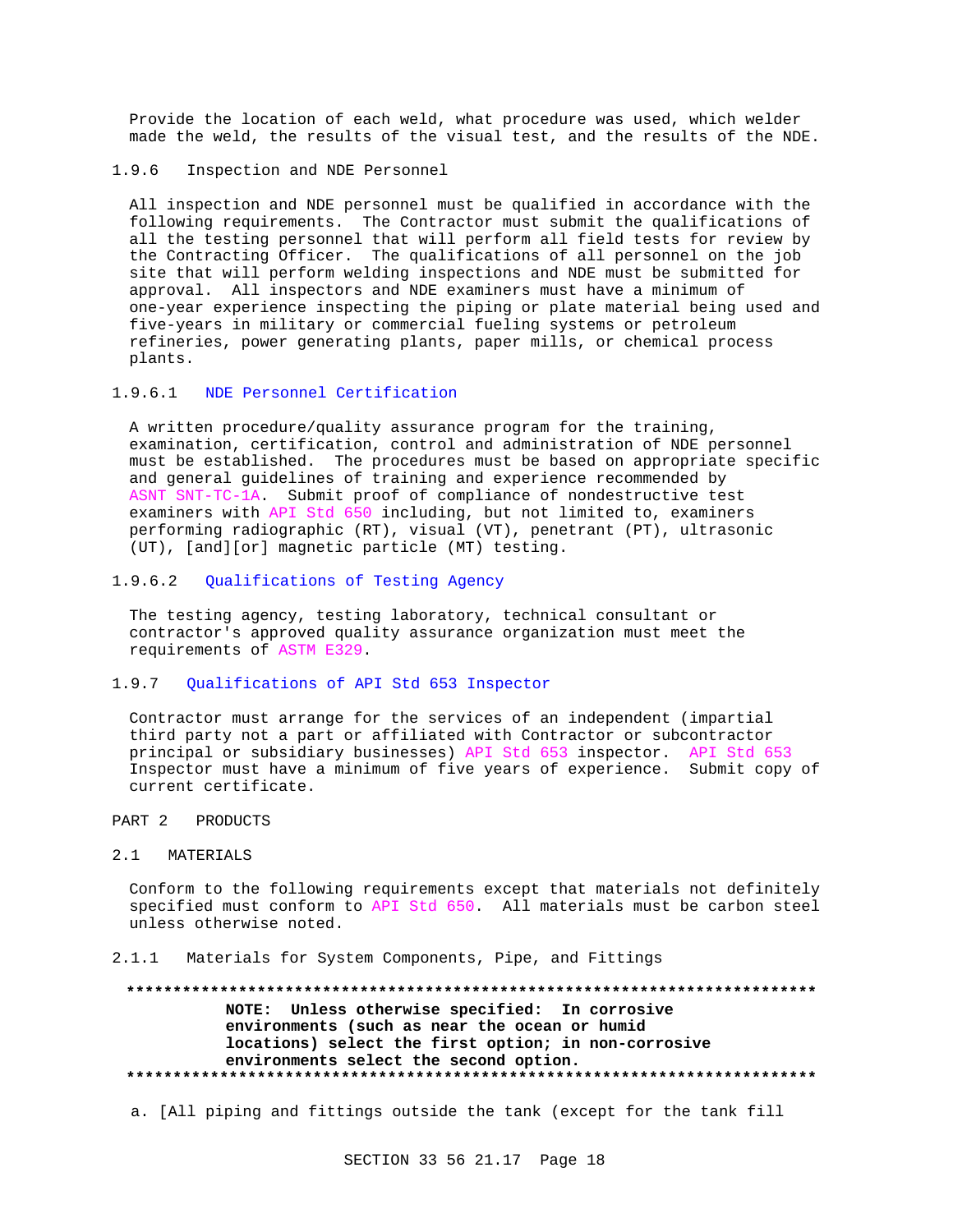Provide the location of each weld, what procedure was used, which welder made the weld, the results of the visual test, and the results of the NDE.

1.9.6 Inspection and NDE Personnel

All inspection and NDE personnel must be qualified in accordance with the following requirements. The Contractor must submit the qualifications of all the testing personnel that will perform all field tests for review by the Contracting Officer. The qualifications of all personnel on the job site that will perform welding inspections and NDE must be submitted for approval. All inspectors and NDE examiners must have a minimum of one-year experience inspecting the piping or plate material being used and five-years in military or commercial fueling systems or petroleum refineries, power generating plants, paper mills, or chemical process plants.

### 1.9.6.1 NDE Personnel Certification

A written procedure/quality assurance program for the training, examination, certification, control and administration of NDE personnel must be established. The procedures must be based on appropriate specific and general guidelines of training and experience recommended by ASNT SNT-TC-1A. Submit proof of compliance of nondestructive test examiners with API Std 650 including, but not limited to, examiners performing radiographic (RT), visual (VT), penetrant (PT), ultrasonic (UT), [and][or] magnetic particle (MT) testing.

## 1.9.6.2 Qualifications of Testing Agency

The testing agency, testing laboratory, technical consultant or contractor's approved quality assurance organization must meet the requirements of ASTM E329.

## 1.9.7 Qualifications of API Std 653 Inspector

Contractor must arrange for the services of an independent (impartial third party not a part or affiliated with Contractor or subcontractor principal or subsidiary businesses) API Std 653 inspector. API Std 653 Inspector must have a minimum of five years of experience. Submit copy of current certificate.

### PART 2 PRODUCTS

### 2.1 MATERIALS

Conform to the following requirements except that materials not definitely specified must conform to API Std 650. All materials must be carbon steel unless otherwise noted.

### 2.1.1 Materials for System Components, Pipe, and Fittings

## **\*\*\*\*\*\*\*\*\*\*\*\*\*\*\*\*\*\*\*\*\*\*\*\*\*\*\*\*\*\*\*\*\*\*\*\*\*\*\*\*\*\*\*\*\*\*\*\*\*\*\*\*\*\*\*\*\*\*\*\*\*\*\*\*\*\*\*\*\*\*\*\*\*\* NOTE: Unless otherwise specified: In corrosive environments (such as near the ocean or humid locations) select the first option; in non-corrosive environments select the second option. \*\*\*\*\*\*\*\*\*\*\*\*\*\*\*\*\*\*\*\*\*\*\*\*\*\*\*\*\*\*\*\*\*\*\*\*\*\*\*\*\*\*\*\*\*\*\*\*\*\*\*\*\*\*\*\*\*\*\*\*\*\*\*\*\*\*\*\*\*\*\*\*\*\***

a. [All piping and fittings outside the tank (except for the tank fill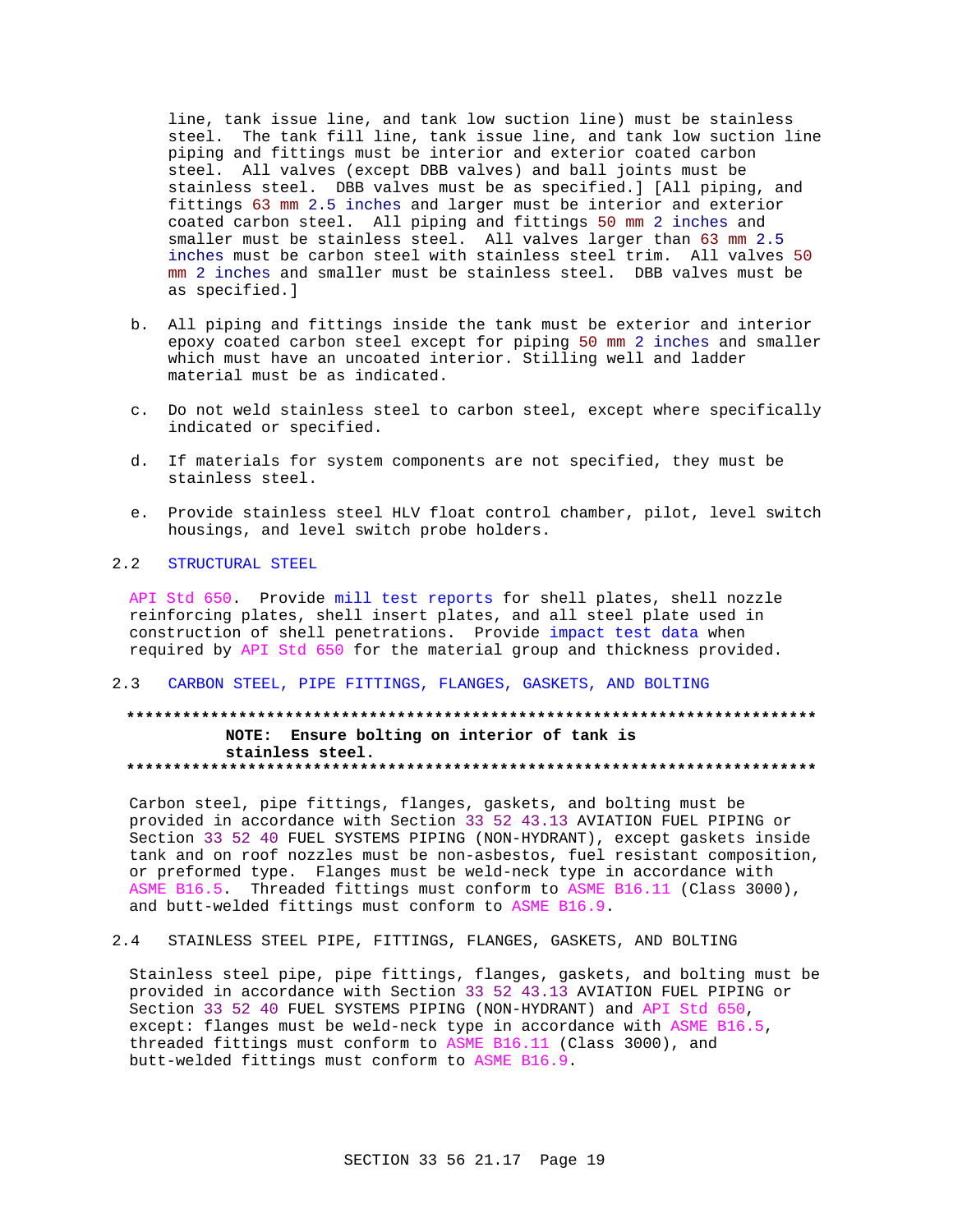line, tank issue line, and tank low suction line) must be stainless steel. The tank fill line, tank issue line, and tank low suction line piping and fittings must be interior and exterior coated carbon steel. All valves (except DBB valves) and ball joints must be stainless steel. DBB valves must be as specified. ] [All piping, and fittings 63 mm 2.5 inches and larger must be interior and exterior coated carbon steel. All piping and fittings 50 mm 2 inches and smaller must be stainless steel. All valves larger than 63 mm 2.5 inches must be carbon steel with stainless steel trim. All valves 50 mm 2 inches and smaller must be stainless steel. DBB valves must be as specified.]

- b. All piping and fittings inside the tank must be exterior and interior epoxy coated carbon steel except for piping 50 mm 2 inches and smaller which must have an uncoated interior. Stilling well and ladder material must be as indicated.
- c. Do not weld stainless steel to carbon steel, except where specifically indicated or specified.
- d. If materials for system components are not specified, they must be stainless steel.
- e. Provide stainless steel HLV float control chamber, pilot, level switch housings, and level switch probe holders.

#### $2.2$ STRUCTURAL STEEL

API Std 650. Provide mill test reports for shell plates, shell nozzle reinforcing plates, shell insert plates, and all steel plate used in construction of shell penetrations. Provide impact test data when required by API Std 650 for the material group and thickness provided.

### 2.3 CARBON STEEL, PIPE FITTINGS, FLANGES, GASKETS, AND BOLTING

## NOTE: Ensure bolting on interior of tank is stainless steel.

Carbon steel, pipe fittings, flanges, gaskets, and bolting must be provided in accordance with Section 33 52 43.13 AVIATION FUEL PIPING or Section 33 52 40 FUEL SYSTEMS PIPING (NON-HYDRANT), except gaskets inside tank and on roof nozzles must be non-asbestos, fuel resistant composition, or preformed type. Flanges must be weld-neck type in accordance with ASME B16.5. Threaded fittings must conform to ASME B16.11 (Class 3000), and butt-welded fittings must conform to ASME B16.9.

 $2.4$ STAINLESS STEEL PIPE, FITTINGS, FLANGES, GASKETS, AND BOLTING

Stainless steel pipe, pipe fittings, flanges, gaskets, and bolting must be provided in accordance with Section 33 52 43.13 AVIATION FUEL PIPING or Section 33 52 40 FUEL SYSTEMS PIPING (NON-HYDRANT) and API Std 650, except: flanges must be weld-neck type in accordance with ASME B16.5, threaded fittings must conform to ASME B16.11 (Class 3000), and butt-welded fittings must conform to ASME B16.9.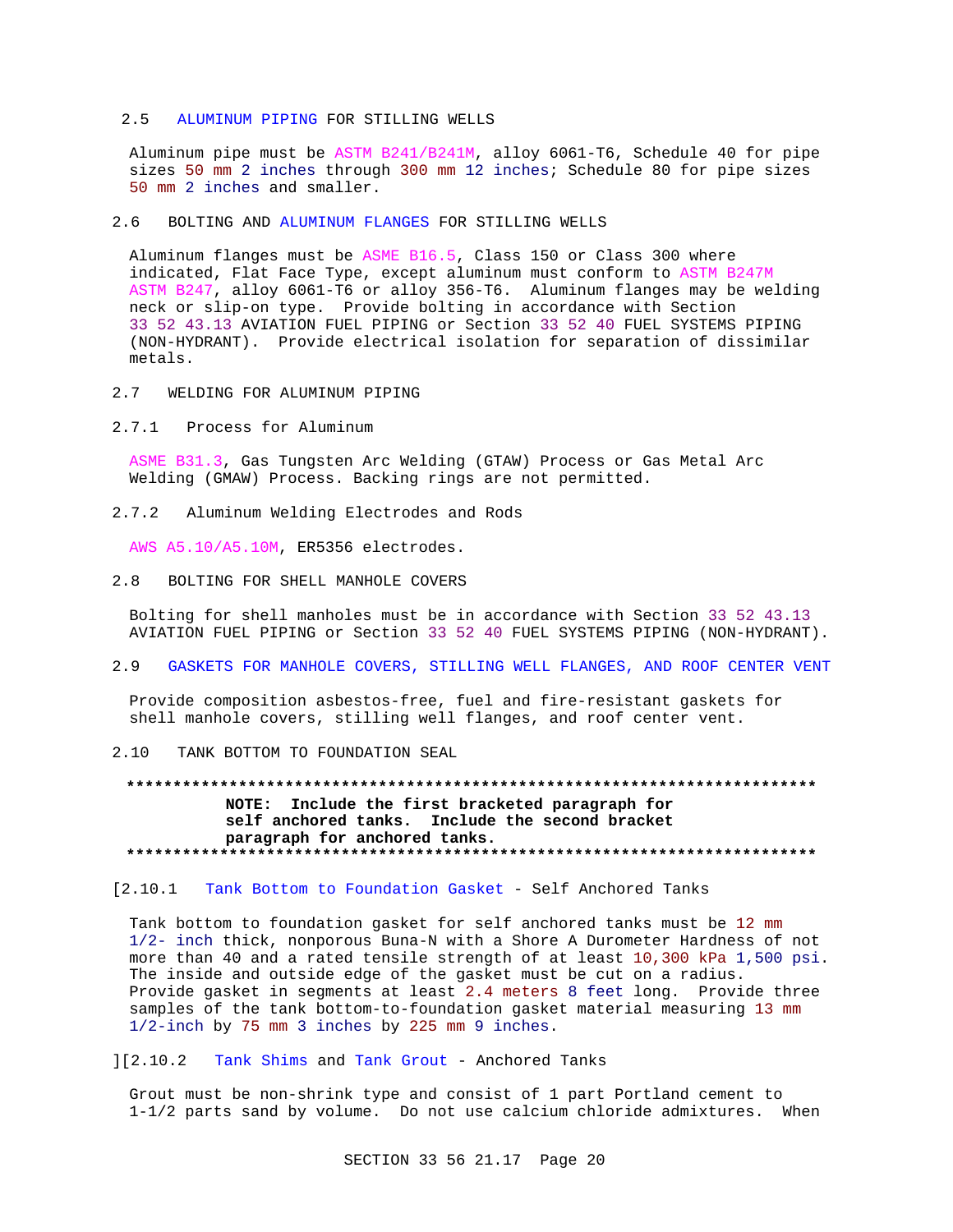### 2.5 ALUMINUM PIPING FOR STILLING WELLS

Aluminum pipe must be ASTM B241/B241M, alloy 6061-T6, Schedule 40 for pipe sizes 50 mm 2 inches through 300 mm 12 inches; Schedule 80 for pipe sizes 50 mm 2 inches and smaller.

#### 2.6 BOLTING AND ALUMINUM FLANGES FOR STILLING WELLS

Aluminum flanges must be ASME B16.5, Class 150 or Class 300 where indicated, Flat Face Type, except aluminum must conform to ASTM B247M ASTM B247, alloy 6061-T6 or alloy 356-T6. Aluminum flanges may be welding neck or slip-on type. Provide bolting in accordance with Section 33 52 43.13 AVIATION FUEL PIPING or Section 33 52 40 FUEL SYSTEMS PIPING (NON-HYDRANT). Provide electrical isolation for separation of dissimilar metals.

- 2.7 WELDING FOR ALUMINUM PIPING
- 2.7.1 Process for Aluminum

ASME B31.3, Gas Tungsten Arc Welding (GTAW) Process or Gas Metal Arc Welding (GMAW) Process. Backing rings are not permitted.

2.7.2 Aluminum Welding Electrodes and Rods

AWS A5.10/A5.10M, ER5356 electrodes.

2.8 BOLTING FOR SHELL MANHOLE COVERS

Bolting for shell manholes must be in accordance with Section 33 52 43.13 AVIATION FUEL PIPING or Section 33 52 40 FUEL SYSTEMS PIPING (NON-HYDRANT).

## 2.9 GASKETS FOR MANHOLE COVERS, STILLING WELL FLANGES, AND ROOF CENTER VENT

Provide composition asbestos-free, fuel and fire-resistant gaskets for shell manhole covers, stilling well flanges, and roof center vent.

2.10 TANK BOTTOM TO FOUNDATION SEAL

## **\*\*\*\*\*\*\*\*\*\*\*\*\*\*\*\*\*\*\*\*\*\*\*\*\*\*\*\*\*\*\*\*\*\*\*\*\*\*\*\*\*\*\*\*\*\*\*\*\*\*\*\*\*\*\*\*\*\*\*\*\*\*\*\*\*\*\*\*\*\*\*\*\*\* NOTE: Include the first bracketed paragraph for self anchored tanks. Include the second bracket paragraph for anchored tanks. \*\*\*\*\*\*\*\*\*\*\*\*\*\*\*\*\*\*\*\*\*\*\*\*\*\*\*\*\*\*\*\*\*\*\*\*\*\*\*\*\*\*\*\*\*\*\*\*\*\*\*\*\*\*\*\*\*\*\*\*\*\*\*\*\*\*\*\*\*\*\*\*\*\***

## [2.10.1 Tank Bottom to Foundation Gasket - Self Anchored Tanks

Tank bottom to foundation gasket for self anchored tanks must be 12 mm 1/2- inch thick, nonporous Buna-N with a Shore A Durometer Hardness of not more than 40 and a rated tensile strength of at least 10,300 kPa 1,500 psi. The inside and outside edge of the gasket must be cut on a radius. Provide gasket in segments at least 2.4 meters 8 feet long. Provide three samples of the tank bottom-to-foundation gasket material measuring 13 mm 1/2-inch by 75 mm 3 inches by 225 mm 9 inches.

][2.10.2 Tank Shims and Tank Grout - Anchored Tanks

Grout must be non-shrink type and consist of 1 part Portland cement to 1-1/2 parts sand by volume. Do not use calcium chloride admixtures. When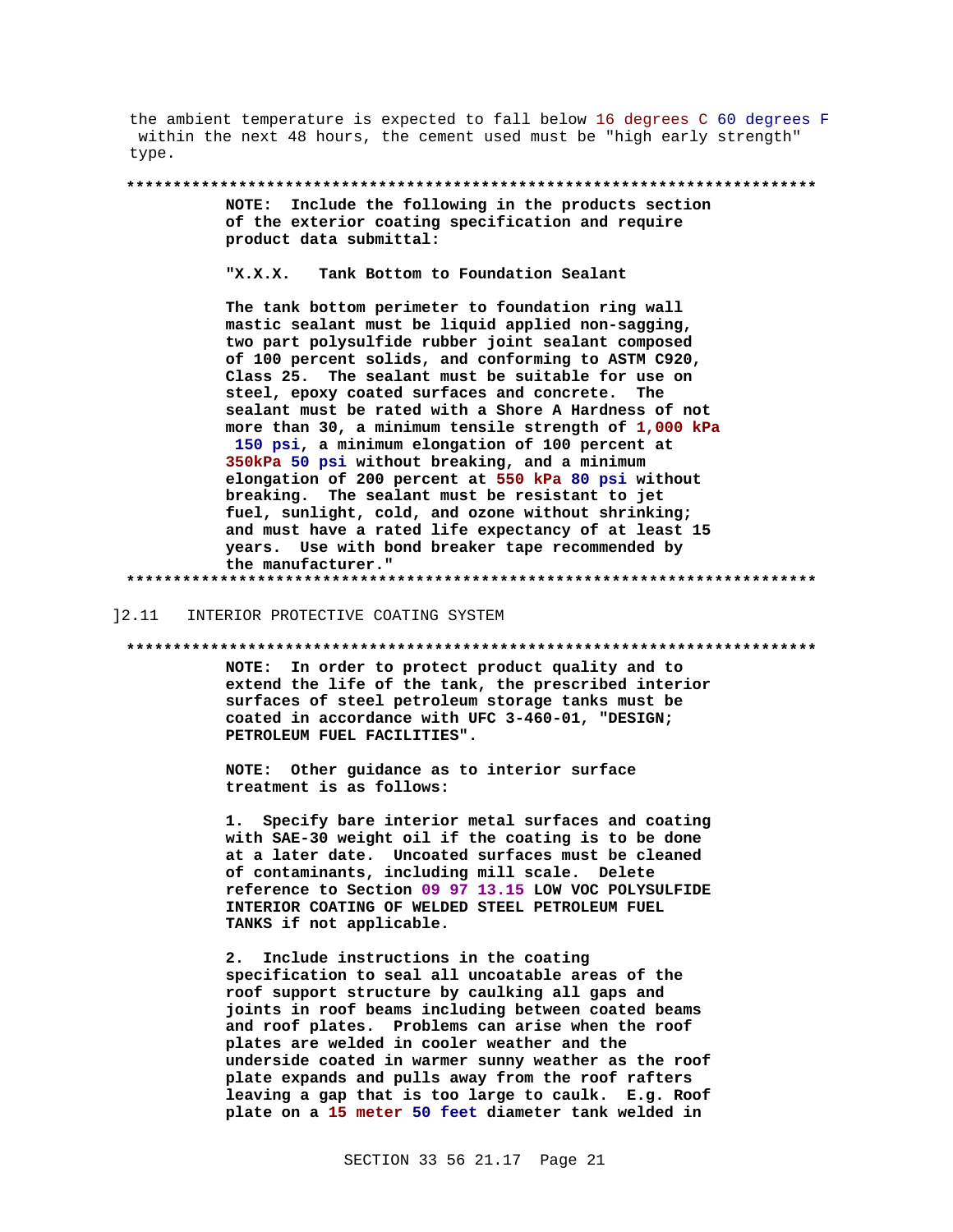the ambient temperature is expected to fall below 16 degrees C 60 degrees F within the next 48 hours, the cement used must be "high early strength" type.

NOTE: Include the following in the products section of the exterior coating specification and require product data submittal:

 $"X.X.X.$ Tank Bottom to Foundation Sealant

The tank bottom perimeter to foundation ring wall mastic sealant must be liquid applied non-sagging, two part polysulfide rubber joint sealant composed of 100 percent solids, and conforming to ASTM C920, Class 25. The sealant must be suitable for use on steel, epoxy coated surfaces and concrete. The sealant must be rated with a Shore A Hardness of not more than 30, a minimum tensile strength of 1,000 kPa 150 psi, a minimum elongation of 100 percent at 350kPa 50 psi without breaking, and a minimum elongation of 200 percent at 550 kPa 80 psi without breaking. The sealant must be resistant to jet fuel, sunlight, cold, and ozone without shrinking; and must have a rated life expectancy of at least 15 years. Use with bond breaker tape recommended by the manufacturer." 

#### INTERIOR PROTECTIVE COATING SYSTEM 12.11

NOTE: In order to protect product quality and to extend the life of the tank, the prescribed interior surfaces of steel petroleum storage tanks must be coated in accordance with UFC 3-460-01, "DESIGN; PETROLEUM FUEL FACILITIES".

NOTE: Other guidance as to interior surface treatment is as follows:

Specify bare interior metal surfaces and coating 1. with SAE-30 weight oil if the coating is to be done at a later date. Uncoated surfaces must be cleaned of contaminants, including mill scale. Delete reference to Section 09 97 13.15 LOW VOC POLYSULFIDE INTERIOR COATING OF WELDED STEEL PETROLEUM FUEL TANKS if not applicable.

Include instructions in the coating  $2.$ specification to seal all uncoatable areas of the roof support structure by caulking all gaps and joints in roof beams including between coated beams and roof plates. Problems can arise when the roof plates are welded in cooler weather and the underside coated in warmer sunny weather as the roof plate expands and pulls away from the roof rafters leaving a gap that is too large to caulk. E.g. Roof plate on a 15 meter 50 feet diameter tank welded in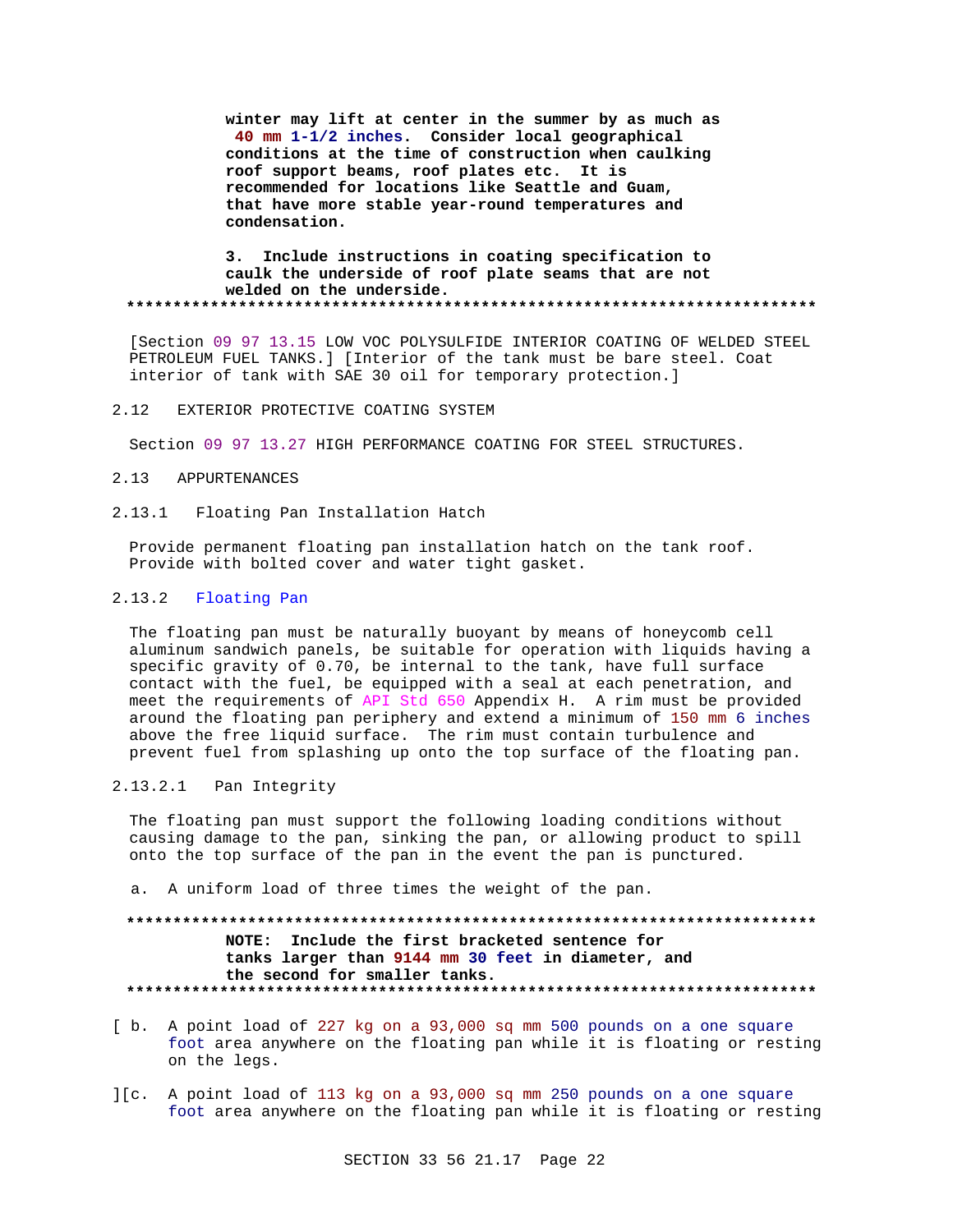**winter may lift at center in the summer by as much as 40 mm 1-1/2 inches. Consider local geographical conditions at the time of construction when caulking roof support beams, roof plates etc. It is recommended for locations like Seattle and Guam, that have more stable year-round temperatures and condensation.**

### **3. Include instructions in coating specification to caulk the underside of roof plate seams that are not welded on the underside. \*\*\*\*\*\*\*\*\*\*\*\*\*\*\*\*\*\*\*\*\*\*\*\*\*\*\*\*\*\*\*\*\*\*\*\*\*\*\*\*\*\*\*\*\*\*\*\*\*\*\*\*\*\*\*\*\*\*\*\*\*\*\*\*\*\*\*\*\*\*\*\*\*\***

[Section 09 97 13.15 LOW VOC POLYSULFIDE INTERIOR COATING OF WELDED STEEL PETROLEUM FUEL TANKS.] [Interior of the tank must be bare steel. Coat interior of tank with SAE 30 oil for temporary protection.]

### 2.12 EXTERIOR PROTECTIVE COATING SYSTEM

Section 09 97 13.27 HIGH PERFORMANCE COATING FOR STEEL STRUCTURES.

### 2.13 APPURTENANCES

2.13.1 Floating Pan Installation Hatch

Provide permanent floating pan installation hatch on the tank roof. Provide with bolted cover and water tight gasket.

## 2.13.2 Floating Pan

The floating pan must be naturally buoyant by means of honeycomb cell aluminum sandwich panels, be suitable for operation with liquids having a specific gravity of 0.70, be internal to the tank, have full surface contact with the fuel, be equipped with a seal at each penetration, and meet the requirements of API Std 650 Appendix H. A rim must be provided around the floating pan periphery and extend a minimum of 150 mm 6 inches above the free liquid surface. The rim must contain turbulence and prevent fuel from splashing up onto the top surface of the floating pan.

## 2.13.2.1 Pan Integrity

The floating pan must support the following loading conditions without causing damage to the pan, sinking the pan, or allowing product to spill onto the top surface of the pan in the event the pan is punctured.

a. A uniform load of three times the weight of the pan.

## **\*\*\*\*\*\*\*\*\*\*\*\*\*\*\*\*\*\*\*\*\*\*\*\*\*\*\*\*\*\*\*\*\*\*\*\*\*\*\*\*\*\*\*\*\*\*\*\*\*\*\*\*\*\*\*\*\*\*\*\*\*\*\*\*\*\*\*\*\*\*\*\*\*\* NOTE: Include the first bracketed sentence for tanks larger than 9144 mm 30 feet in diameter, and the second for smaller tanks. \*\*\*\*\*\*\*\*\*\*\*\*\*\*\*\*\*\*\*\*\*\*\*\*\*\*\*\*\*\*\*\*\*\*\*\*\*\*\*\*\*\*\*\*\*\*\*\*\*\*\*\*\*\*\*\*\*\*\*\*\*\*\*\*\*\*\*\*\*\*\*\*\*\***

- [ b. A point load of 227 kg on a 93,000 sq mm 500 pounds on a one square foot area anywhere on the floating pan while it is floating or resting on the legs.
- ][c. A point load of 113 kg on a 93,000 sq mm 250 pounds on a one square foot area anywhere on the floating pan while it is floating or resting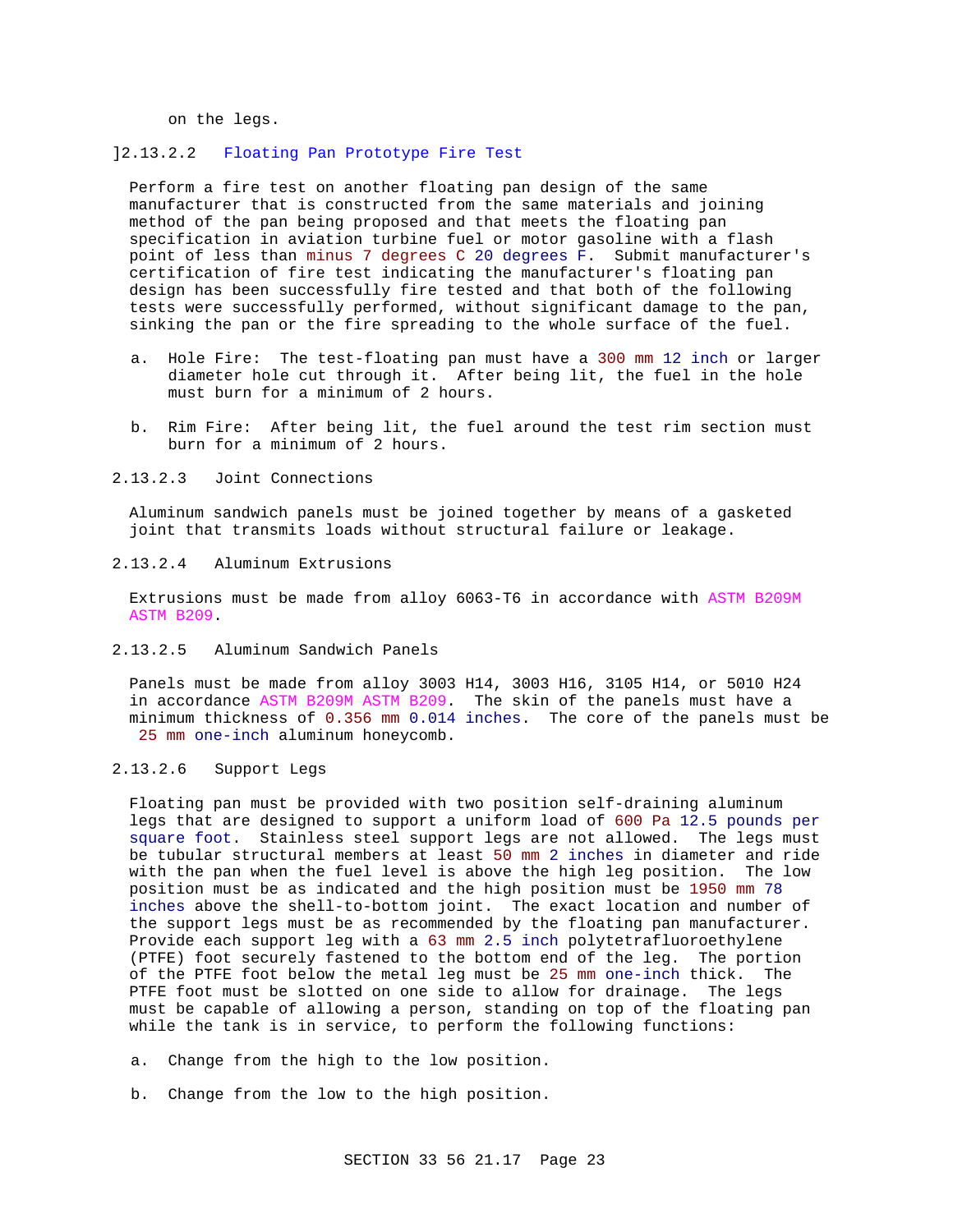on the legs.

### ]2.13.2.2 Floating Pan Prototype Fire Test

Perform a fire test on another floating pan design of the same manufacturer that is constructed from the same materials and joining method of the pan being proposed and that meets the floating pan specification in aviation turbine fuel or motor gasoline with a flash point of less than minus 7 degrees C 20 degrees F. Submit manufacturer's certification of fire test indicating the manufacturer's floating pan design has been successfully fire tested and that both of the following tests were successfully performed, without significant damage to the pan, sinking the pan or the fire spreading to the whole surface of the fuel.

- a. Hole Fire: The test-floating pan must have a 300 mm 12 inch or larger diameter hole cut through it. After being lit, the fuel in the hole must burn for a minimum of 2 hours.
- b. Rim Fire: After being lit, the fuel around the test rim section must burn for a minimum of 2 hours.

2.13.2.3 Joint Connections

Aluminum sandwich panels must be joined together by means of a gasketed joint that transmits loads without structural failure or leakage.

## 2.13.2.4 Aluminum Extrusions

Extrusions must be made from alloy 6063-T6 in accordance with ASTM B209M ASTM B209.

2.13.2.5 Aluminum Sandwich Panels

Panels must be made from alloy 3003 H14, 3003 H16, 3105 H14, or 5010 H24 in accordance ASTM B209M ASTM B209. The skin of the panels must have a minimum thickness of 0.356 mm 0.014 inches. The core of the panels must be 25 mm one-inch aluminum honeycomb.

2.13.2.6 Support Legs

Floating pan must be provided with two position self-draining aluminum legs that are designed to support a uniform load of 600 Pa 12.5 pounds per square foot. Stainless steel support legs are not allowed. The legs must be tubular structural members at least 50 mm 2 inches in diameter and ride with the pan when the fuel level is above the high leg position. The low position must be as indicated and the high position must be 1950 mm 78 inches above the shell-to-bottom joint. The exact location and number of the support legs must be as recommended by the floating pan manufacturer. Provide each support leg with a 63 mm 2.5 inch polytetrafluoroethylene (PTFE) foot securely fastened to the bottom end of the leg. The portion of the PTFE foot below the metal leg must be 25 mm one-inch thick. The PTFE foot must be slotted on one side to allow for drainage. The legs must be capable of allowing a person, standing on top of the floating pan while the tank is in service, to perform the following functions:

- a. Change from the high to the low position.
- b. Change from the low to the high position.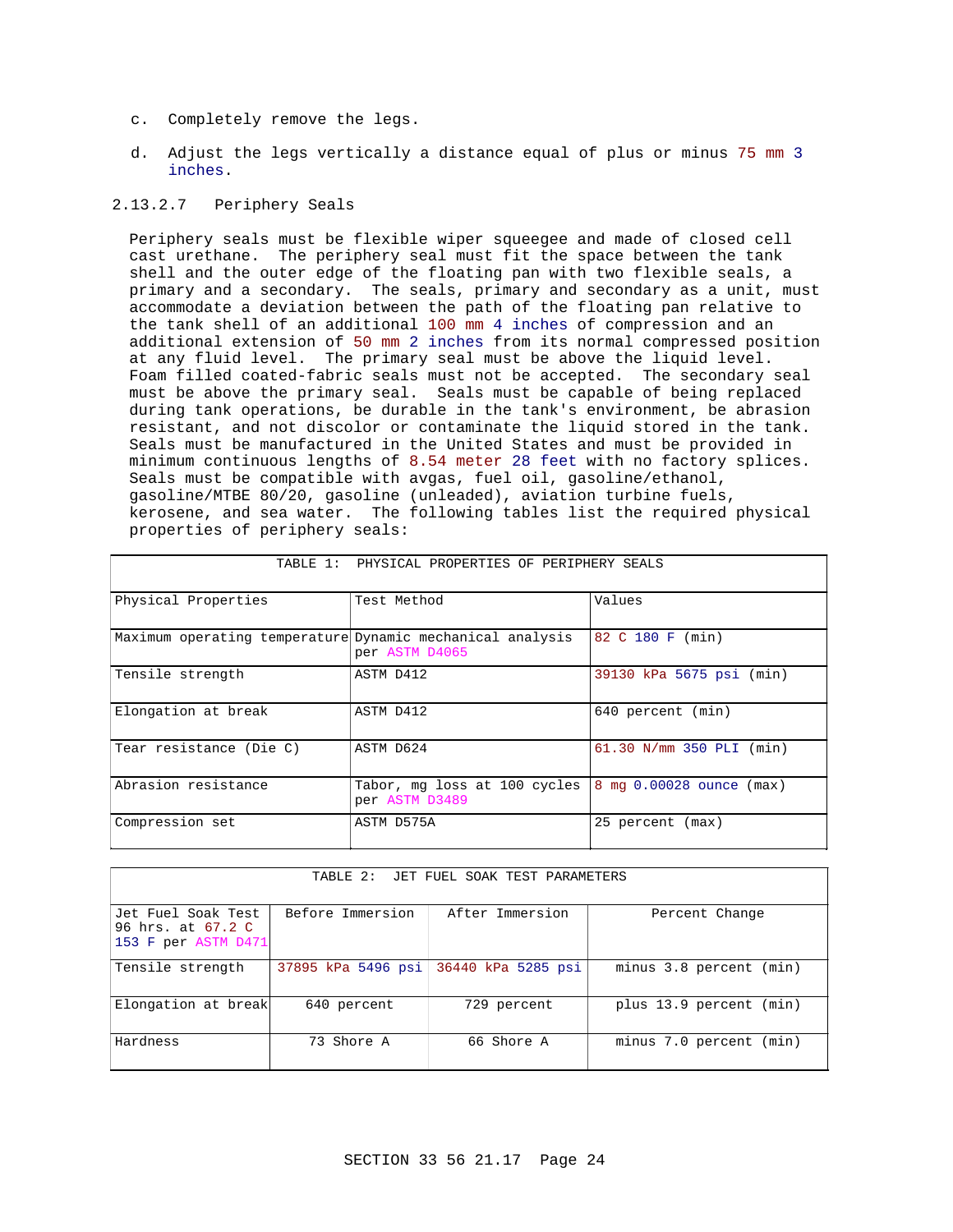- c. Completely remove the legs.
- d. Adjust the legs vertically a distance equal of plus or minus 75 mm 3 inches.

## 2.13.2.7 Periphery Seals

Periphery seals must be flexible wiper squeegee and made of closed cell cast urethane. The periphery seal must fit the space between the tank shell and the outer edge of the floating pan with two flexible seals, a primary and a secondary. The seals, primary and secondary as a unit, must accommodate a deviation between the path of the floating pan relative to the tank shell of an additional 100 mm 4 inches of compression and an additional extension of 50 mm 2 inches from its normal compressed position at any fluid level. The primary seal must be above the liquid level. Foam filled coated-fabric seals must not be accepted. The secondary seal must be above the primary seal. Seals must be capable of being replaced during tank operations, be durable in the tank's environment, be abrasion resistant, and not discolor or contaminate the liquid stored in the tank. Seals must be manufactured in the United States and must be provided in minimum continuous lengths of 8.54 meter 28 feet with no factory splices. Seals must be compatible with avgas, fuel oil, gasoline/ethanol, gasoline/MTBE 80/20, gasoline (unleaded), aviation turbine fuels, kerosene, and sea water. The following tables list the required physical properties of periphery seals:

| TABLE 1: PHYSICAL PROPERTIES OF PERIPHERY SEALS           |                                                |                              |  |  |
|-----------------------------------------------------------|------------------------------------------------|------------------------------|--|--|
| Physical Properties                                       | Test Method                                    | Values                       |  |  |
| Maximum operating temperature Dynamic mechanical analysis | per ASTM D4065                                 | 82 C 180 F (min)             |  |  |
| Tensile strength                                          | ASTM D412                                      | 39130 kPa 5675 psi (min)     |  |  |
| Elongation at break                                       | ASTM D412                                      | 640 percent (min)            |  |  |
| Tear resistance (Die C)                                   | ASTM D624                                      | $61.30$ N/mm $350$ PLI (min) |  |  |
| Abrasion resistance                                       | Tabor, mg loss at 100 cycles<br>per ASTM D3489 | 8 mg 0.00028 ounce (max)     |  |  |
| Compression set                                           | ASTM D575A                                     | 25 percent (max)             |  |  |

| TABLE 2: JET FUEL SOAK TEST PARAMETERS                         |                    |                    |                            |  |  |
|----------------------------------------------------------------|--------------------|--------------------|----------------------------|--|--|
| Jet Fuel Soak Test<br>96 hrs. at 67.2 C<br>153 F per ASTM D471 | Before Immersion   | After Immersion    | Percent Change             |  |  |
| Tensile strength                                               | 37895 kPa 5496 psi | 36440 kPa 5285 psi | minus 3.8 percent (min)    |  |  |
| Elongation at break                                            | 640 percent        | 729 percent        | plus 13.9 percent<br>(min) |  |  |
| Hardness                                                       | 73 Shore A         | 66 Shore A         | minus 7.0 percent (min)    |  |  |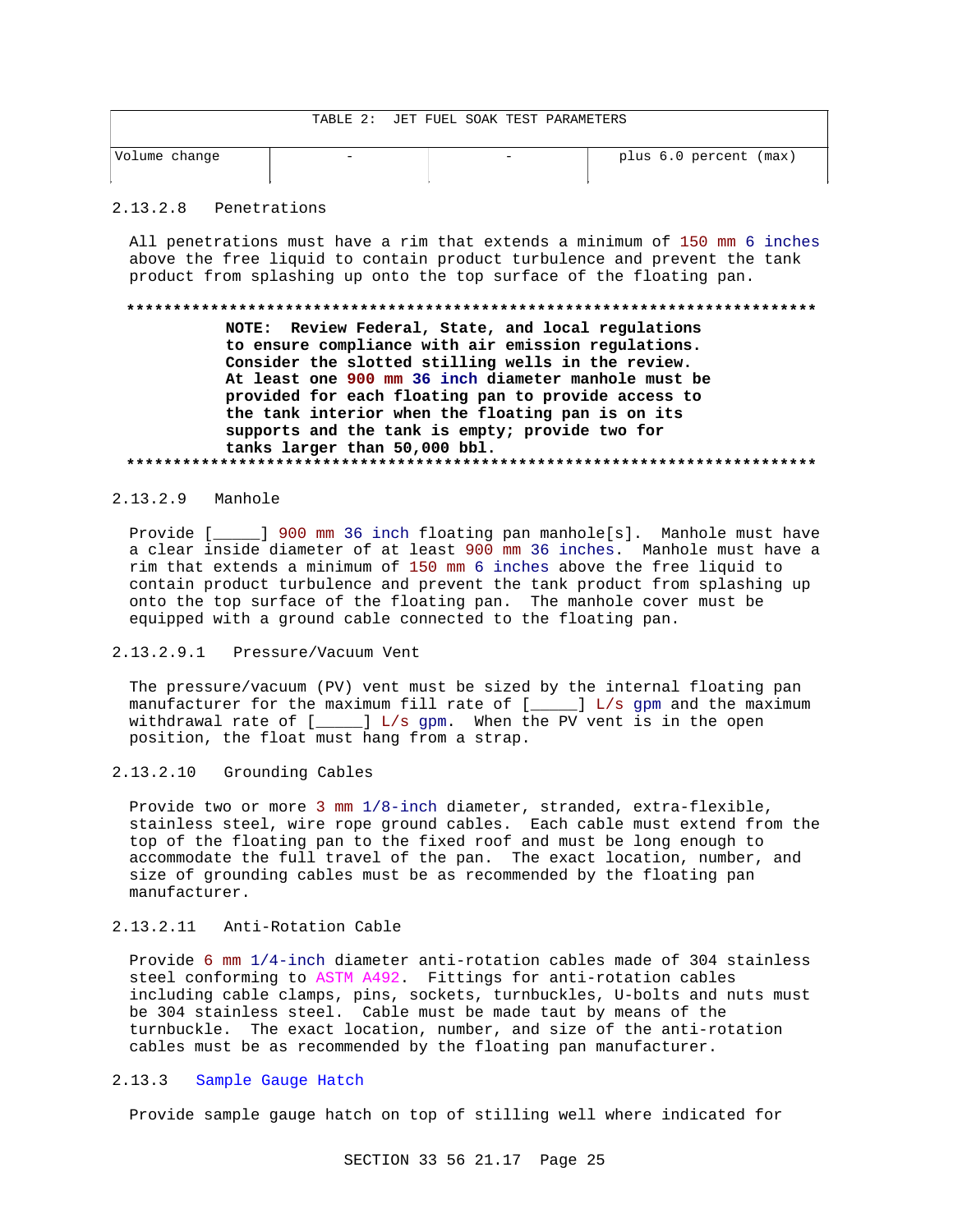|  |  |  | TABLE 2: JET FUEL SOAK TEST PARAMETERS |
|--|--|--|----------------------------------------|
|  |  |  |                                        |

| Volume change |  | plus 6.0 percent (max) |
|---------------|--|------------------------|
|               |  |                        |

#### $2.13.2.8$ Penetrations

All penetrations must have a rim that extends a minimum of 150 mm 6 inches above the free liquid to contain product turbulence and prevent the tank product from splashing up onto the top surface of the floating pan.

### 

NOTE: Review Federal, State, and local regulations to ensure compliance with air emission regulations. Consider the slotted stilling wells in the review. At least one 900 mm 36 inch diameter manhole must be provided for each floating pan to provide access to the tank interior when the floating pan is on its supports and the tank is empty; provide two for tanks larger than 50,000 bbl. 

## 2.13.2.9 Manhole

Provide [ ] 900 mm 36 inch floating pan manhole[s]. Manhole must have a clear inside diameter of at least 900 mm 36 inches. Manhole must have a rim that extends a minimum of 150 mm 6 inches above the free liquid to contain product turbulence and prevent the tank product from splashing up onto the top surface of the floating pan. The manhole cover must be equipped with a ground cable connected to the floating pan.

### 2.13.2.9.1 Pressure/Vacuum Vent

The pressure/vacuum (PV) vent must be sized by the internal floating pan manufacturer for the maximum fill rate of [\_\_\_\_\_] L/s gpm and the maximum withdrawal rate of  $[$   $]$   $\Box$   $]$   $\Box$   $/$  s gpm. When the PV vent is in the open position, the float must hang from a strap.

#### $2.13.2.10$ Grounding Cables

Provide two or more 3 mm 1/8-inch diameter, stranded, extra-flexible, stainless steel, wire rope ground cables. Each cable must extend from the top of the floating pan to the fixed roof and must be long enough to accommodate the full travel of the pan. The exact location, number, and size of grounding cables must be as recommended by the floating pan manufacturer.

## 2.13.2.11 Anti-Rotation Cable

Provide 6 mm 1/4-inch diameter anti-rotation cables made of 304 stainless steel conforming to ASTM A492. Fittings for anti-rotation cables including cable clamps, pins, sockets, turnbuckles, U-bolts and nuts must be 304 stainless steel. Cable must be made taut by means of the turnbuckle. The exact location, number, and size of the anti-rotation cables must be as recommended by the floating pan manufacturer.

#### $2.13.3$ Sample Gauge Hatch

Provide sample gauge hatch on top of stilling well where indicated for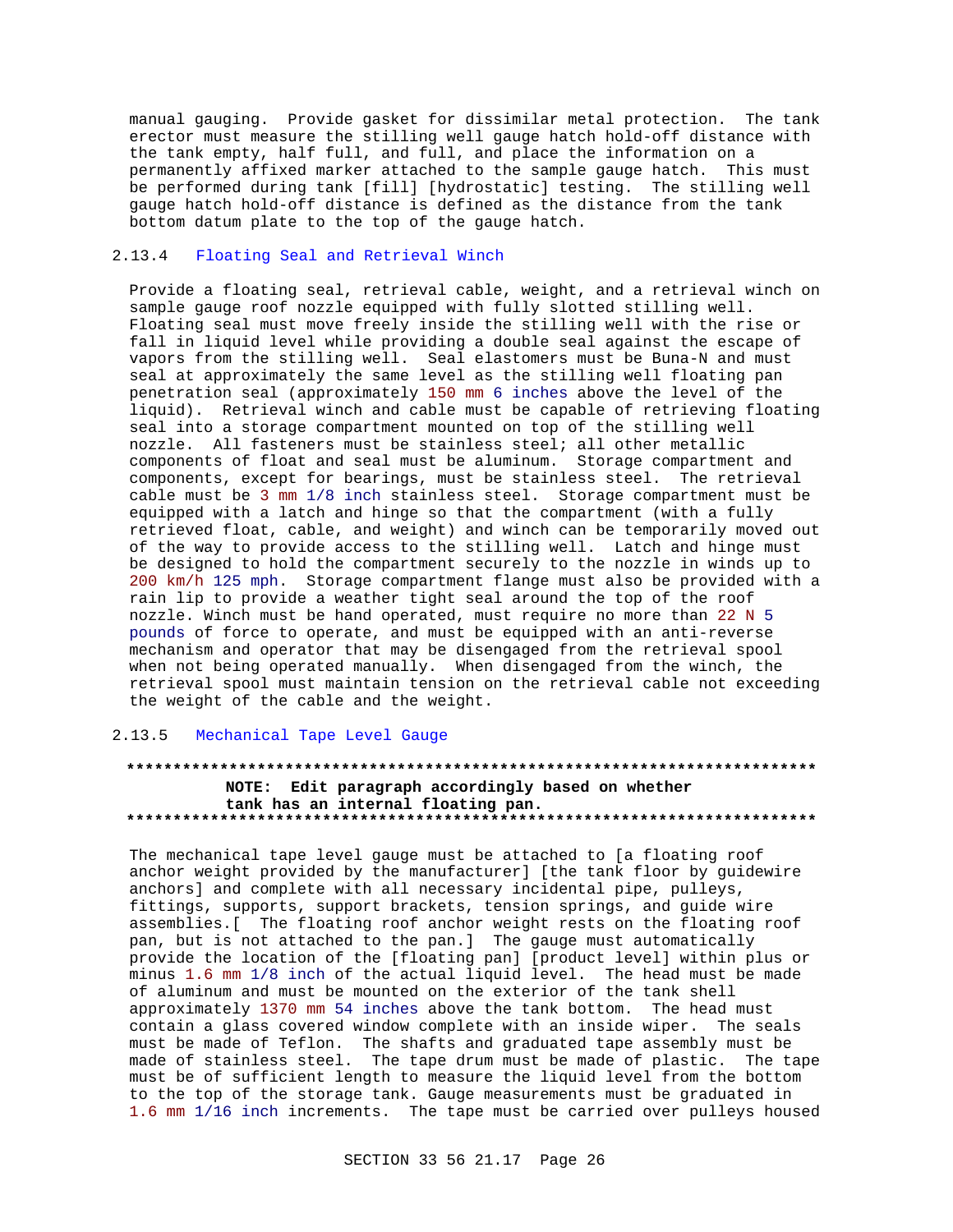manual gauging. Provide gasket for dissimilar metal protection. The tank erector must measure the stilling well gauge hatch hold-off distance with the tank empty, half full, and full, and place the information on a permanently affixed marker attached to the sample gauge hatch. This must be performed during tank [fill] [hydrostatic] testing. The stilling well gauge hatch hold-off distance is defined as the distance from the tank bottom datum plate to the top of the gauge hatch.

## 2.13.4 Floating Seal and Retrieval Winch

Provide a floating seal, retrieval cable, weight, and a retrieval winch on sample gauge roof nozzle equipped with fully slotted stilling well. Floating seal must move freely inside the stilling well with the rise or fall in liquid level while providing a double seal against the escape of vapors from the stilling well. Seal elastomers must be Buna-N and must seal at approximately the same level as the stilling well floating pan penetration seal (approximately 150 mm 6 inches above the level of the liquid). Retrieval winch and cable must be capable of retrieving floating seal into a storage compartment mounted on top of the stilling well nozzle. All fasteners must be stainless steel; all other metallic components of float and seal must be aluminum. Storage compartment and components, except for bearings, must be stainless steel. The retrieval cable must be 3 mm 1/8 inch stainless steel. Storage compartment must be equipped with a latch and hinge so that the compartment (with a fully retrieved float, cable, and weight) and winch can be temporarily moved out of the way to provide access to the stilling well. Latch and hinge must be designed to hold the compartment securely to the nozzle in winds up to 200 km/h 125 mph. Storage compartment flange must also be provided with a rain lip to provide a weather tight seal around the top of the roof nozzle. Winch must be hand operated, must require no more than 22 N 5 pounds of force to operate, and must be equipped with an anti-reverse mechanism and operator that may be disengaged from the retrieval spool when not being operated manually. When disengaged from the winch, the retrieval spool must maintain tension on the retrieval cable not exceeding the weight of the cable and the weight.

## 2.13.5 Mechanical Tape Level Gauge

## **\*\*\*\*\*\*\*\*\*\*\*\*\*\*\*\*\*\*\*\*\*\*\*\*\*\*\*\*\*\*\*\*\*\*\*\*\*\*\*\*\*\*\*\*\*\*\*\*\*\*\*\*\*\*\*\*\*\*\*\*\*\*\*\*\*\*\*\*\*\*\*\*\*\* NOTE: Edit paragraph accordingly based on whether tank has an internal floating pan. \*\*\*\*\*\*\*\*\*\*\*\*\*\*\*\*\*\*\*\*\*\*\*\*\*\*\*\*\*\*\*\*\*\*\*\*\*\*\*\*\*\*\*\*\*\*\*\*\*\*\*\*\*\*\*\*\*\*\*\*\*\*\*\*\*\*\*\*\*\*\*\*\*\***

The mechanical tape level gauge must be attached to [a floating roof anchor weight provided by the manufacturer] [the tank floor by guidewire anchors] and complete with all necessary incidental pipe, pulleys, fittings, supports, support brackets, tension springs, and guide wire assemblies.[ The floating roof anchor weight rests on the floating roof pan, but is not attached to the pan.] The gauge must automatically provide the location of the [floating pan] [product level] within plus or minus 1.6 mm 1/8 inch of the actual liquid level. The head must be made of aluminum and must be mounted on the exterior of the tank shell approximately 1370 mm 54 inches above the tank bottom. The head must contain a glass covered window complete with an inside wiper. The seals must be made of Teflon. The shafts and graduated tape assembly must be made of stainless steel. The tape drum must be made of plastic. The tape must be of sufficient length to measure the liquid level from the bottom to the top of the storage tank. Gauge measurements must be graduated in 1.6 mm 1/16 inch increments. The tape must be carried over pulleys housed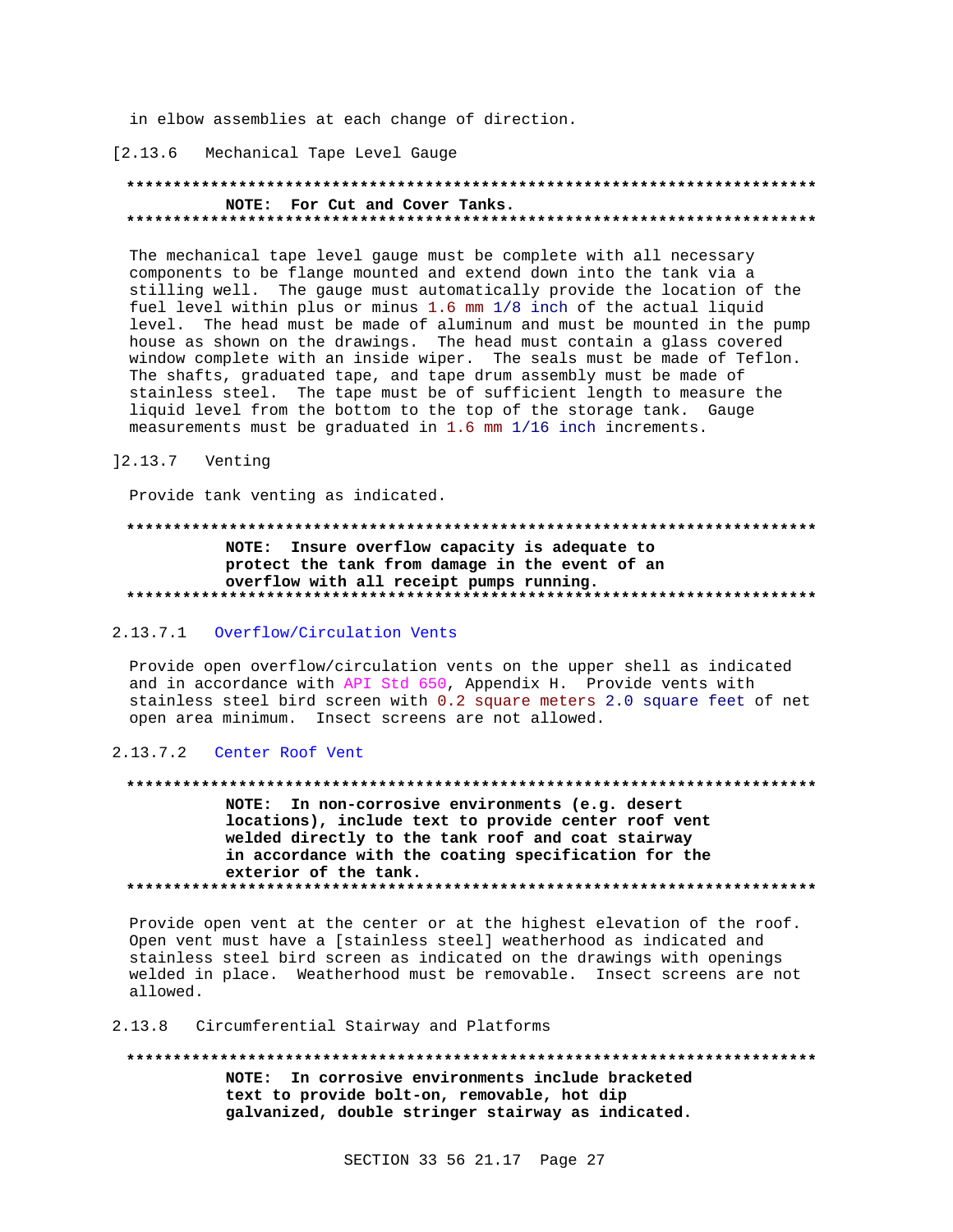in elbow assemblies at each change of direction.

### [2.13.6 Mechanical Tape Level Gauge

## NOTE: For Cut and Cover Tanks.

The mechanical tape level gauge must be complete with all necessary components to be flange mounted and extend down into the tank via a stilling well. The gauge must automatically provide the location of the fuel level within plus or minus 1.6 mm 1/8 inch of the actual liquid level. The head must be made of aluminum and must be mounted in the pump house as shown on the drawings. The head must contain a glass covered window complete with an inside wiper. The seals must be made of Teflon. The shafts, graduated tape, and tape drum assembly must be made of stainless steel. The tape must be of sufficient length to measure the liquid level from the bottom to the top of the storage tank. Gauge measurements must be graduated in 1.6 mm  $1/16$  inch increments.

## 12.13.7 Venting

Provide tank venting as indicated.

## NOTE: Insure overflow capacity is adequate to protect the tank from damage in the event of an overflow with all receipt pumps running.

## 2.13.7.1 Overflow/Circulation Vents

Provide open overflow/circulation vents on the upper shell as indicated and in accordance with API Std 650, Appendix H. Provide vents with stainless steel bird screen with 0.2 square meters 2.0 square feet of net open area minimum. Insect screens are not allowed.

#### 2.13.7.2 Center Roof Vent

#### 

NOTE: In non-corrosive environments (e.g. desert locations), include text to provide center roof vent welded directly to the tank roof and coat stairway in accordance with the coating specification for the exterior of the tank. 

Provide open vent at the center or at the highest elevation of the roof. Open vent must have a [stainless steel] weatherhood as indicated and stainless steel bird screen as indicated on the drawings with openings welded in place. Weatherhood must be removable. Insect screens are not allowed.

## 2.13.8 Circumferential Stairway and Platforms

NOTE: In corrosive environments include bracketed text to provide bolt-on, removable, hot dip galvanized, double stringer stairway as indicated.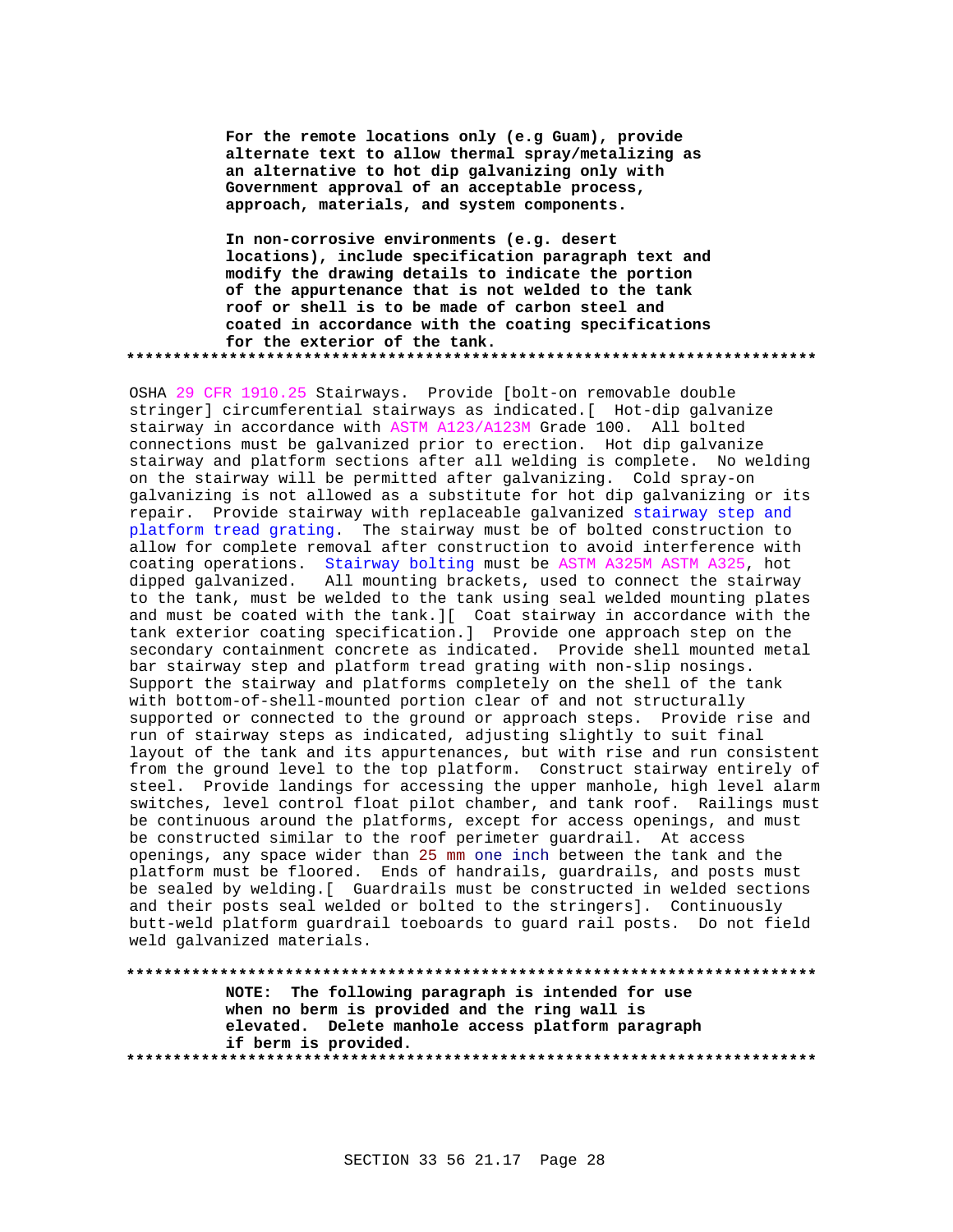**For the remote locations only (e.g Guam), provide alternate text to allow thermal spray/metalizing as an alternative to hot dip galvanizing only with Government approval of an acceptable process, approach, materials, and system components.**

**In non-corrosive environments (e.g. desert locations), include specification paragraph text and modify the drawing details to indicate the portion of the appurtenance that is not welded to the tank roof or shell is to be made of carbon steel and coated in accordance with the coating specifications for the exterior of the tank. \*\*\*\*\*\*\*\*\*\*\*\*\*\*\*\*\*\*\*\*\*\*\*\*\*\*\*\*\*\*\*\*\*\*\*\*\*\*\*\*\*\*\*\*\*\*\*\*\*\*\*\*\*\*\*\*\*\*\*\*\*\*\*\*\*\*\*\*\*\*\*\*\*\***

OSHA 29 CFR 1910.25 Stairways. Provide [bolt-on removable double stringer] circumferential stairways as indicated.[ Hot-dip galvanize stairway in accordance with ASTM A123/A123M Grade 100. All bolted connections must be galvanized prior to erection. Hot dip galvanize stairway and platform sections after all welding is complete. No welding on the stairway will be permitted after galvanizing. Cold spray-on galvanizing is not allowed as a substitute for hot dip galvanizing or its repair. Provide stairway with replaceable galvanized stairway step and platform tread grating. The stairway must be of bolted construction to allow for complete removal after construction to avoid interference with coating operations. Stairway bolting must be ASTM A325M ASTM A325, hot dipped galvanized. All mounting brackets, used to connect the stairway to the tank, must be welded to the tank using seal welded mounting plates and must be coated with the tank.][ Coat stairway in accordance with the tank exterior coating specification.] Provide one approach step on the secondary containment concrete as indicated. Provide shell mounted metal bar stairway step and platform tread grating with non-slip nosings. Support the stairway and platforms completely on the shell of the tank with bottom-of-shell-mounted portion clear of and not structurally supported or connected to the ground or approach steps. Provide rise and run of stairway steps as indicated, adjusting slightly to suit final layout of the tank and its appurtenances, but with rise and run consistent from the ground level to the top platform. Construct stairway entirely of steel. Provide landings for accessing the upper manhole, high level alarm switches, level control float pilot chamber, and tank roof. Railings must be continuous around the platforms, except for access openings, and must be constructed similar to the roof perimeter guardrail. At access openings, any space wider than 25 mm one inch between the tank and the platform must be floored. Ends of handrails, guardrails, and posts must be sealed by welding.[ Guardrails must be constructed in welded sections and their posts seal welded or bolted to the stringers]. Continuously butt-weld platform guardrail toeboards to guard rail posts. Do not field weld galvanized materials.

**\*\*\*\*\*\*\*\*\*\*\*\*\*\*\*\*\*\*\*\*\*\*\*\*\*\*\*\*\*\*\*\*\*\*\*\*\*\*\*\*\*\*\*\*\*\*\*\*\*\*\*\*\*\*\*\*\*\*\*\*\*\*\*\*\*\*\*\*\*\*\*\*\*\* NOTE: The following paragraph is intended for use when no berm is provided and the ring wall is elevated. Delete manhole access platform paragraph if berm is provided. \*\*\*\*\*\*\*\*\*\*\*\*\*\*\*\*\*\*\*\*\*\*\*\*\*\*\*\*\*\*\*\*\*\*\*\*\*\*\*\*\*\*\*\*\*\*\*\*\*\*\*\*\*\*\*\*\*\*\*\*\*\*\*\*\*\*\*\*\*\*\*\*\*\***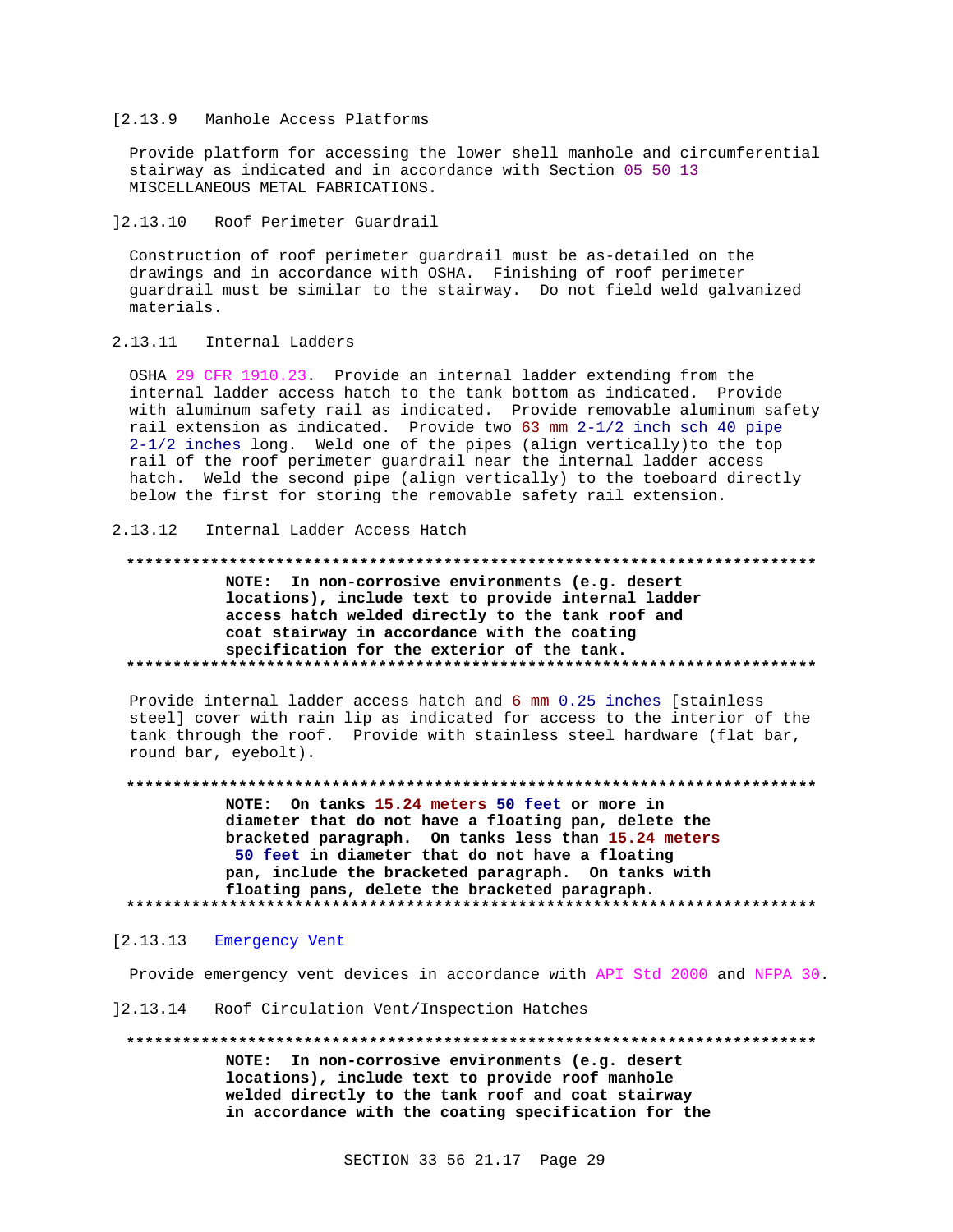#### [2.13.9 Manhole Access Platforms

Provide platform for accessing the lower shell manhole and circumferential stairway as indicated and in accordance with Section 05 50 13 MISCELLANEOUS METAL FABRICATIONS.

12.13.10 Roof Perimeter Guardrail

Construction of roof perimeter guardrail must be as-detailed on the drawings and in accordance with OSHA. Finishing of roof perimeter guardrail must be similar to the stairway. Do not field weld galvanized materials.

2.13.11 Internal Ladders

OSHA 29 CFR 1910.23. Provide an internal ladder extending from the internal ladder access hatch to the tank bottom as indicated. Provide with aluminum safety rail as indicated. Provide removable aluminum safety rail extension as indicated. Provide two 63 mm 2-1/2 inch sch 40 pipe 2-1/2 inches long. Weld one of the pipes (align vertically) to the top rail of the roof perimeter guardrail near the internal ladder access hatch. Weld the second pipe (align vertically) to the toeboard directly below the first for storing the removable safety rail extension.

 $2.13.12$ Internal Ladder Access Hatch

#### 

NOTE: In non-corrosive environments (e.g. desert locations), include text to provide internal ladder access hatch welded directly to the tank roof and coat stairway in accordance with the coating specification for the exterior of the tank. 

Provide internal ladder access hatch and 6 mm 0.25 inches [stainless steel] cover with rain lip as indicated for access to the interior of the tank through the roof. Provide with stainless steel hardware (flat bar, round bar, eyebolt).

NOTE: On tanks 15.24 meters 50 feet or more in diameter that do not have a floating pan, delete the bracketed paragraph. On tanks less than 15.24 meters 50 feet in diameter that do not have a floating pan, include the bracketed paragraph. On tanks with floating pans, delete the bracketed paragraph. 

#### $[2.13.13]$ Emergency Vent

Provide emergency vent devices in accordance with API Std 2000 and NFPA 30.

12.13.14 Roof Circulation Vent/Inspection Hatches

NOTE: In non-corrosive environments (e.g. desert locations), include text to provide roof manhole welded directly to the tank roof and coat stairway in accordance with the coating specification for the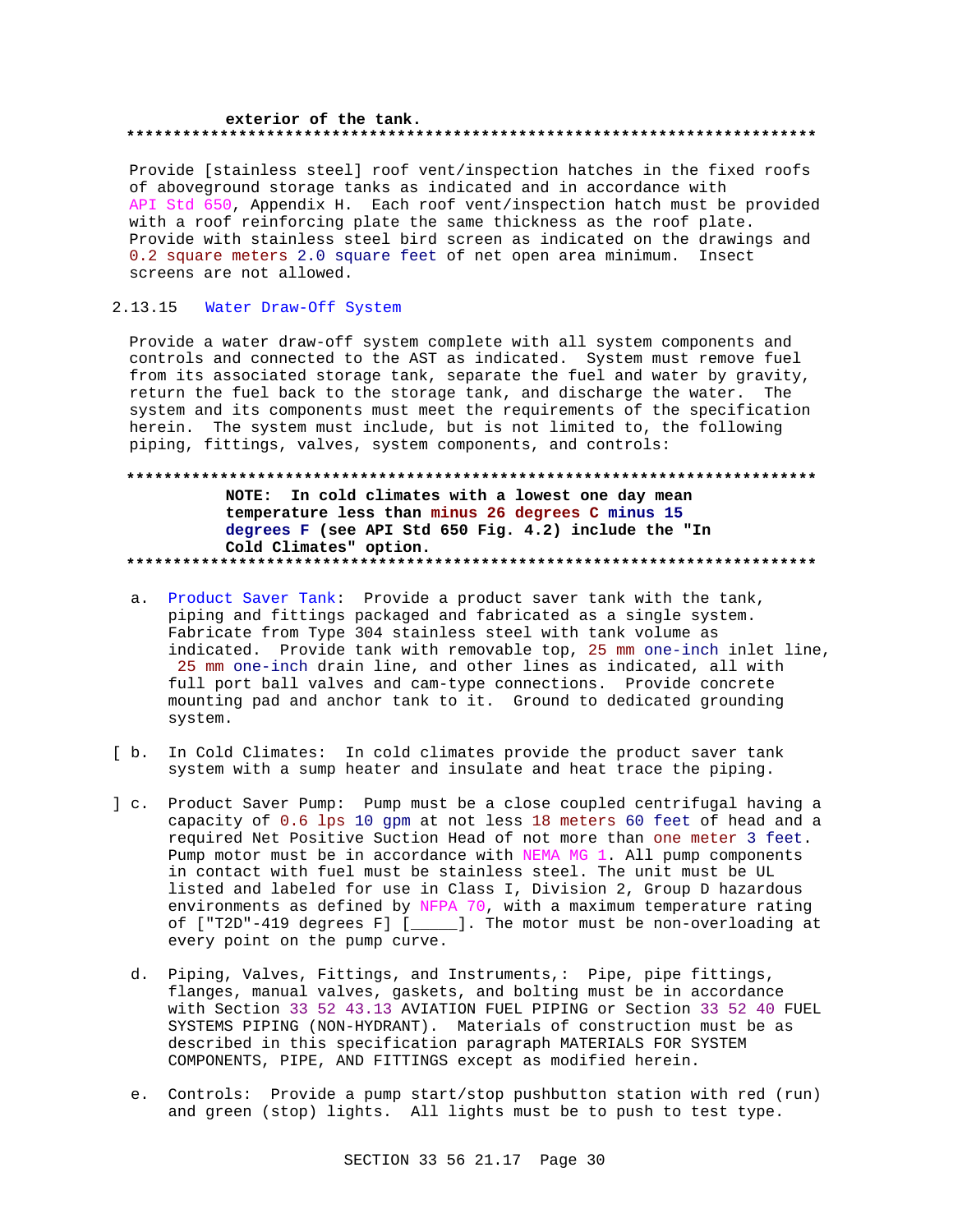## exterior of the tank.

Provide [stainless steel] roof vent/inspection hatches in the fixed roofs of aboveground storage tanks as indicated and in accordance with API Std 650, Appendix H. Each roof vent/inspection hatch must be provided with a roof reinforcing plate the same thickness as the roof plate. Provide with stainless steel bird screen as indicated on the drawings and 0.2 square meters 2.0 square feet of net open area minimum. Insect screens are not allowed.

#### 2.13.15 Water Draw-Off System

Provide a water draw-off system complete with all system components and controls and connected to the AST as indicated. System must remove fuel from its associated storage tank, separate the fuel and water by gravity, return the fuel back to the storage tank, and discharge the water. The system and its components must meet the requirements of the specification herein. The system must include, but is not limited to, the following piping, fittings, valves, system components, and controls:

## NOTE: In cold climates with a lowest one day mean temperature less than minus 26 degrees C minus 15 degrees F (see API Std 650 Fig. 4.2) include the "In Cold Climates" option.

- a. Product Saver Tank: Provide a product saver tank with the tank, piping and fittings packaged and fabricated as a single system. Fabricate from Type 304 stainless steel with tank volume as indicated. Provide tank with removable top, 25 mm one-inch inlet line, 25 mm one-inch drain line, and other lines as indicated, all with full port ball valves and cam-type connections. Provide concrete mounting pad and anchor tank to it. Ground to dedicated grounding system.
- [ b. In Cold Climates: In cold climates provide the product saver tank system with a sump heater and insulate and heat trace the piping.
- ] c. Product Saver Pump: Pump must be a close coupled centrifugal having a capacity of 0.6 lps 10 gpm at not less 18 meters 60 feet of head and a required Net Positive Suction Head of not more than one meter 3 feet. Pump motor must be in accordance with NEMA MG 1. All pump components in contact with fuel must be stainless steel. The unit must be UL listed and labeled for use in Class I, Division 2, Group D hazardous environments as defined by NFPA 70, with a maximum temperature rating of ["T2D"-419 degrees F] [\_\_\_\_]. The motor must be non-overloading at every point on the pump curve.
	- d. Piping, Valves, Fittings, and Instruments,: Pipe, pipe fittings, flanges, manual valves, gaskets, and bolting must be in accordance with Section 33 52 43.13 AVIATION FUEL PIPING or Section 33 52 40 FUEL SYSTEMS PIPING (NON-HYDRANT). Materials of construction must be as described in this specification paragraph MATERIALS FOR SYSTEM COMPONENTS, PIPE, AND FITTINGS except as modified herein.
	- e. Controls: Provide a pump start/stop pushbutton station with red (run) and green (stop) lights. All lights must be to push to test type.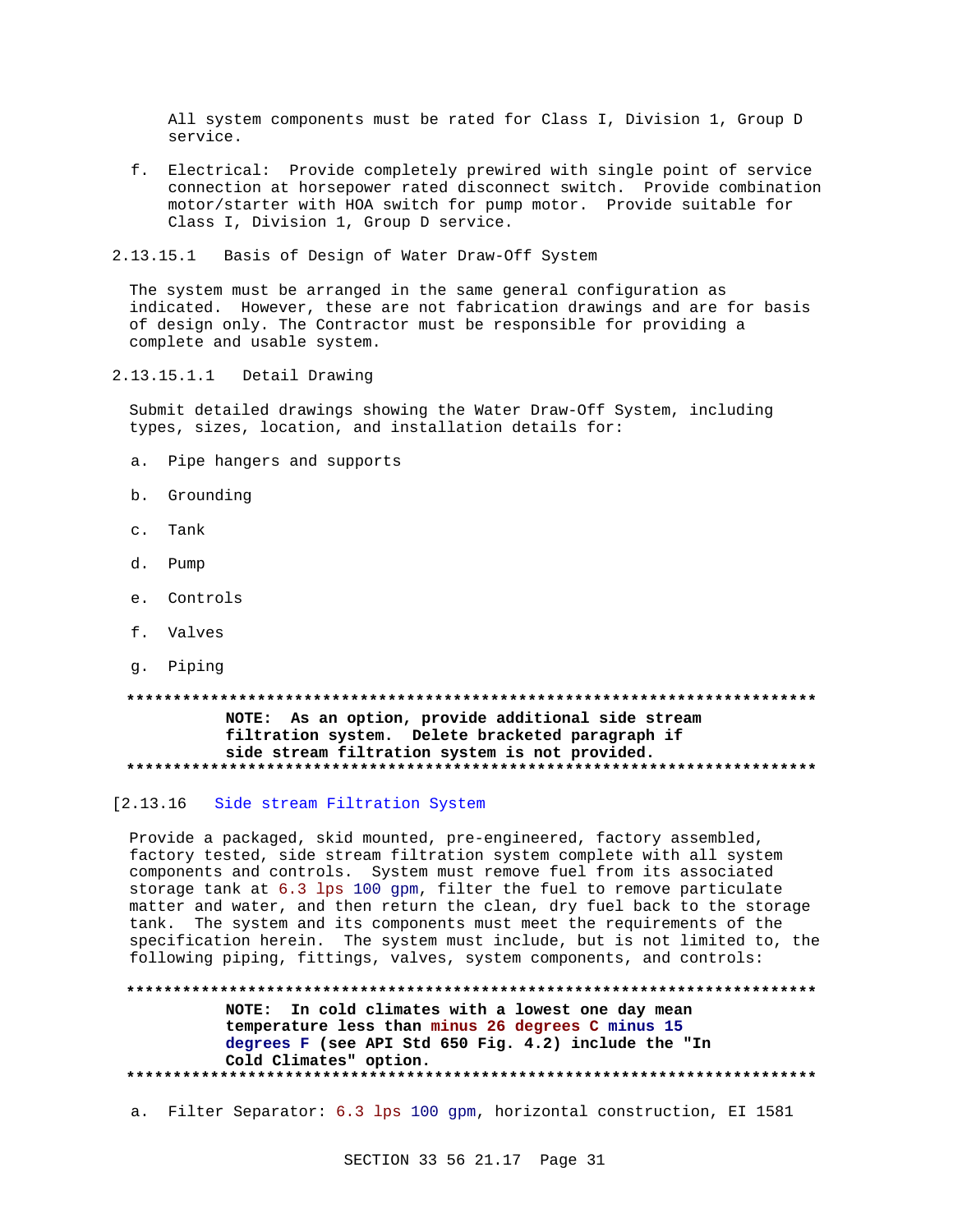All system components must be rated for Class I, Division 1, Group D service.

- f. Electrical: Provide completely prewired with single point of service connection at horsepower rated disconnect switch. Provide combination motor/starter with HOA switch for pump motor. Provide suitable for Class I, Division 1, Group D service.
- 2.13.15.1 Basis of Design of Water Draw-Off System

The system must be arranged in the same general configuration as indicated. However, these are not fabrication drawings and are for basis of design only. The Contractor must be responsible for providing a complete and usable system.

2.13.15.1.1 Detail Drawing

Submit detailed drawings showing the Water Draw-Off System, including types, sizes, location, and installation details for:

- a. Pipe hangers and supports
- b. Grounding
- c. Tank
- d. Pump
- e. Controls
- f. Valves
- g. Piping

## NOTE: As an option, provide additional side stream filtration system. Delete bracketed paragraph if side stream filtration system is not provided.

## [2.13.16 Side stream Filtration System

Provide a packaged, skid mounted, pre-engineered, factory assembled, factory tested, side stream filtration system complete with all system components and controls. System must remove fuel from its associated storage tank at 6.3 lps 100 gpm, filter the fuel to remove particulate matter and water, and then return the clean, dry fuel back to the storage tank. The system and its components must meet the requirements of the specification herein. The system must include, but is not limited to, the following piping, fittings, valves, system components, and controls:

NOTE: In cold climates with a lowest one day mean

temperature less than minus 26 degrees C minus 15 degrees F (see API Std 650 Fig. 4.2) include the "In Cold Climates" option. 

a. Filter Separator: 6.3 lps 100 gpm, horizontal construction, EI 1581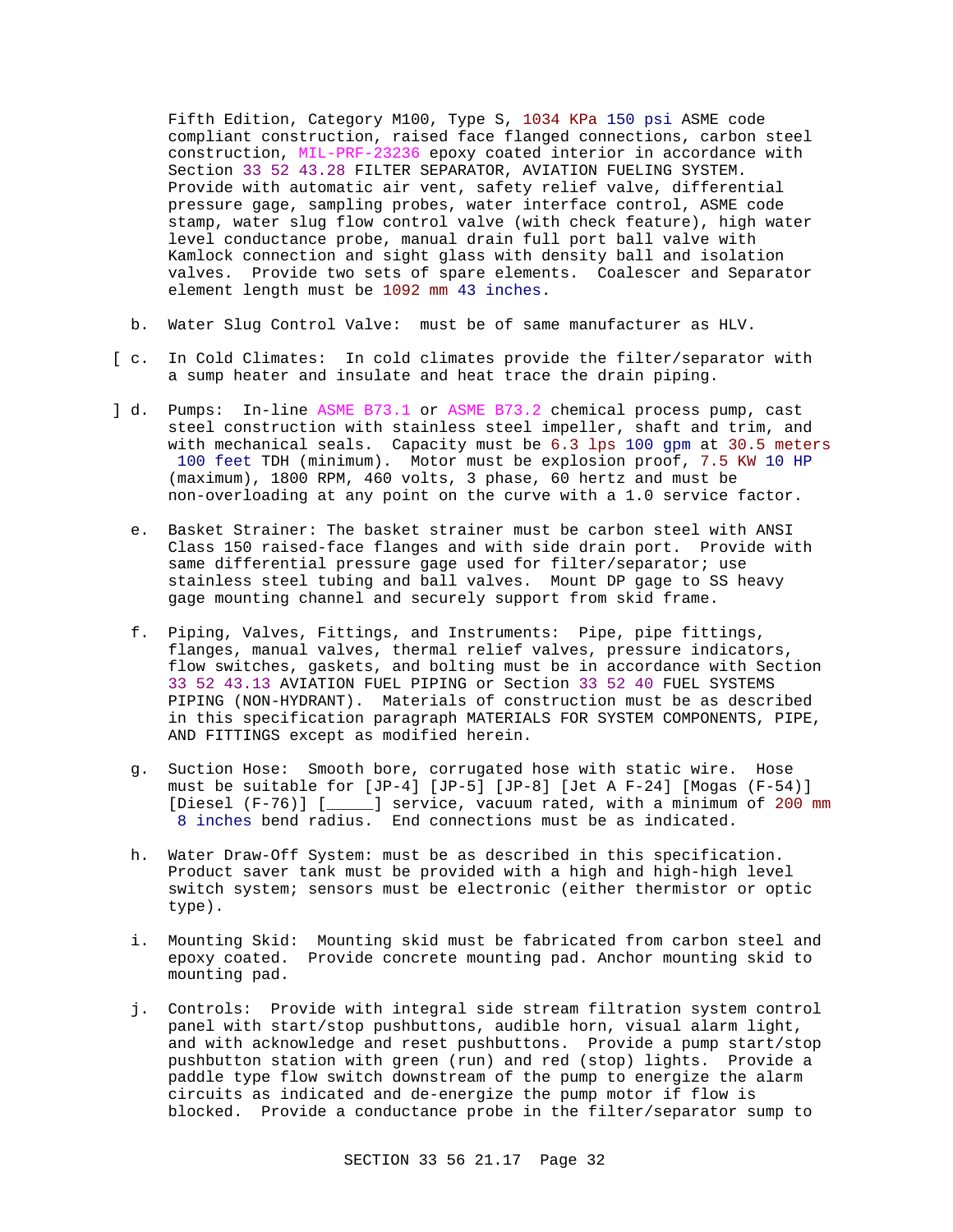Fifth Edition, Category M100, Type S, 1034 KPa 150 psi ASME code compliant construction, raised face flanged connections, carbon steel construction, MIL-PRF-23236 epoxy coated interior in accordance with Section 33 52 43.28 FILTER SEPARATOR, AVIATION FUELING SYSTEM. Provide with automatic air vent, safety relief valve, differential pressure gage, sampling probes, water interface control, ASME code stamp, water slug flow control valve (with check feature), high water level conductance probe, manual drain full port ball valve with Kamlock connection and sight glass with density ball and isolation valves. Provide two sets of spare elements. Coalescer and Separator element length must be 1092 mm 43 inches.

- b. Water Slug Control Valve: must be of same manufacturer as HLV.
- [ c. In Cold Climates: In cold climates provide the filter/separator with a sump heater and insulate and heat trace the drain piping.
- ] d. Pumps: In-line ASME B73.1 or ASME B73.2 chemical process pump, cast steel construction with stainless steel impeller, shaft and trim, and with mechanical seals. Capacity must be 6.3 lps 100 gpm at 30.5 meters 100 feet TDH (minimum). Motor must be explosion proof, 7.5 KW 10 HP (maximum), 1800 RPM, 460 volts, 3 phase, 60 hertz and must be non-overloading at any point on the curve with a 1.0 service factor.
	- e. Basket Strainer: The basket strainer must be carbon steel with ANSI Class 150 raised-face flanges and with side drain port. Provide with same differential pressure gage used for filter/separator; use stainless steel tubing and ball valves. Mount DP gage to SS heavy gage mounting channel and securely support from skid frame.
	- f. Piping, Valves, Fittings, and Instruments: Pipe, pipe fittings, flanges, manual valves, thermal relief valves, pressure indicators, flow switches, gaskets, and bolting must be in accordance with Section 33 52 43.13 AVIATION FUEL PIPING or Section 33 52 40 FUEL SYSTEMS PIPING (NON-HYDRANT). Materials of construction must be as described in this specification paragraph MATERIALS FOR SYSTEM COMPONENTS, PIPE, AND FITTINGS except as modified herein.
	- g. Suction Hose: Smooth bore, corrugated hose with static wire. Hose must be suitable for [JP-4] [JP-5] [JP-8] [Jet A F-24] [Mogas (F-54)] [Diesel (F-76)] [\_\_\_\_\_] service, vacuum rated, with a minimum of 200 mm 8 inches bend radius. End connections must be as indicated.
	- h. Water Draw-Off System: must be as described in this specification. Product saver tank must be provided with a high and high-high level switch system; sensors must be electronic (either thermistor or optic type).
	- i. Mounting Skid: Mounting skid must be fabricated from carbon steel and epoxy coated. Provide concrete mounting pad. Anchor mounting skid to mounting pad.
	- j. Controls: Provide with integral side stream filtration system control panel with start/stop pushbuttons, audible horn, visual alarm light, and with acknowledge and reset pushbuttons. Provide a pump start/stop pushbutton station with green (run) and red (stop) lights. Provide a paddle type flow switch downstream of the pump to energize the alarm circuits as indicated and de-energize the pump motor if flow is blocked. Provide a conductance probe in the filter/separator sump to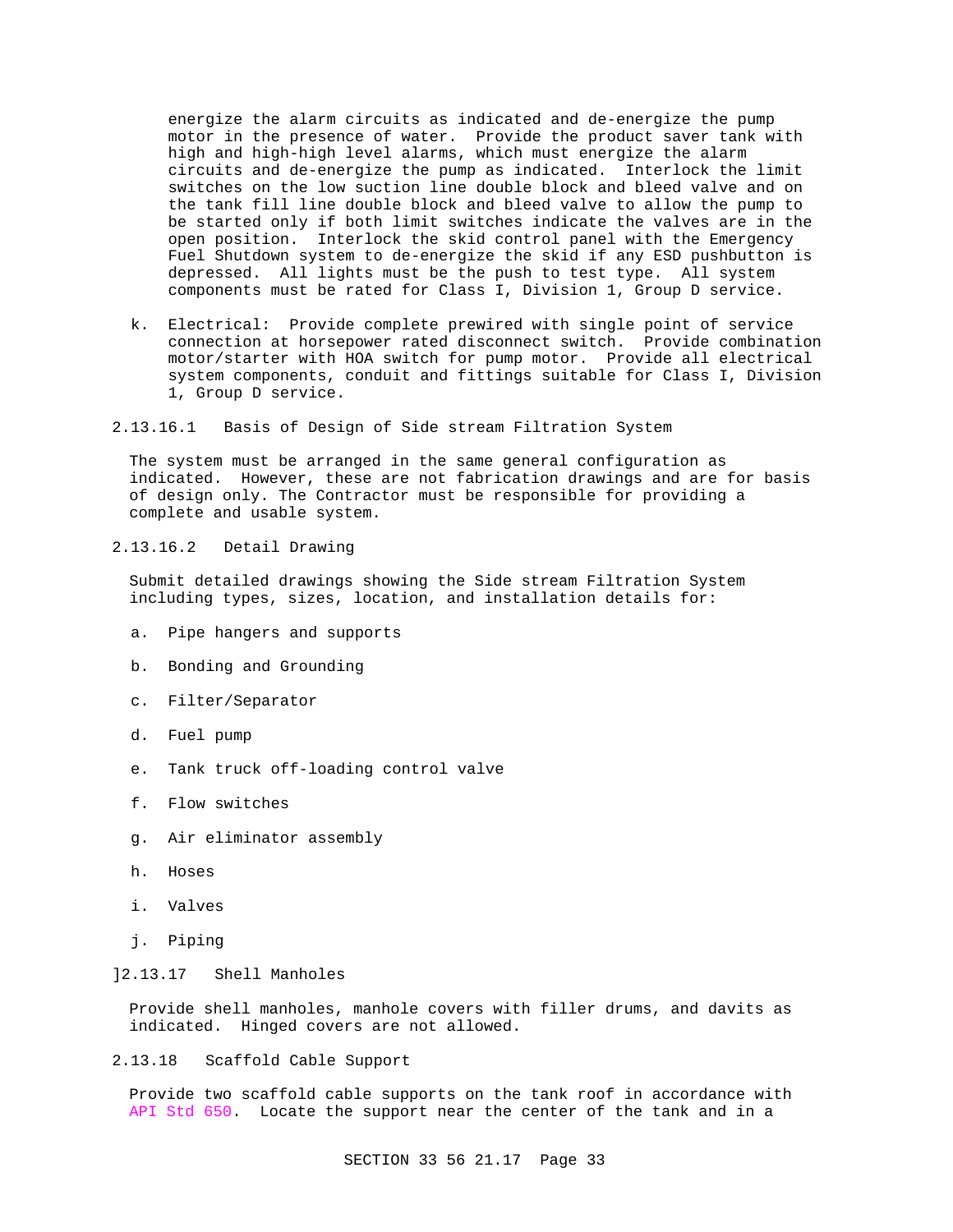energize the alarm circuits as indicated and de-energize the pump motor in the presence of water. Provide the product saver tank with high and high-high level alarms, which must energize the alarm circuits and de-energize the pump as indicated. Interlock the limit switches on the low suction line double block and bleed valve and on the tank fill line double block and bleed valve to allow the pump to be started only if both limit switches indicate the valves are in the open position. Interlock the skid control panel with the Emergency Fuel Shutdown system to de-energize the skid if any ESD pushbutton is depressed. All lights must be the push to test type. All system components must be rated for Class I, Division 1, Group D service.

- k. Electrical: Provide complete prewired with single point of service connection at horsepower rated disconnect switch. Provide combination motor/starter with HOA switch for pump motor. Provide all electrical system components, conduit and fittings suitable for Class I, Division 1, Group D service.
- 2.13.16.1 Basis of Design of Side stream Filtration System

The system must be arranged in the same general configuration as indicated. However, these are not fabrication drawings and are for basis of design only. The Contractor must be responsible for providing a complete and usable system.

2.13.16.2 Detail Drawing

Submit detailed drawings showing the Side stream Filtration System including types, sizes, location, and installation details for:

- a. Pipe hangers and supports
- b. Bonding and Grounding
- c. Filter/Separator
- d. Fuel pump
- e. Tank truck off-loading control valve
- f. Flow switches
- g. Air eliminator assembly
- h. Hoses
- i. Valves
- j. Piping

## ]2.13.17 Shell Manholes

Provide shell manholes, manhole covers with filler drums, and davits as indicated. Hinged covers are not allowed.

2.13.18 Scaffold Cable Support

Provide two scaffold cable supports on the tank roof in accordance with API Std 650. Locate the support near the center of the tank and in a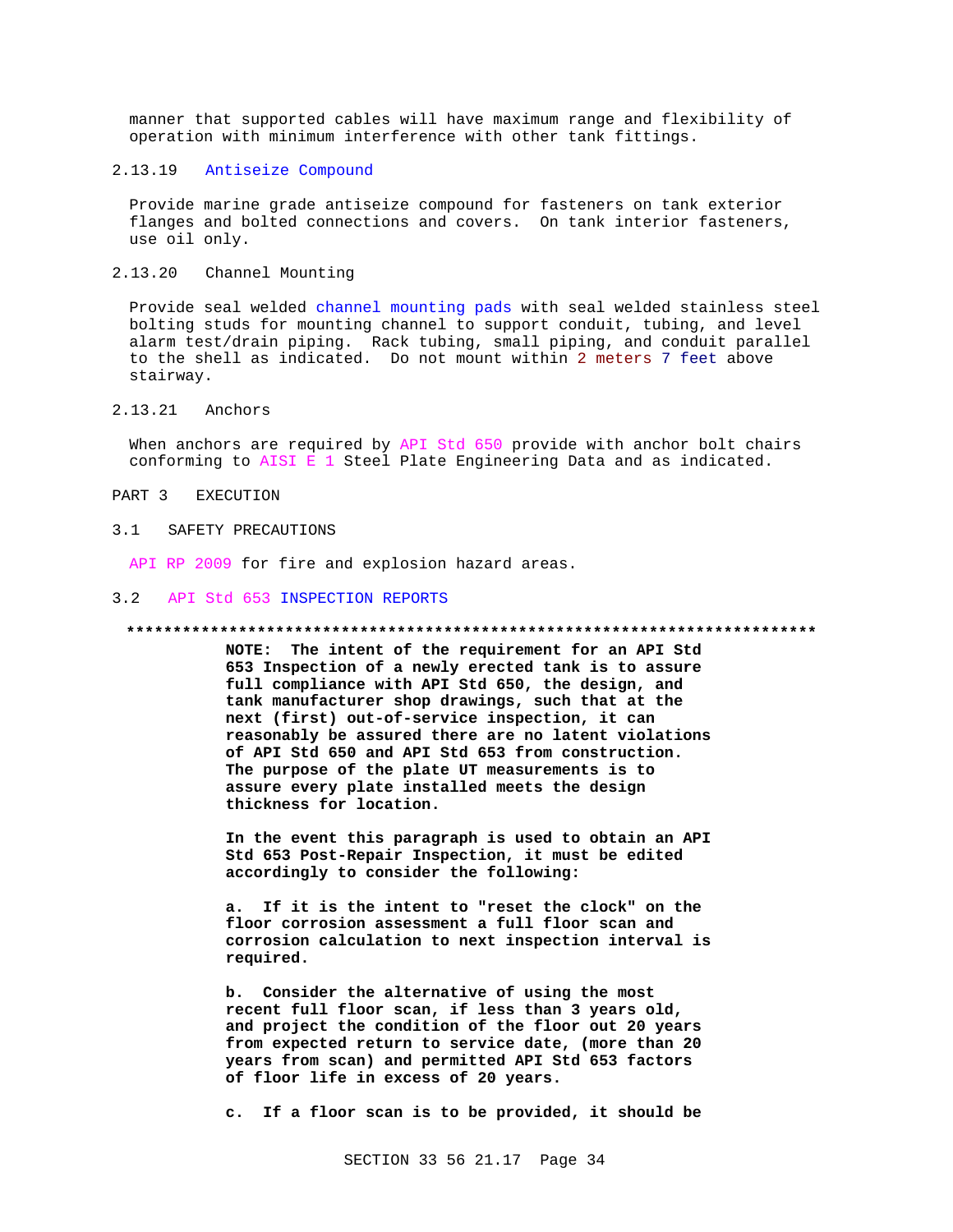manner that supported cables will have maximum range and flexibility of operation with minimum interference with other tank fittings.

## 2.13.19 Antiseize Compound

Provide marine grade antiseize compound for fasteners on tank exterior flanges and bolted connections and covers. On tank interior fasteners, use oil only.

## 2.13.20 Channel Mounting

Provide seal welded channel mounting pads with seal welded stainless steel bolting studs for mounting channel to support conduit, tubing, and level alarm test/drain piping. Rack tubing, small piping, and conduit parallel to the shell as indicated. Do not mount within 2 meters 7 feet above stairway.

## 2.13.21 Anchors

When anchors are required by API Std 650 provide with anchor bolt chairs conforming to AISI E 1 Steel Plate Engineering Data and as indicated.

PART 3 EXECUTION

### 3.1 SAFETY PRECAUTIONS

API RP 2009 for fire and explosion hazard areas.

#### 3.2 API Std 653 INSPECTION REPORTS

#### **\*\*\*\*\*\*\*\*\*\*\*\*\*\*\*\*\*\*\*\*\*\*\*\*\*\*\*\*\*\*\*\*\*\*\*\*\*\*\*\*\*\*\*\*\*\*\*\*\*\*\*\*\*\*\*\*\*\*\*\*\*\*\*\*\*\*\*\*\*\*\*\*\*\***

**NOTE: The intent of the requirement for an API Std 653 Inspection of a newly erected tank is to assure full compliance with API Std 650, the design, and tank manufacturer shop drawings, such that at the next (first) out-of-service inspection, it can reasonably be assured there are no latent violations of API Std 650 and API Std 653 from construction. The purpose of the plate UT measurements is to assure every plate installed meets the design thickness for location.**

**In the event this paragraph is used to obtain an API Std 653 Post-Repair Inspection, it must be edited accordingly to consider the following:**

**a. If it is the intent to "reset the clock" on the floor corrosion assessment a full floor scan and corrosion calculation to next inspection interval is required.**

**b. Consider the alternative of using the most recent full floor scan, if less than 3 years old, and project the condition of the floor out 20 years from expected return to service date, (more than 20 years from scan) and permitted API Std 653 factors of floor life in excess of 20 years.**

**c. If a floor scan is to be provided, it should be**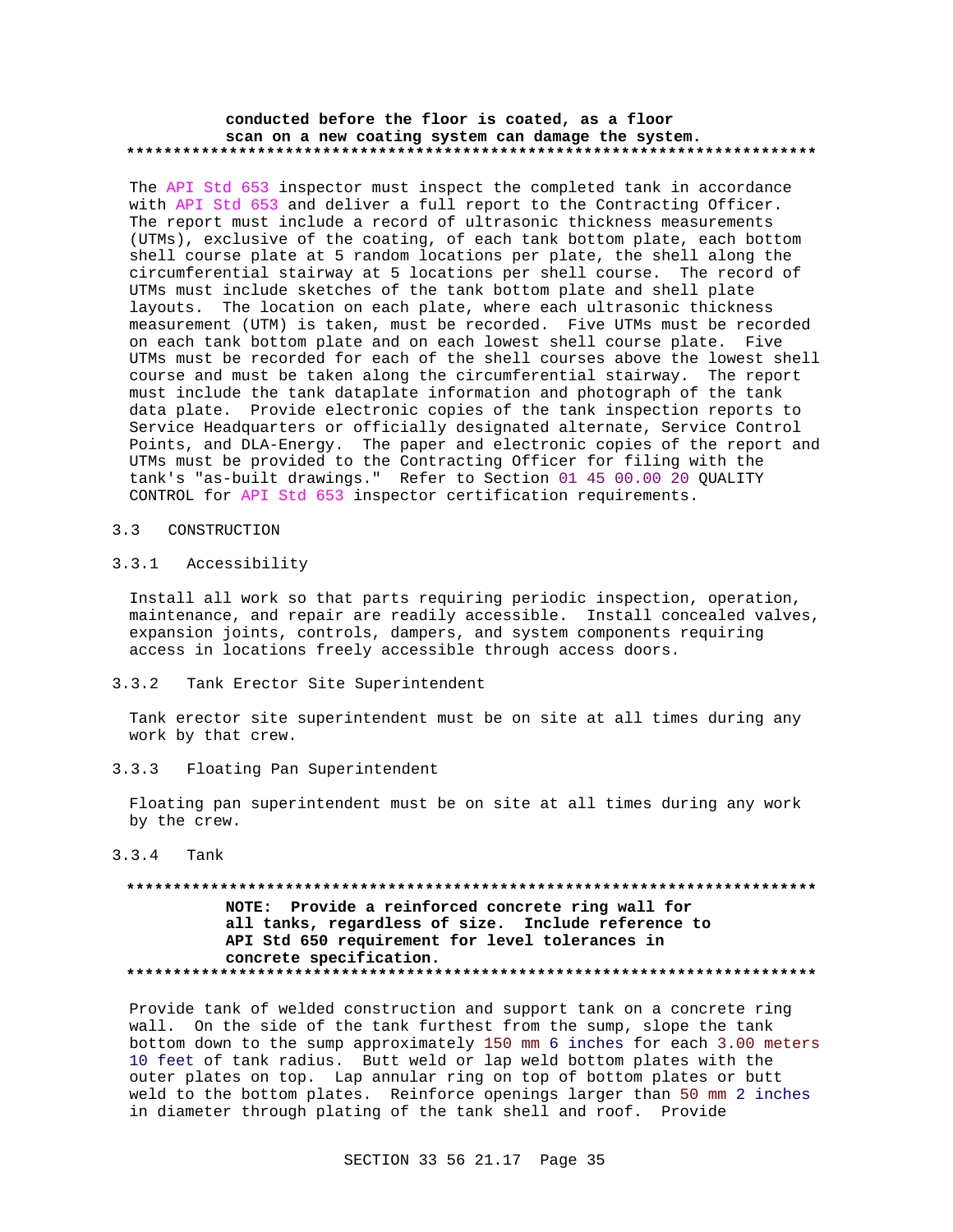### **conducted before the floor is coated, as a floor scan on a new coating system can damage the system. \*\*\*\*\*\*\*\*\*\*\*\*\*\*\*\*\*\*\*\*\*\*\*\*\*\*\*\*\*\*\*\*\*\*\*\*\*\*\*\*\*\*\*\*\*\*\*\*\*\*\*\*\*\*\*\*\*\*\*\*\*\*\*\*\*\*\*\*\*\*\*\*\*\***

The API Std 653 inspector must inspect the completed tank in accordance with API Std 653 and deliver a full report to the Contracting Officer. The report must include a record of ultrasonic thickness measurements (UTMs), exclusive of the coating, of each tank bottom plate, each bottom shell course plate at 5 random locations per plate, the shell along the circumferential stairway at 5 locations per shell course. The record of UTMs must include sketches of the tank bottom plate and shell plate layouts. The location on each plate, where each ultrasonic thickness measurement (UTM) is taken, must be recorded. Five UTMs must be recorded on each tank bottom plate and on each lowest shell course plate. Five UTMs must be recorded for each of the shell courses above the lowest shell course and must be taken along the circumferential stairway. The report must include the tank dataplate information and photograph of the tank data plate. Provide electronic copies of the tank inspection reports to Service Headquarters or officially designated alternate, Service Control Points, and DLA-Energy. The paper and electronic copies of the report and UTMs must be provided to the Contracting Officer for filing with the tank's "as-built drawings." Refer to Section 01 45 00.00 20 QUALITY CONTROL for API Std 653 inspector certification requirements.

### 3.3 CONSTRUCTION

### 3.3.1 Accessibility

Install all work so that parts requiring periodic inspection, operation, maintenance, and repair are readily accessible. Install concealed valves, expansion joints, controls, dampers, and system components requiring access in locations freely accessible through access doors.

3.3.2 Tank Erector Site Superintendent

Tank erector site superintendent must be on site at all times during any work by that crew.

3.3.3 Floating Pan Superintendent

Floating pan superintendent must be on site at all times during any work by the crew.

3.3.4 Tank

## **\*\*\*\*\*\*\*\*\*\*\*\*\*\*\*\*\*\*\*\*\*\*\*\*\*\*\*\*\*\*\*\*\*\*\*\*\*\*\*\*\*\*\*\*\*\*\*\*\*\*\*\*\*\*\*\*\*\*\*\*\*\*\*\*\*\*\*\*\*\*\*\*\*\* NOTE: Provide a reinforced concrete ring wall for all tanks, regardless of size. Include reference to API Std 650 requirement for level tolerances in concrete specification. \*\*\*\*\*\*\*\*\*\*\*\*\*\*\*\*\*\*\*\*\*\*\*\*\*\*\*\*\*\*\*\*\*\*\*\*\*\*\*\*\*\*\*\*\*\*\*\*\*\*\*\*\*\*\*\*\*\*\*\*\*\*\*\*\*\*\*\*\*\*\*\*\*\***

Provide tank of welded construction and support tank on a concrete ring wall. On the side of the tank furthest from the sump, slope the tank bottom down to the sump approximately 150 mm 6 inches for each 3.00 meters 10 feet of tank radius. Butt weld or lap weld bottom plates with the outer plates on top. Lap annular ring on top of bottom plates or butt weld to the bottom plates. Reinforce openings larger than 50 mm 2 inches in diameter through plating of the tank shell and roof. Provide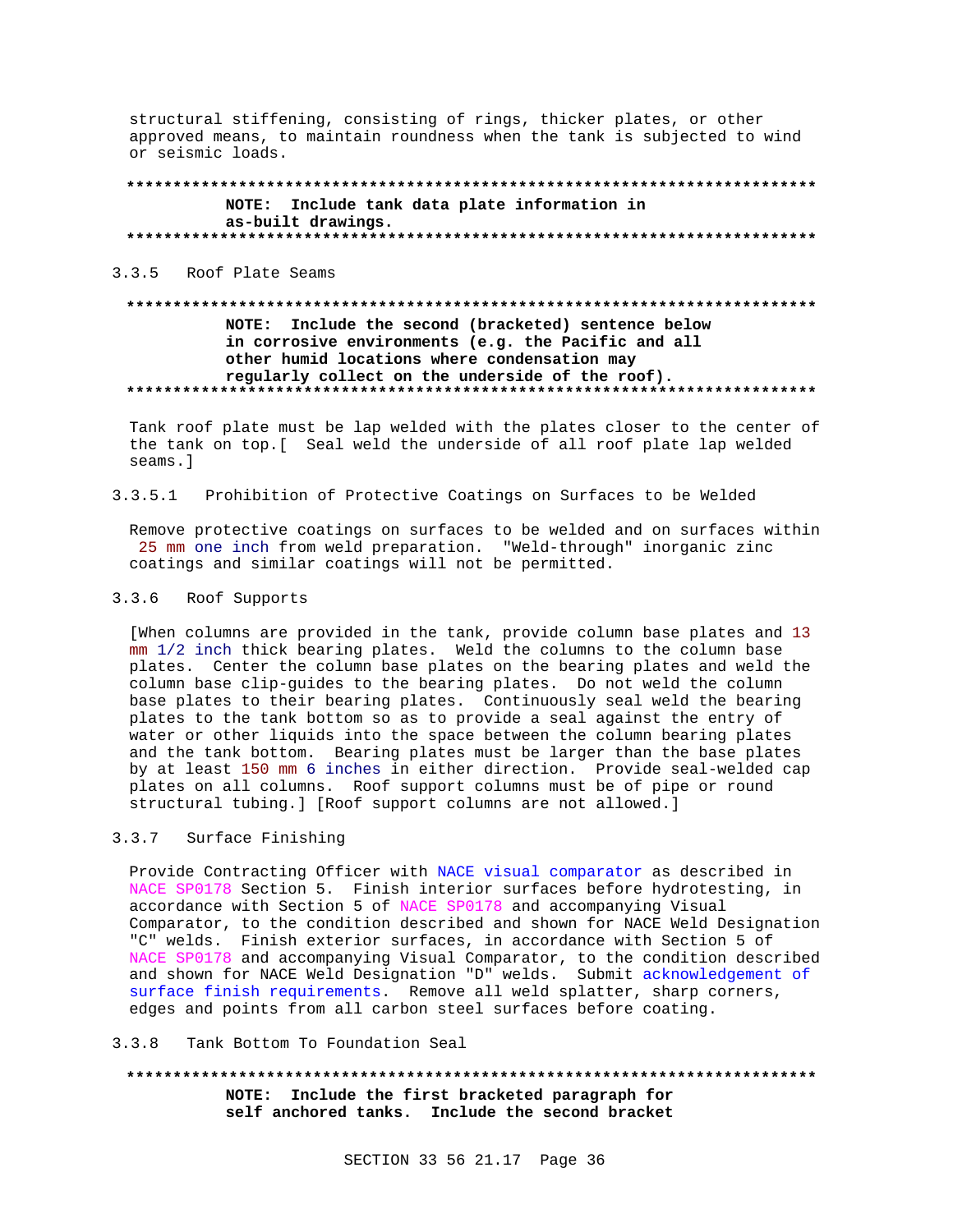structural stiffening, consisting of rings, thicker plates, or other approved means, to maintain roundness when the tank is subjected to wind or seismic loads.

## NOTE: Include tank data plate information in as-built drawings.

3.3.5 Roof Plate Seams

## NOTE: Include the second (bracketed) sentence below in corrosive environments (e.g. the Pacific and all other humid locations where condensation may regularly collect on the underside of the roof).

Tank roof plate must be lap welded with the plates closer to the center of the tank on top. [ Seal weld the underside of all roof plate lap welded seams.]

#### Prohibition of Protective Coatings on Surfaces to be Welded  $3.3.5.1$

Remove protective coatings on surfaces to be welded and on surfaces within 25 mm one inch from weld preparation. "Weld-through" inorganic zinc coatings and similar coatings will not be permitted.

#### $3.3.6$ Roof Supports

[When columns are provided in the tank, provide column base plates and 13 mm 1/2 inch thick bearing plates. Weld the columns to the column base plates. Center the column base plates on the bearing plates and weld the column base clip-guides to the bearing plates. Do not weld the column base plates to their bearing plates. Continuously seal weld the bearing plates to the tank bottom so as to provide a seal against the entry of water or other liquids into the space between the column bearing plates and the tank bottom. Bearing plates must be larger than the base plates by at least 150 mm 6 inches in either direction. Provide seal-welded cap plates on all columns. Roof support columns must be of pipe or round structural tubing.] [Roof support columns are not allowed.]

## 3.3.7 Surface Finishing

Provide Contracting Officer with NACE visual comparator as described in NACE SP0178 Section 5. Finish interior surfaces before hydrotesting, in accordance with Section 5 of NACE SP0178 and accompanying Visual Comparator, to the condition described and shown for NACE Weld Designation "C" welds. Finish exterior surfaces, in accordance with Section 5 of NACE SP0178 and accompanying Visual Comparator, to the condition described and shown for NACE Weld Designation "D" welds. Submit acknowledgement of surface finish requirements. Remove all weld splatter, sharp corners, edges and points from all carbon steel surfaces before coating.

#### 3 3 8 Tank Bottom To Foundation Seal

NOTE: Include the first bracketed paragraph for self anchored tanks. Include the second bracket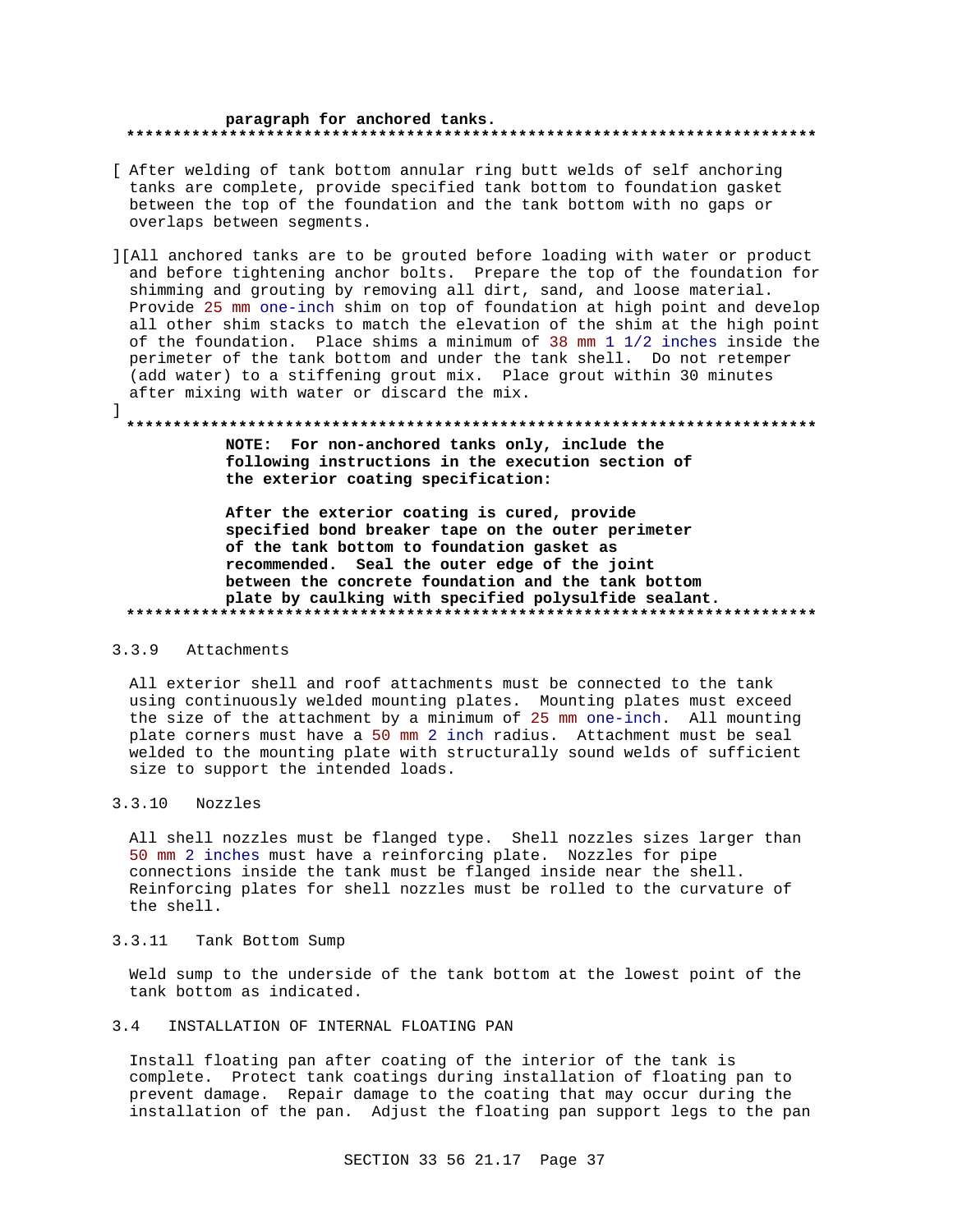#### paragraph for anchored tanks. **. . . . . . . . . . . .** .

- [ After welding of tank bottom annular ring butt welds of self anchoring tanks are complete, provide specified tank bottom to foundation gasket between the top of the foundation and the tank bottom with no gaps or overlaps between segments.
- ][All anchored tanks are to be grouted before loading with water or product and before tightening anchor bolts. Prepare the top of the foundation for shimming and grouting by removing all dirt, sand, and loose material. Provide 25 mm one-inch shim on top of foundation at high point and develop all other shim stacks to match the elevation of the shim at the high point of the foundation. Place shims a minimum of 38 mm 1 1/2 inches inside the perimeter of the tank bottom and under the tank shell. Do not retemper (add water) to a stiffening grout mix. Place grout within 30 minutes after mixing with water or discard the mix.

## NOTE: For non-anchored tanks only, include the following instructions in the execution section of the exterior coating specification:

After the exterior coating is cured, provide specified bond breaker tape on the outer perimeter of the tank bottom to foundation gasket as recommended. Seal the outer edge of the joint between the concrete foundation and the tank bottom plate by caulking with specified polysulfide sealant. 

#### $3.3.9$ Attachments

 $\mathbf{1}$ 

All exterior shell and roof attachments must be connected to the tank using continuously welded mounting plates. Mounting plates must exceed the size of the attachment by a minimum of 25 mm one-inch. All mounting plate corners must have a 50 mm 2 inch radius. Attachment must be seal welded to the mounting plate with structurally sound welds of sufficient size to support the intended loads.

#### $3.3.10$ Nozzles

All shell nozzles must be flanged type. Shell nozzles sizes larger than 50 mm 2 inches must have a reinforcing plate. Nozzles for pipe connections inside the tank must be flanged inside near the shell. Reinforcing plates for shell nozzles must be rolled to the curvature of the shell.

## 3.3.11 Tank Bottom Sump

Weld sump to the underside of the tank bottom at the lowest point of the tank bottom as indicated.

#### $3.4$ INSTALLATION OF INTERNAL FLOATING PAN

Install floating pan after coating of the interior of the tank is complete. Protect tank coatings during installation of floating pan to prevent damage. Repair damage to the coating that may occur during the installation of the pan. Adjust the floating pan support legs to the pan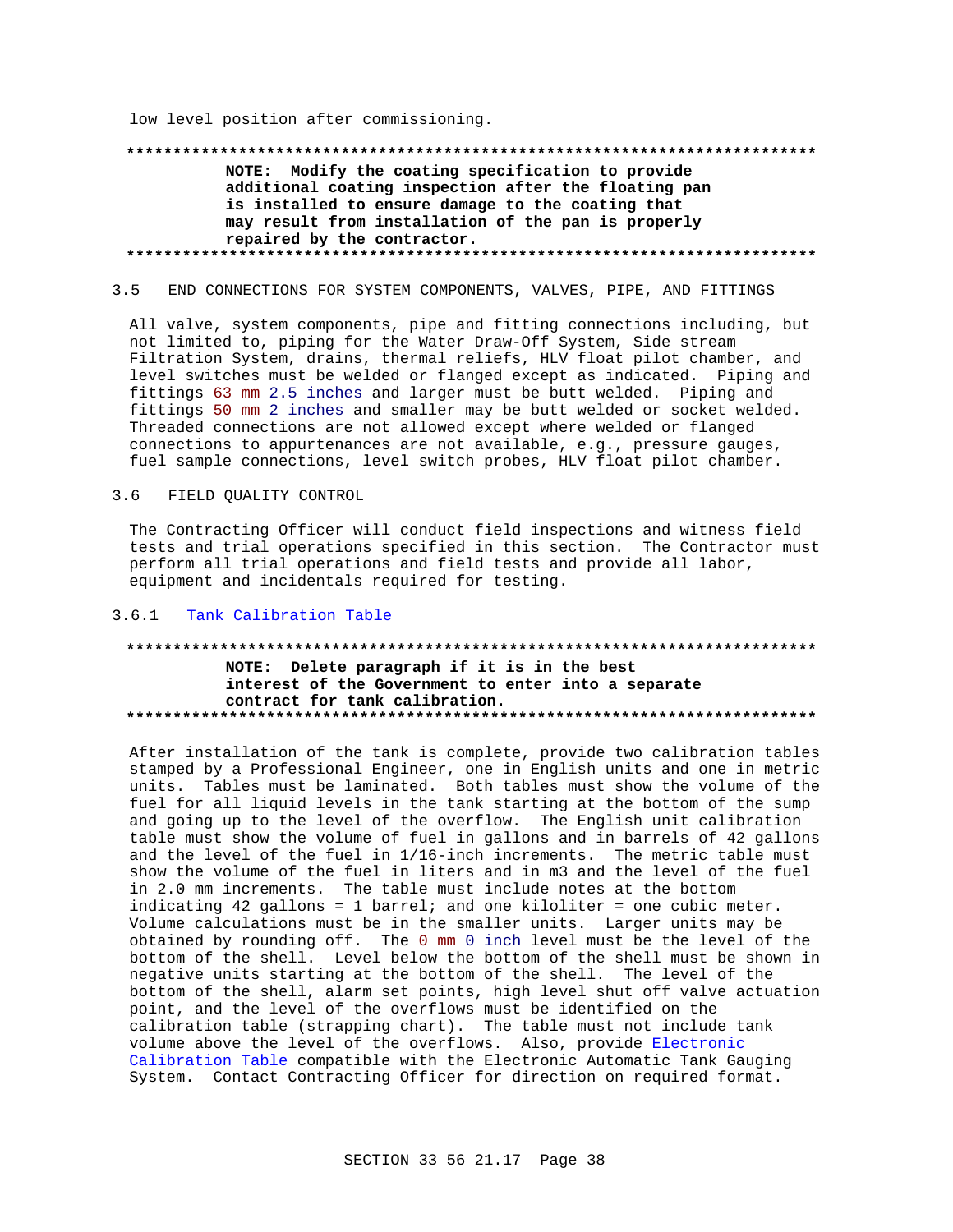low level position after commissioning.

## NOTE: Modify the coating specification to provide additional coating inspection after the floating pan is installed to ensure damage to the coating that may result from installation of the pan is properly repaired by the contractor.

#### $3.5$ END CONNECTIONS FOR SYSTEM COMPONENTS, VALVES, PIPE, AND FITTINGS

All valve, system components, pipe and fitting connections including, but not limited to, piping for the Water Draw-Off System, Side stream Filtration System, drains, thermal reliefs, HLV float pilot chamber, and level switches must be welded or flanged except as indicated. Piping and fittings 63 mm 2.5 inches and larger must be butt welded. Piping and fittings 50 mm 2 inches and smaller may be butt welded or socket welded. Threaded connections are not allowed except where welded or flanged connections to appurtenances are not available, e.g., pressure gauges, fuel sample connections, level switch probes, HLV float pilot chamber.

#### FIELD QUALITY CONTROL  $3.6$

The Contracting Officer will conduct field inspections and witness field tests and trial operations specified in this section. The Contractor must perform all trial operations and field tests and provide all labor, equipment and incidentals required for testing.

#### Tank Calibration Table  $3.6.1$

## NOTE: Delete paragraph if it is in the best interest of the Government to enter into a separate contract for tank calibration.

After installation of the tank is complete, provide two calibration tables stamped by a Professional Engineer, one in English units and one in metric units. Tables must be laminated. Both tables must show the volume of the fuel for all liquid levels in the tank starting at the bottom of the sump and going up to the level of the overflow. The English unit calibration table must show the volume of fuel in gallons and in barrels of 42 gallons and the level of the fuel in 1/16-inch increments. The metric table must show the volume of the fuel in liters and in m3 and the level of the fuel in 2.0 mm increments. The table must include notes at the bottom indicating 42 gallons = 1 barrel; and one kiloliter = one cubic meter. Volume calculations must be in the smaller units. Larger units may be obtained by rounding off. The 0 mm 0 inch level must be the level of the bottom of the shell. Level below the bottom of the shell must be shown in negative units starting at the bottom of the shell. The level of the bottom of the shell, alarm set points, high level shut off valve actuation point, and the level of the overflows must be identified on the calibration table (strapping chart). The table must not include tank volume above the level of the overflows. Also, provide Electronic Calibration Table compatible with the Electronic Automatic Tank Gauging System. Contact Contracting Officer for direction on required format.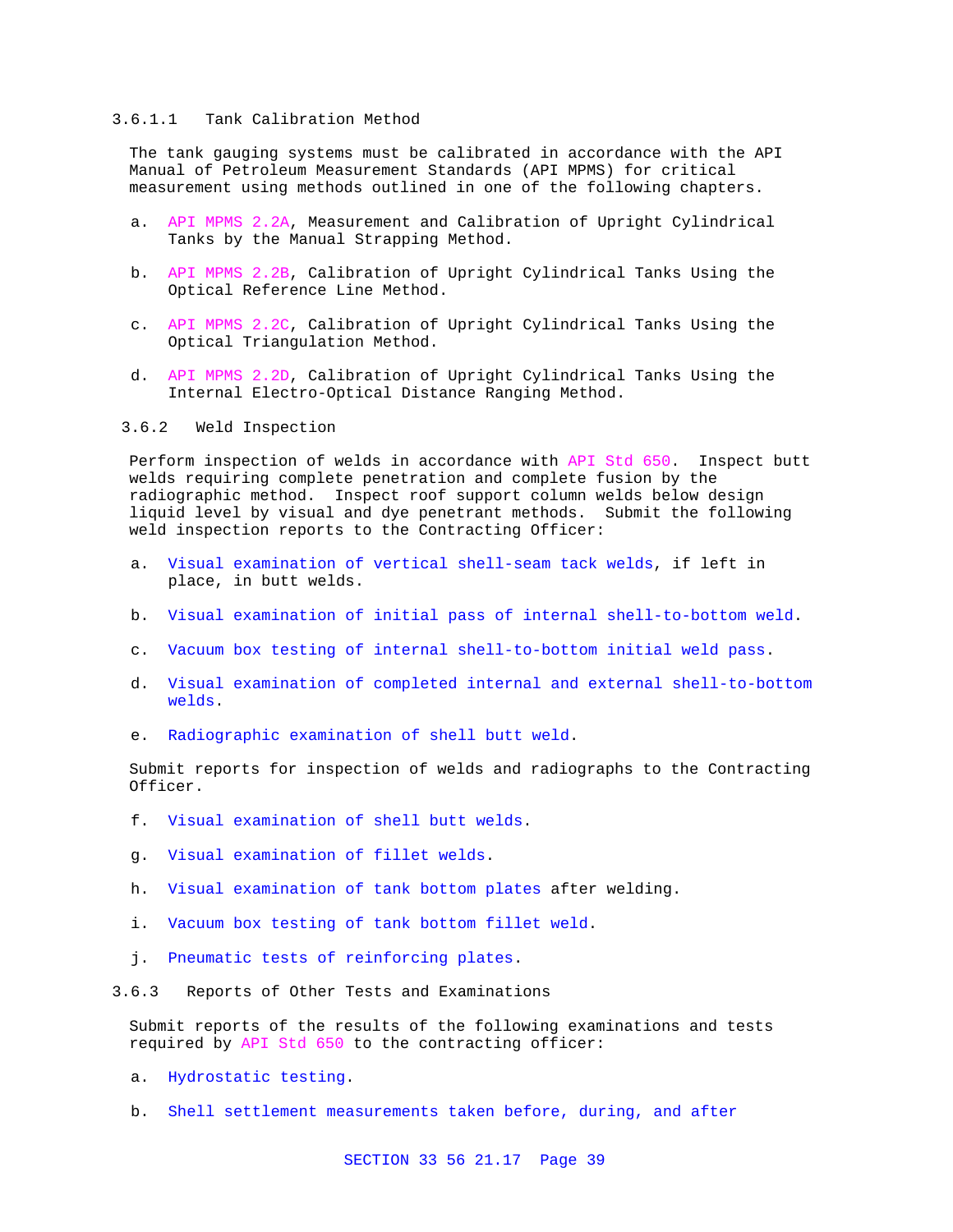### 3.6.1.1 Tank Calibration Method

The tank gauging systems must be calibrated in accordance with the API Manual of Petroleum Measurement Standards (API MPMS) for critical measurement using methods outlined in one of the following chapters.

- a. API MPMS 2.2A, Measurement and Calibration of Upright Cylindrical Tanks by the Manual Strapping Method.
- b. API MPMS 2.2B, Calibration of Upright Cylindrical Tanks Using the Optical Reference Line Method.
- c. API MPMS 2.2C, Calibration of Upright Cylindrical Tanks Using the Optical Triangulation Method.
- d. API MPMS 2.2D, Calibration of Upright Cylindrical Tanks Using the Internal Electro-Optical Distance Ranging Method.

3.6.2 Weld Inspection

Perform inspection of welds in accordance with API Std 650. Inspect butt welds requiring complete penetration and complete fusion by the radiographic method. Inspect roof support column welds below design liquid level by visual and dye penetrant methods. Submit the following weld inspection reports to the Contracting Officer:

- a. Visual examination of vertical shell-seam tack welds, if left in place, in butt welds.
- b. Visual examination of initial pass of internal shell-to-bottom weld.
- c. Vacuum box testing of internal shell-to-bottom initial weld pass.
- d. Visual examination of completed internal and external shell-to-bottom welds.
- e. Radiographic examination of shell butt weld.

Submit reports for inspection of welds and radiographs to the Contracting Officer.

- f. Visual examination of shell butt welds.
- g. Visual examination of fillet welds.
- h. Visual examination of tank bottom plates after welding.
- i. Vacuum box testing of tank bottom fillet weld.
- j. Pneumatic tests of reinforcing plates.
- 3.6.3 Reports of Other Tests and Examinations

Submit reports of the results of the following examinations and tests required by API Std 650 to the contracting officer:

- a. Hydrostatic testing.
- b. Shell settlement measurements taken before, during, and after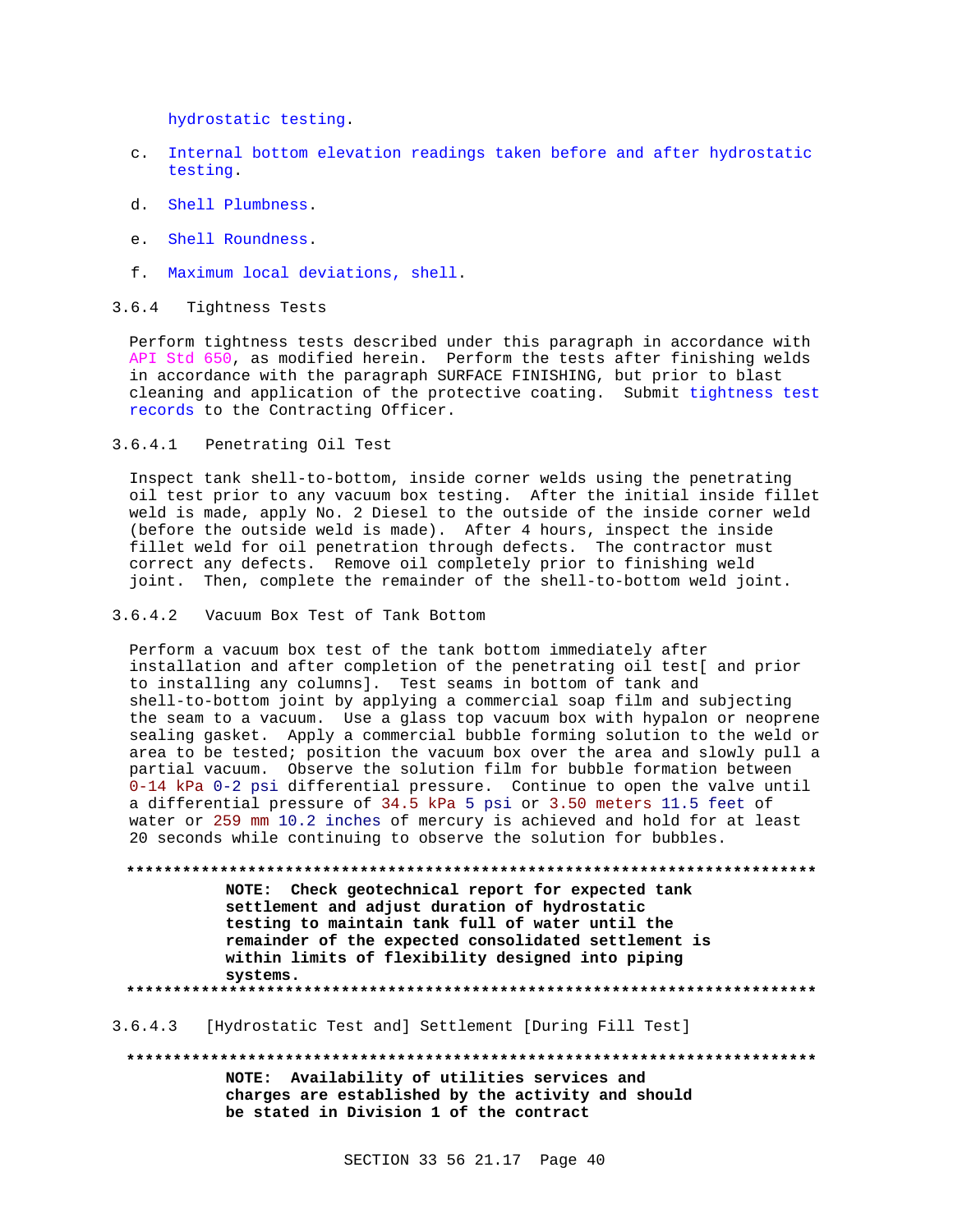hydrostatic testing.

- c. Internal bottom elevation readings taken before and after hydrostatic testing.
- d. Shell Plumbness.
- e. Shell Roundness.
- f. Maximum local deviations, shell.

## 3.6.4 Tightness Tests

Perform tightness tests described under this paragraph in accordance with API Std 650, as modified herein. Perform the tests after finishing welds in accordance with the paragraph SURFACE FINISHING, but prior to blast cleaning and application of the protective coating. Submit tightness test records to the Contracting Officer.

3.6.4.1 Penetrating Oil Test

Inspect tank shell-to-bottom, inside corner welds using the penetrating oil test prior to any vacuum box testing. After the initial inside fillet weld is made, apply No. 2 Diesel to the outside of the inside corner weld (before the outside weld is made). After 4 hours, inspect the inside fillet weld for oil penetration through defects. The contractor must correct any defects. Remove oil completely prior to finishing weld joint. Then, complete the remainder of the shell-to-bottom weld joint.

3.6.4.2 Vacuum Box Test of Tank Bottom

Perform a vacuum box test of the tank bottom immediately after installation and after completion of the penetrating oil test[ and prior to installing any columns]. Test seams in bottom of tank and shell-to-bottom joint by applying a commercial soap film and subjecting the seam to a vacuum. Use a glass top vacuum box with hypalon or neoprene sealing gasket. Apply a commercial bubble forming solution to the weld or area to be tested; position the vacuum box over the area and slowly pull a partial vacuum. Observe the solution film for bubble formation between 0-14 kPa 0-2 psi differential pressure. Continue to open the valve until a differential pressure of 34.5 kPa 5 psi or 3.50 meters 11.5 feet of water or 259 mm 10.2 inches of mercury is achieved and hold for at least 20 seconds while continuing to observe the solution for bubbles.

**\*\*\*\*\*\*\*\*\*\*\*\*\*\*\*\*\*\*\*\*\*\*\*\*\*\*\*\*\*\*\*\*\*\*\*\*\*\*\*\*\*\*\*\*\*\*\*\*\*\*\*\*\*\*\*\*\*\*\*\*\*\*\*\*\*\*\*\*\*\*\*\*\*\* NOTE: Check geotechnical report for expected tank settlement and adjust duration of hydrostatic testing to maintain tank full of water until the remainder of the expected consolidated settlement is within limits of flexibility designed into piping systems. \*\*\*\*\*\*\*\*\*\*\*\*\*\*\*\*\*\*\*\*\*\*\*\*\*\*\*\*\*\*\*\*\*\*\*\*\*\*\*\*\*\*\*\*\*\*\*\*\*\*\*\*\*\*\*\*\*\*\*\*\*\*\*\*\*\*\*\*\*\*\*\*\*\***

#### 3.6.4.3 [Hydrostatic Test and] Settlement [During Fill Test]

**\*\*\*\*\*\*\*\*\*\*\*\*\*\*\*\*\*\*\*\*\*\*\*\*\*\*\*\*\*\*\*\*\*\*\*\*\*\*\*\*\*\*\*\*\*\*\*\*\*\*\*\*\*\*\*\*\*\*\*\*\*\*\*\*\*\*\*\*\*\*\*\*\*\* NOTE: Availability of utilities services and charges are established by the activity and should be stated in Division 1 of the contract**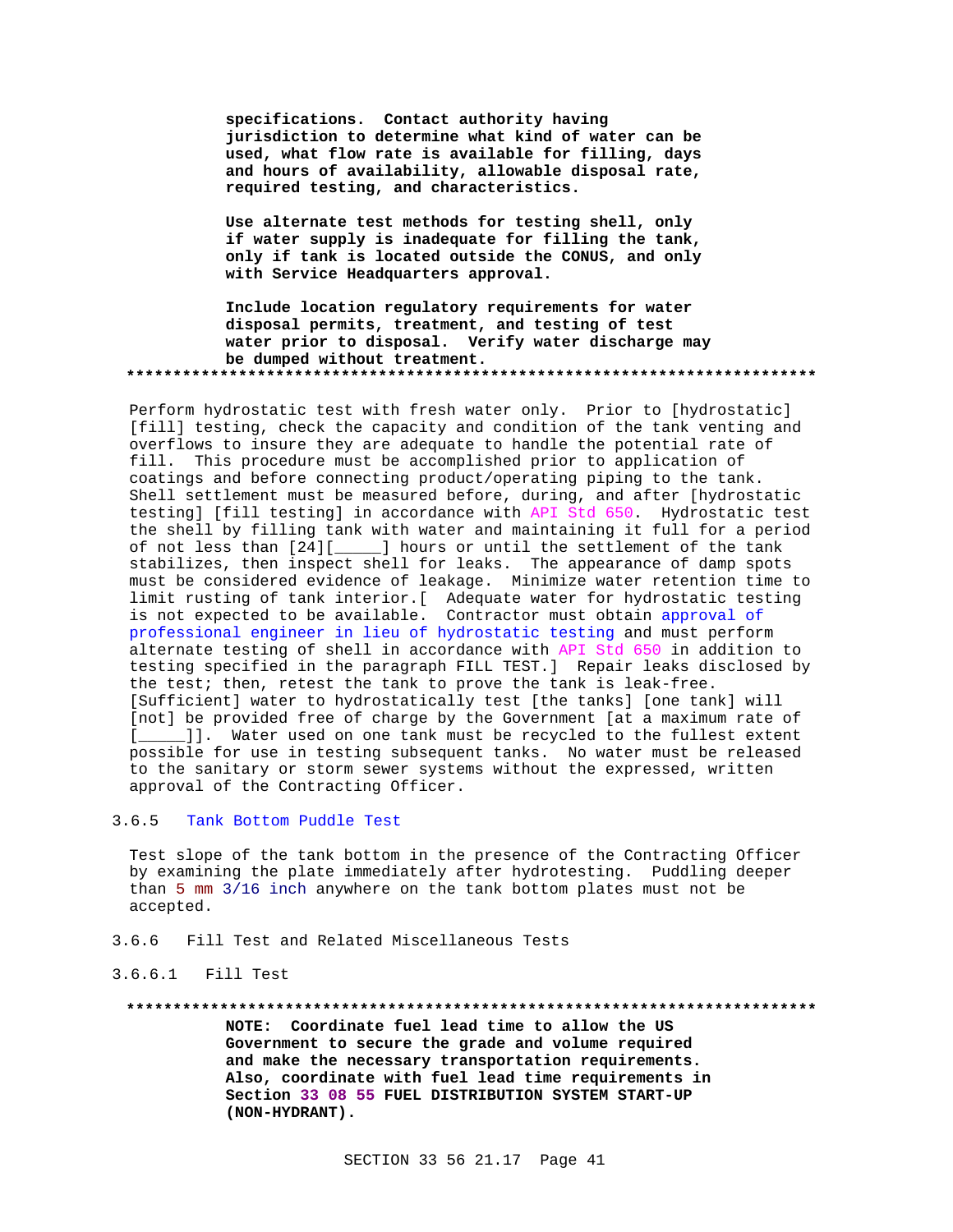**specifications. Contact authority having jurisdiction to determine what kind of water can be used, what flow rate is available for filling, days and hours of availability, allowable disposal rate, required testing, and characteristics.**

**Use alternate test methods for testing shell, only if water supply is inadequate for filling the tank, only if tank is located outside the CONUS, and only with Service Headquarters approval.**

**Include location regulatory requirements for water disposal permits, treatment, and testing of test water prior to disposal. Verify water discharge may be dumped without treatment. \*\*\*\*\*\*\*\*\*\*\*\*\*\*\*\*\*\*\*\*\*\*\*\*\*\*\*\*\*\*\*\*\*\*\*\*\*\*\*\*\*\*\*\*\*\*\*\*\*\*\*\*\*\*\*\*\*\*\*\*\*\*\*\*\*\*\*\*\*\*\*\*\*\***

Perform hydrostatic test with fresh water only. Prior to [hydrostatic] [fill] testing, check the capacity and condition of the tank venting and overflows to insure they are adequate to handle the potential rate of fill. This procedure must be accomplished prior to application of coatings and before connecting product/operating piping to the tank. Shell settlement must be measured before, during, and after [hydrostatic testing] [fill testing] in accordance with API Std 650. Hydrostatic test the shell by filling tank with water and maintaining it full for a period of not less than [24][\_\_\_\_\_] hours or until the settlement of the tank stabilizes, then inspect shell for leaks. The appearance of damp spots must be considered evidence of leakage. Minimize water retention time to limit rusting of tank interior.[ Adequate water for hydrostatic testing is not expected to be available. Contractor must obtain approval of professional engineer in lieu of hydrostatic testing and must perform alternate testing of shell in accordance with API Std 650 in addition to testing specified in the paragraph FILL TEST.] Repair leaks disclosed by the test; then, retest the tank to prove the tank is leak-free. [Sufficient] water to hydrostatically test [the tanks] [one tank] will [not] be provided free of charge by the Government [at a maximum rate of [\_\_\_\_\_]]. Water used on one tank must be recycled to the fullest extent possible for use in testing subsequent tanks. No water must be released to the sanitary or storm sewer systems without the expressed, written approval of the Contracting Officer.

## 3.6.5 Tank Bottom Puddle Test

Test slope of the tank bottom in the presence of the Contracting Officer by examining the plate immediately after hydrotesting. Puddling deeper than 5 mm 3/16 inch anywhere on the tank bottom plates must not be accepted.

3.6.6 Fill Test and Related Miscellaneous Tests

## 3.6.6.1 Fill Test

#### **\*\*\*\*\*\*\*\*\*\*\*\*\*\*\*\*\*\*\*\*\*\*\*\*\*\*\*\*\*\*\*\*\*\*\*\*\*\*\*\*\*\*\*\*\*\*\*\*\*\*\*\*\*\*\*\*\*\*\*\*\*\*\*\*\*\*\*\*\*\*\*\*\*\***

**NOTE: Coordinate fuel lead time to allow the US Government to secure the grade and volume required and make the necessary transportation requirements. Also, coordinate with fuel lead time requirements in Section 33 08 55 FUEL DISTRIBUTION SYSTEM START-UP (NON-HYDRANT).**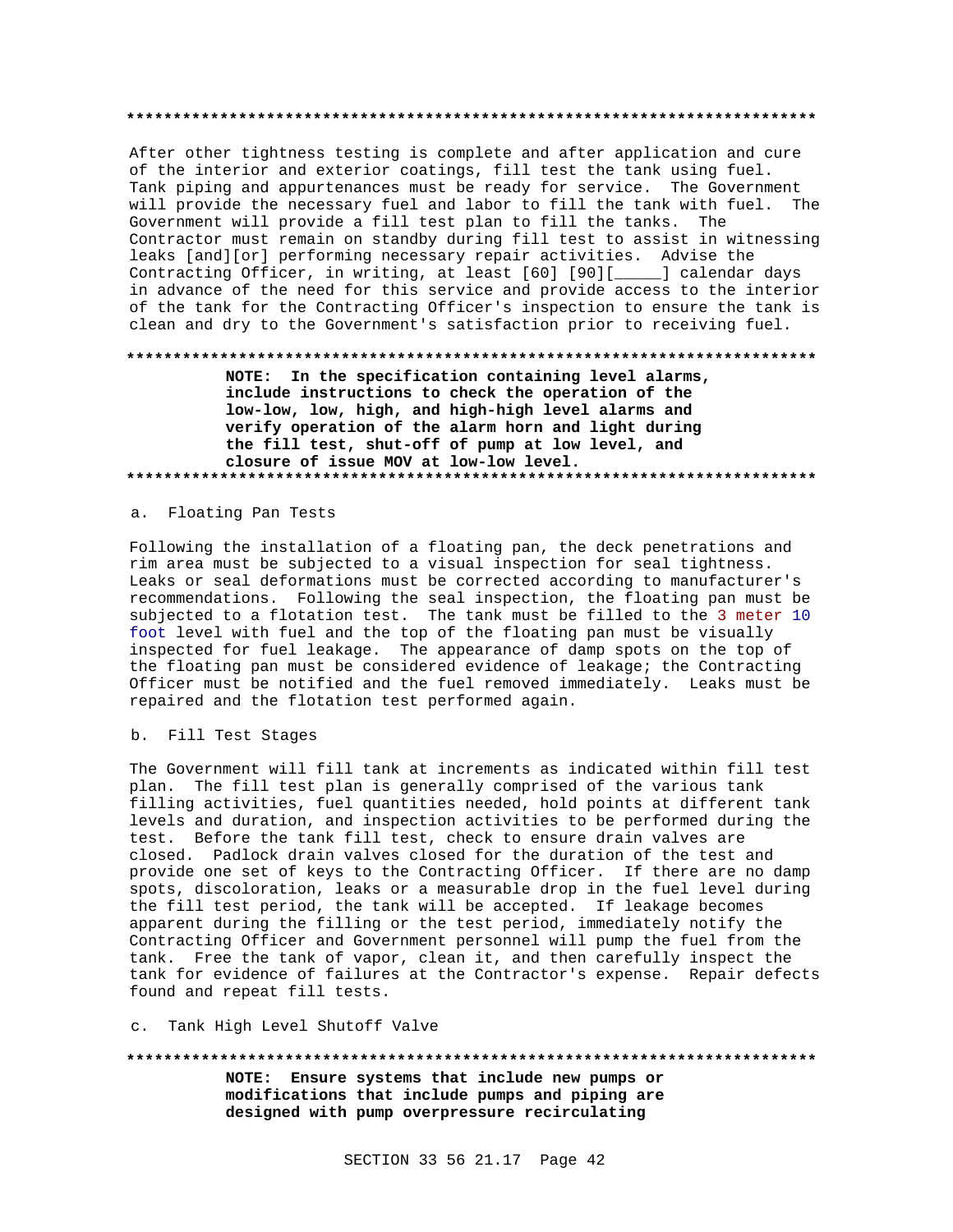After other tightness testing is complete and after application and cure of the interior and exterior coatings, fill test the tank using fuel. Tank piping and appurtenances must be ready for service. The Government will provide the necessary fuel and labor to fill the tank with fuel. The Government will provide a fill test plan to fill the tanks. The Contractor must remain on standby during fill test to assist in witnessing leaks [and][or] performing necessary repair activities. Advise the Contracting Officer, in writing, at least [60] [90][\_\_\_\_\_] calendar days in advance of the need for this service and provide access to the interior of the tank for the Contracting Officer's inspection to ensure the tank is clean and dry to the Government's satisfaction prior to receiving fuel.

### 

NOTE: In the specification containing level alarms, include instructions to check the operation of the low-low, low, high, and high-high level alarms and verify operation of the alarm horn and light during the fill test, shut-off of pump at low level, and closure of issue MOV at low-low level. 

## a. Floating Pan Tests

Following the installation of a floating pan, the deck penetrations and rim area must be subjected to a visual inspection for seal tightness. Leaks or seal deformations must be corrected according to manufacturer's recommendations. Following the seal inspection, the floating pan must be subjected to a flotation test. The tank must be filled to the 3 meter 10 foot level with fuel and the top of the floating pan must be visually inspected for fuel leakage. The appearance of damp spots on the top of the floating pan must be considered evidence of leakage; the Contracting Officer must be notified and the fuel removed immediately. Leaks must be repaired and the flotation test performed again.

b. Fill Test Stages

The Government will fill tank at increments as indicated within fill test plan. The fill test plan is generally comprised of the various tank filling activities, fuel quantities needed, hold points at different tank levels and duration, and inspection activities to be performed during the test. Before the tank fill test, check to ensure drain valves are closed. Padlock drain valves closed for the duration of the test and provide one set of keys to the Contracting Officer. If there are no damp spots, discoloration, leaks or a measurable drop in the fuel level during the fill test period, the tank will be accepted. If leakage becomes apparent during the filling or the test period, immediately notify the Contracting Officer and Government personnel will pump the fuel from the tank. Free the tank of vapor, clean it, and then carefully inspect the tank for evidence of failures at the Contractor's expense. Repair defects found and repeat fill tests.

## c. Tank High Level Shutoff Valve

# NOTE: Ensure systems that include new pumps or

modifications that include pumps and piping are designed with pump overpressure recirculating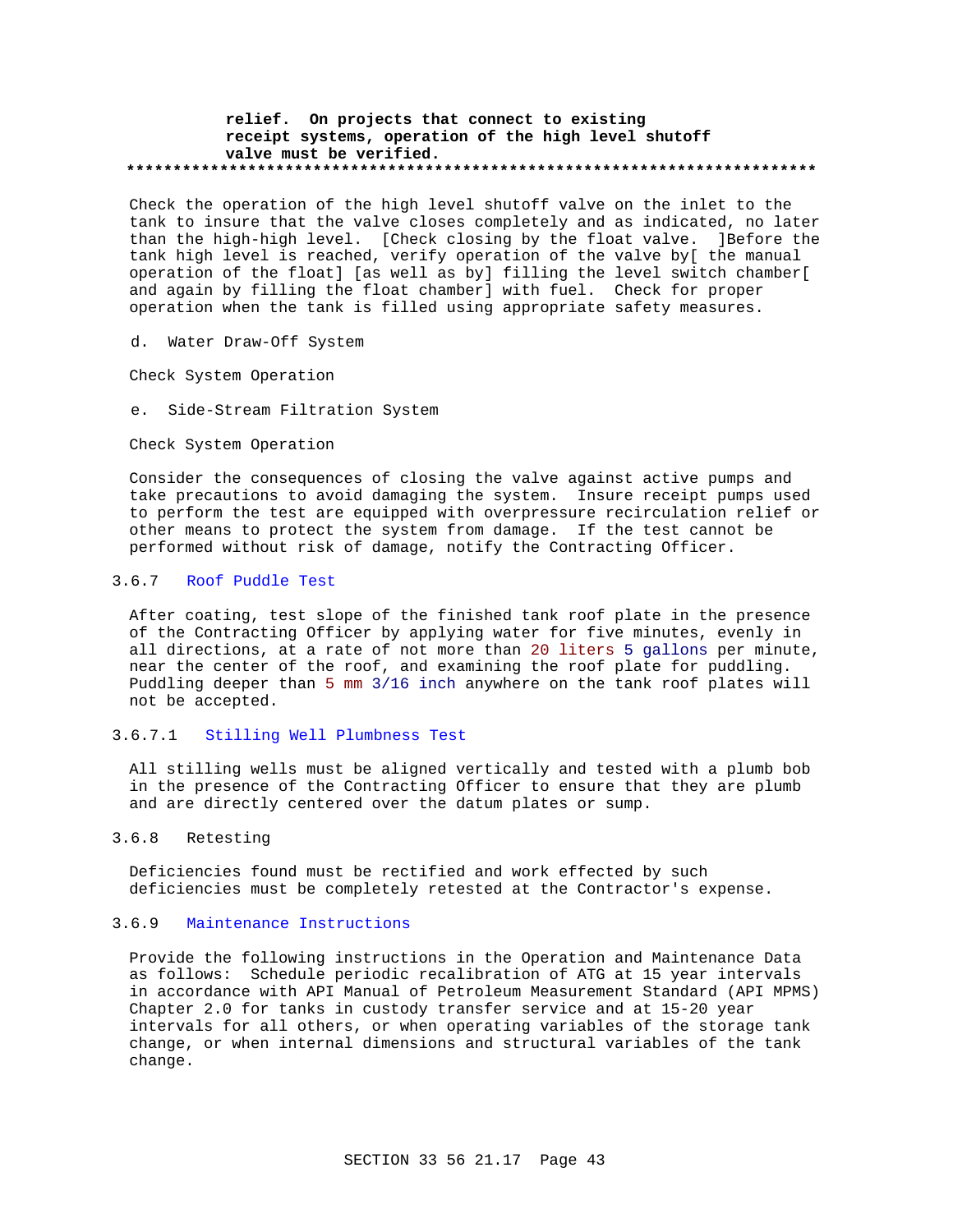### **relief. On projects that connect to existing receipt systems, operation of the high level shutoff valve must be verified. \*\*\*\*\*\*\*\*\*\*\*\*\*\*\*\*\*\*\*\*\*\*\*\*\*\*\*\*\*\*\*\*\*\*\*\*\*\*\*\*\*\*\*\*\*\*\*\*\*\*\*\*\*\*\*\*\*\*\*\*\*\*\*\*\*\*\*\*\*\*\*\*\*\***

Check the operation of the high level shutoff valve on the inlet to the tank to insure that the valve closes completely and as indicated, no later than the high-high level. [Check closing by the float valve. ]Before the tank high level is reached, verify operation of the valve by[ the manual operation of the float] [as well as by] filling the level switch chamber[ and again by filling the float chamber] with fuel. Check for proper operation when the tank is filled using appropriate safety measures.

d. Water Draw-Off System

Check System Operation

e. Side-Stream Filtration System

Check System Operation

Consider the consequences of closing the valve against active pumps and take precautions to avoid damaging the system. Insure receipt pumps used to perform the test are equipped with overpressure recirculation relief or other means to protect the system from damage. If the test cannot be performed without risk of damage, notify the Contracting Officer.

## 3.6.7 Roof Puddle Test

After coating, test slope of the finished tank roof plate in the presence of the Contracting Officer by applying water for five minutes, evenly in all directions, at a rate of not more than 20 liters 5 gallons per minute, near the center of the roof, and examining the roof plate for puddling. Puddling deeper than 5 mm 3/16 inch anywhere on the tank roof plates will not be accepted.

## 3.6.7.1 Stilling Well Plumbness Test

All stilling wells must be aligned vertically and tested with a plumb bob in the presence of the Contracting Officer to ensure that they are plumb and are directly centered over the datum plates or sump.

## 3.6.8 Retesting

Deficiencies found must be rectified and work effected by such deficiencies must be completely retested at the Contractor's expense.

## 3.6.9 Maintenance Instructions

Provide the following instructions in the Operation and Maintenance Data as follows: Schedule periodic recalibration of ATG at 15 year intervals in accordance with API Manual of Petroleum Measurement Standard (API MPMS) Chapter 2.0 for tanks in custody transfer service and at 15-20 year intervals for all others, or when operating variables of the storage tank change, or when internal dimensions and structural variables of the tank change.